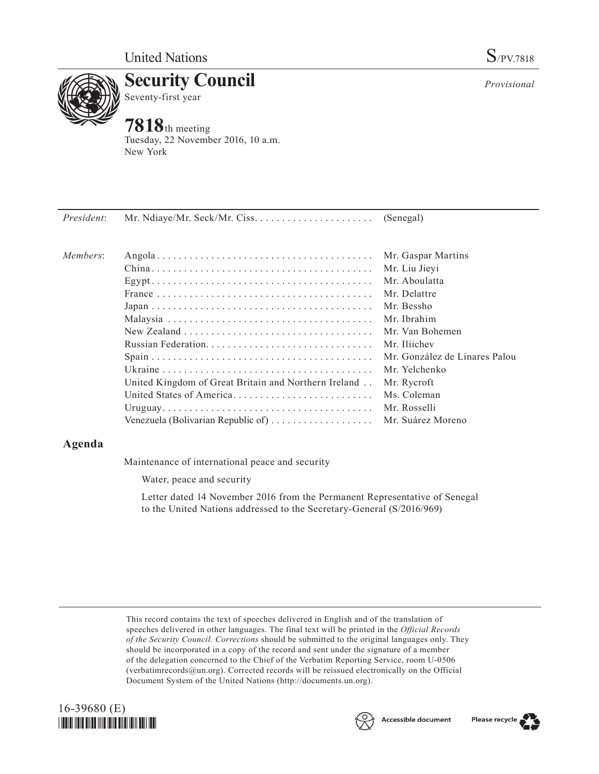

**Security Council** Seventy-first year

# **7818**th meeting

Tuesday, 22 November 2016, 10 a.m. New York

| President: |                                                      |                               |
|------------|------------------------------------------------------|-------------------------------|
| Members:   |                                                      | Mr. Gaspar Martins            |
|            |                                                      | Mr. Liu Jieyi                 |
|            |                                                      | Mr. Aboulatta                 |
|            |                                                      | Mr. Delattre                  |
|            |                                                      | Mr. Bessho                    |
|            |                                                      | Mr. Ibrahim                   |
|            |                                                      | Mr. Van Bohemen               |
|            |                                                      | Mr. Iliichev                  |
|            |                                                      | Mr. González de Linares Palou |
|            |                                                      | Mr. Yelchenko                 |
|            | United Kingdom of Great Britain and Northern Ireland | Mr. Rycroft                   |
|            | United States of America                             | Ms. Coleman                   |
|            |                                                      | Mr. Rosselli                  |
|            |                                                      | Mr. Suárez Moreno             |
|            |                                                      |                               |

## **Agenda**

Maintenance of international peace and security

Water, peace and security

Letter dated 14 November 2016 from the Permanent Representative of Senegal to the United Nations addressed to the Secretary-General (S/2016/969)

This record contains the text of speeches delivered in English and of the translation of speeches delivered in other languages. The final text will be printed in the *Official Records of the Security Council. Corrections* should be submitted to the original languages only. They should be incorporated in a copy of the record and sent under the signature of a member of the delegation concerned to the Chief of the Verbatim Reporting Service, room U-0506 (verbatimrecords $@un.org$ ). Corrected records will be reissued electronically on the Official Document System of the United Nations [\(http://documents.un.org\)](http://documents.un.org).





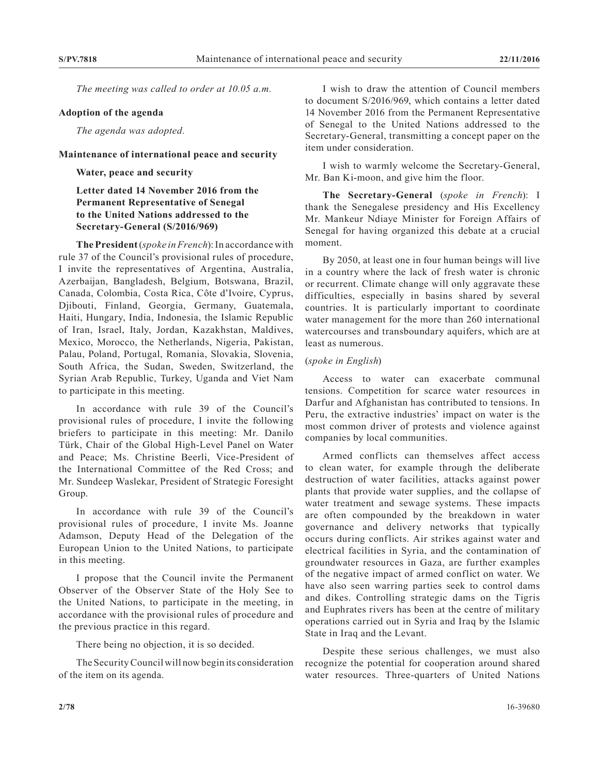*The meeting was called to order at 10.05 a.m.*

#### **Adoption of the agenda**

*The agenda was adopted.*

#### **Maintenance of international peace and security**

**Water, peace and security**

### **Letter dated 14 November 2016 from the Permanent Representative of Senegal to the United Nations addressed to the Secretary-General (S/2016/969)**

**The President** (*spoke in French*): In accordance with rule 37 of the Council's provisional rules of procedure, I invite the representatives of Argentina, Australia, Azerbaijan, Bangladesh, Belgium, Botswana, Brazil, Canada, Colombia, Costa Rica, Côte d'Ivoire, Cyprus, Djibouti, Finland, Georgia, Germany, Guatemala, Haiti, Hungary, India, Indonesia, the Islamic Republic of Iran, Israel, Italy, Jordan, Kazakhstan, Maldives, Mexico, Morocco, the Netherlands, Nigeria, Pakistan, Palau, Poland, Portugal, Romania, Slovakia, Slovenia, South Africa, the Sudan, Sweden, Switzerland, the Syrian Arab Republic, Turkey, Uganda and Viet Nam to participate in this meeting.

In accordance with rule 39 of the Council's provisional rules of procedure, I invite the following briefers to participate in this meeting: Mr. Danilo Türk, Chair of the Global High-Level Panel on Water and Peace; Ms. Christine Beerli, Vice-President of the International Committee of the Red Cross; and Mr. Sundeep Waslekar, President of Strategic Foresight Group.

In accordance with rule 39 of the Council's provisional rules of procedure, I invite Ms. Joanne Adamson, Deputy Head of the Delegation of the European Union to the United Nations, to participate in this meeting.

I propose that the Council invite the Permanent Observer of the Observer State of the Holy See to the United Nations, to participate in the meeting, in accordance with the provisional rules of procedure and the previous practice in this regard.

There being no objection, it is so decided.

The Security Council will now begin its consideration of the item on its agenda.

I wish to draw the attention of Council members to document S/2016/969, which contains a letter dated 14 November 2016 from the Permanent Representative of Senegal to the United Nations addressed to the Secretary-General, transmitting a concept paper on the item under consideration.

I wish to warmly welcome the Secretary-General, Mr. Ban Ki-moon, and give him the floor.

**The Secretary-General** (*spoke in French*): I thank the Senegalese presidency and His Excellency Mr. Mankeur Ndiaye Minister for Foreign Affairs of Senegal for having organized this debate at a crucial moment.

By 2050, at least one in four human beings will live in a country where the lack of fresh water is chronic or recurrent. Climate change will only aggravate these difficulties, especially in basins shared by several countries. It is particularly important to coordinate water management for the more than 260 international watercourses and transboundary aquifers, which are at least as numerous.

#### (*spoke in English*)

Access to water can exacerbate communal tensions. Competition for scarce water resources in Darfur and Afghanistan has contributed to tensions. In Peru, the extractive industries' impact on water is the most common driver of protests and violence against companies by local communities.

Armed conflicts can themselves affect access to clean water, for example through the deliberate destruction of water facilities, attacks against power plants that provide water supplies, and the collapse of water treatment and sewage systems. These impacts are often compounded by the breakdown in water governance and delivery networks that typically occurs during conflicts. Air strikes against water and electrical facilities in Syria, and the contamination of groundwater resources in Gaza, are further examples of the negative impact of armed conflict on water. We have also seen warring parties seek to control dams and dikes. Controlling strategic dams on the Tigris and Euphrates rivers has been at the centre of military operations carried out in Syria and Iraq by the Islamic State in Iraq and the Levant.

Despite these serious challenges, we must also recognize the potential for cooperation around shared water resources. Three-quarters of United Nations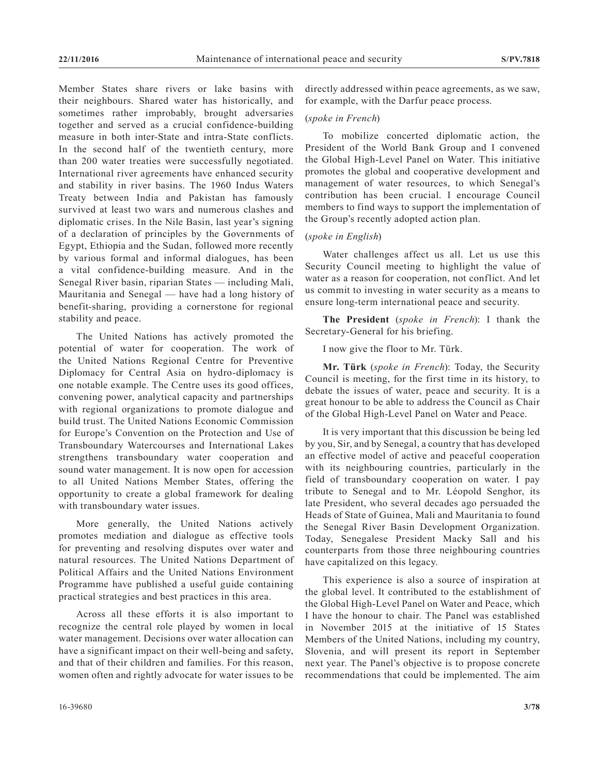Member States share rivers or lake basins with their neighbours. Shared water has historically, and sometimes rather improbably, brought adversaries together and served as a crucial confidence-building measure in both inter-State and intra-State conflicts. In the second half of the twentieth century, more than 200 water treaties were successfully negotiated. International river agreements have enhanced security and stability in river basins. The 1960 Indus Waters Treaty between India and Pakistan has famously survived at least two wars and numerous clashes and diplomatic crises. In the Nile Basin, last year's signing of a declaration of principles by the Governments of Egypt, Ethiopia and the Sudan, followed more recently by various formal and informal dialogues, has been a vital confidence-building measure. And in the Senegal River basin, riparian States — including Mali, Mauritania and Senegal — have had a long history of benefit-sharing, providing a cornerstone for regional stability and peace.

The United Nations has actively promoted the potential of water for cooperation. The work of the United Nations Regional Centre for Preventive Diplomacy for Central Asia on hydro-diplomacy is one notable example. The Centre uses its good offices, convening power, analytical capacity and partnerships with regional organizations to promote dialogue and build trust. The United Nations Economic Commission for Europe's Convention on the Protection and Use of Transboundary Watercourses and International Lakes strengthens transboundary water cooperation and sound water management. It is now open for accession to all United Nations Member States, offering the opportunity to create a global framework for dealing with transboundary water issues.

More generally, the United Nations actively promotes mediation and dialogue as effective tools for preventing and resolving disputes over water and natural resources. The United Nations Department of Political Affairs and the United Nations Environment Programme have published a useful guide containing practical strategies and best practices in this area.

Across all these efforts it is also important to recognize the central role played by women in local water management. Decisions over water allocation can have a significant impact on their well-being and safety, and that of their children and families. For this reason, women often and rightly advocate for water issues to be

#### (*spoke in French*)

To mobilize concerted diplomatic action, the President of the World Bank Group and I convened the Global High-Level Panel on Water. This initiative promotes the global and cooperative development and management of water resources, to which Senegal's contribution has been crucial. I encourage Council members to find ways to support the implementation of the Group's recently adopted action plan.

#### (*spoke in English*)

Water challenges affect us all. Let us use this Security Council meeting to highlight the value of water as a reason for cooperation, not conflict. And let us commit to investing in water security as a means to ensure long-term international peace and security.

**The President** (*spoke in French*): I thank the Secretary-General for his briefing.

I now give the floor to Mr. Türk.

**Mr. Türk** (*spoke in French*): Today, the Security Council is meeting, for the first time in its history, to debate the issues of water, peace and security. It is a great honour to be able to address the Council as Chair of the Global High-Level Panel on Water and Peace.

It is very important that this discussion be being led by you, Sir, and by Senegal, a country that has developed an effective model of active and peaceful cooperation with its neighbouring countries, particularly in the field of transboundary cooperation on water. I pay tribute to Senegal and to Mr. Léopold Senghor, its late President, who several decades ago persuaded the Heads of State of Guinea, Mali and Mauritania to found the Senegal River Basin Development Organization. Today, Senegalese President Macky Sall and his counterparts from those three neighbouring countries have capitalized on this legacy.

This experience is also a source of inspiration at the global level. It contributed to the establishment of the Global High-Level Panel on Water and Peace, which I have the honour to chair. The Panel was established in November 2015 at the initiative of 15 States Members of the United Nations, including my country, Slovenia, and will present its report in September next year. The Panel's objective is to propose concrete recommendations that could be implemented. The aim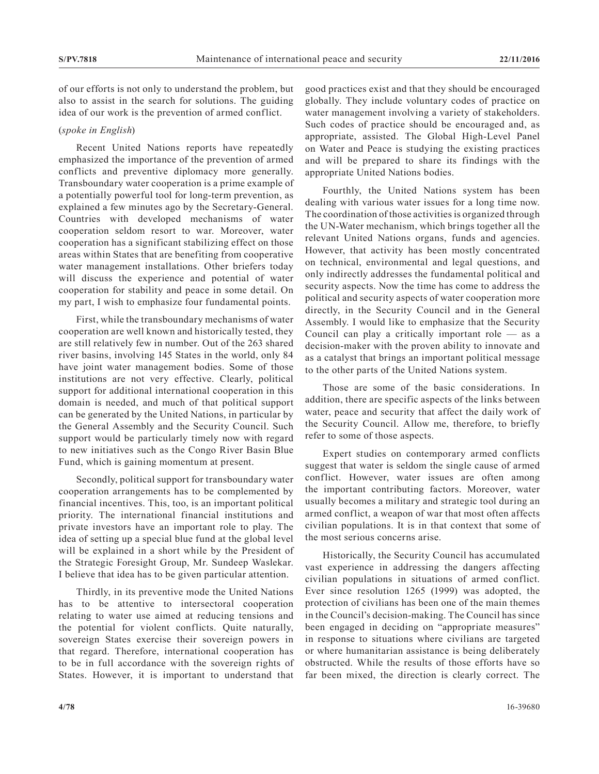of our efforts is not only to understand the problem, but also to assist in the search for solutions. The guiding idea of our work is the prevention of armed conflict.

#### (*spoke in English*)

Recent United Nations reports have repeatedly emphasized the importance of the prevention of armed conflicts and preventive diplomacy more generally. Transboundary water cooperation is a prime example of a potentially powerful tool for long-term prevention, as explained a few minutes ago by the Secretary-General. Countries with developed mechanisms of water cooperation seldom resort to war. Moreover, water cooperation has a significant stabilizing effect on those areas within States that are benefiting from cooperative water management installations. Other briefers today will discuss the experience and potential of water cooperation for stability and peace in some detail. On my part, I wish to emphasize four fundamental points.

First, while the transboundary mechanisms of water cooperation are well known and historically tested, they are still relatively few in number. Out of the 263 shared river basins, involving 145 States in the world, only 84 have joint water management bodies. Some of those institutions are not very effective. Clearly, political support for additional international cooperation in this domain is needed, and much of that political support can be generated by the United Nations, in particular by the General Assembly and the Security Council. Such support would be particularly timely now with regard to new initiatives such as the Congo River Basin Blue Fund, which is gaining momentum at present.

Secondly, political support for transboundary water cooperation arrangements has to be complemented by financial incentives. This, too, is an important political priority. The international financial institutions and private investors have an important role to play. The idea of setting up a special blue fund at the global level will be explained in a short while by the President of the Strategic Foresight Group, Mr. Sundeep Waslekar. I believe that idea has to be given particular attention.

Thirdly, in its preventive mode the United Nations has to be attentive to intersectoral cooperation relating to water use aimed at reducing tensions and the potential for violent conflicts. Quite naturally, sovereign States exercise their sovereign powers in that regard. Therefore, international cooperation has to be in full accordance with the sovereign rights of States. However, it is important to understand that

good practices exist and that they should be encouraged globally. They include voluntary codes of practice on water management involving a variety of stakeholders. Such codes of practice should be encouraged and, as appropriate, assisted. The Global High-Level Panel on Water and Peace is studying the existing practices and will be prepared to share its findings with the appropriate United Nations bodies.

Fourthly, the United Nations system has been dealing with various water issues for a long time now. The coordination of those activities is organized through the UN-Water mechanism, which brings together all the relevant United Nations organs, funds and agencies. However, that activity has been mostly concentrated on technical, environmental and legal questions, and only indirectly addresses the fundamental political and security aspects. Now the time has come to address the political and security aspects of water cooperation more directly, in the Security Council and in the General Assembly. I would like to emphasize that the Security Council can play a critically important role  $-$  as a decision-maker with the proven ability to innovate and as a catalyst that brings an important political message to the other parts of the United Nations system.

Those are some of the basic considerations. In addition, there are specific aspects of the links between water, peace and security that affect the daily work of the Security Council. Allow me, therefore, to briefly refer to some of those aspects.

Expert studies on contemporary armed conflicts suggest that water is seldom the single cause of armed conflict. However, water issues are often among the important contributing factors. Moreover, water usually becomes a military and strategic tool during an armed conflict, a weapon of war that most often affects civilian populations. It is in that context that some of the most serious concerns arise.

Historically, the Security Council has accumulated vast experience in addressing the dangers affecting civilian populations in situations of armed conflict. Ever since resolution 1265 (1999) was adopted, the protection of civilians has been one of the main themes in the Council's decision-making. The Council has since been engaged in deciding on "appropriate measures" in response to situations where civilians are targeted or where humanitarian assistance is being deliberately obstructed. While the results of those efforts have so far been mixed, the direction is clearly correct. The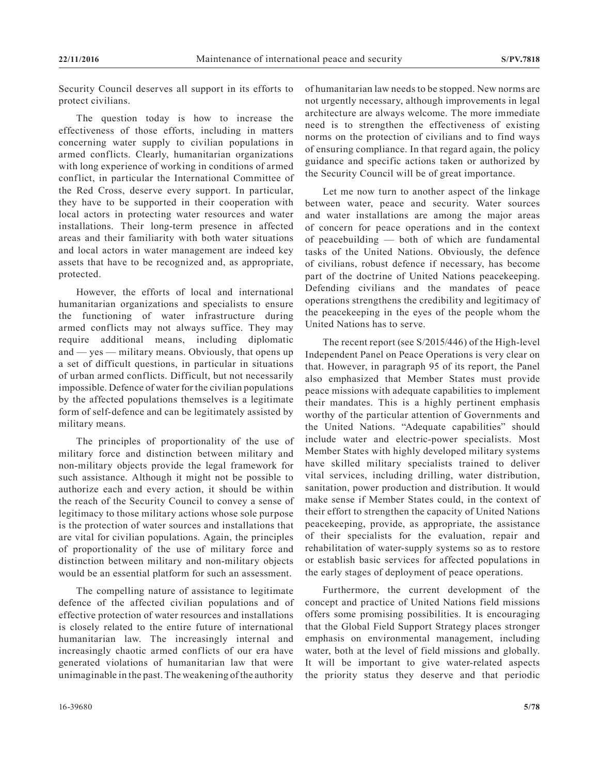Security Council deserves all support in its efforts to protect civilians.

The question today is how to increase the effectiveness of those efforts, including in matters concerning water supply to civilian populations in armed conflicts. Clearly, humanitarian organizations with long experience of working in conditions of armed conflict, in particular the International Committee of the Red Cross, deserve every support. In particular, they have to be supported in their cooperation with local actors in protecting water resources and water installations. Their long-term presence in affected areas and their familiarity with both water situations and local actors in water management are indeed key assets that have to be recognized and, as appropriate, protected.

However, the efforts of local and international humanitarian organizations and specialists to ensure the functioning of water infrastructure during armed conflicts may not always suffice. They may require additional means, including diplomatic and — yes — military means. Obviously, that opens up a set of difficult questions, in particular in situations of urban armed conflicts. Difficult, but not necessarily impossible. Defence of water for the civilian populations by the affected populations themselves is a legitimate form of self-defence and can be legitimately assisted by military means.

The principles of proportionality of the use of military force and distinction between military and non-military objects provide the legal framework for such assistance. Although it might not be possible to authorize each and every action, it should be within the reach of the Security Council to convey a sense of legitimacy to those military actions whose sole purpose is the protection of water sources and installations that are vital for civilian populations. Again, the principles of proportionality of the use of military force and distinction between military and non-military objects would be an essential platform for such an assessment.

The compelling nature of assistance to legitimate defence of the affected civilian populations and of effective protection of water resources and installations is closely related to the entire future of international humanitarian law. The increasingly internal and increasingly chaotic armed conflicts of our era have generated violations of humanitarian law that were unimaginable in the past. The weakening of the authority of humanitarian law needs to be stopped. New norms are not urgently necessary, although improvements in legal architecture are always welcome. The more immediate need is to strengthen the effectiveness of existing norms on the protection of civilians and to find ways of ensuring compliance. In that regard again, the policy guidance and specific actions taken or authorized by the Security Council will be of great importance.

Let me now turn to another aspect of the linkage between water, peace and security. Water sources and water installations are among the major areas of concern for peace operations and in the context of peacebuilding — both of which are fundamental tasks of the United Nations. Obviously, the defence of civilians, robust defence if necessary, has become part of the doctrine of United Nations peacekeeping. Defending civilians and the mandates of peace operations strengthens the credibility and legitimacy of the peacekeeping in the eyes of the people whom the United Nations has to serve.

The recent report (see S/2015/446) of the High-level Independent Panel on Peace Operations is very clear on that. However, in paragraph 95 of its report, the Panel also emphasized that Member States must provide peace missions with adequate capabilities to implement their mandates. This is a highly pertinent emphasis worthy of the particular attention of Governments and the United Nations. "Adequate capabilities" should include water and electric-power specialists. Most Member States with highly developed military systems have skilled military specialists trained to deliver vital services, including drilling, water distribution, sanitation, power production and distribution. It would make sense if Member States could, in the context of their effort to strengthen the capacity of United Nations peacekeeping, provide, as appropriate, the assistance of their specialists for the evaluation, repair and rehabilitation of water-supply systems so as to restore or establish basic services for affected populations in the early stages of deployment of peace operations.

Furthermore, the current development of the concept and practice of United Nations field missions offers some promising possibilities. It is encouraging that the Global Field Support Strategy places stronger emphasis on environmental management, including water, both at the level of field missions and globally. It will be important to give water-related aspects the priority status they deserve and that periodic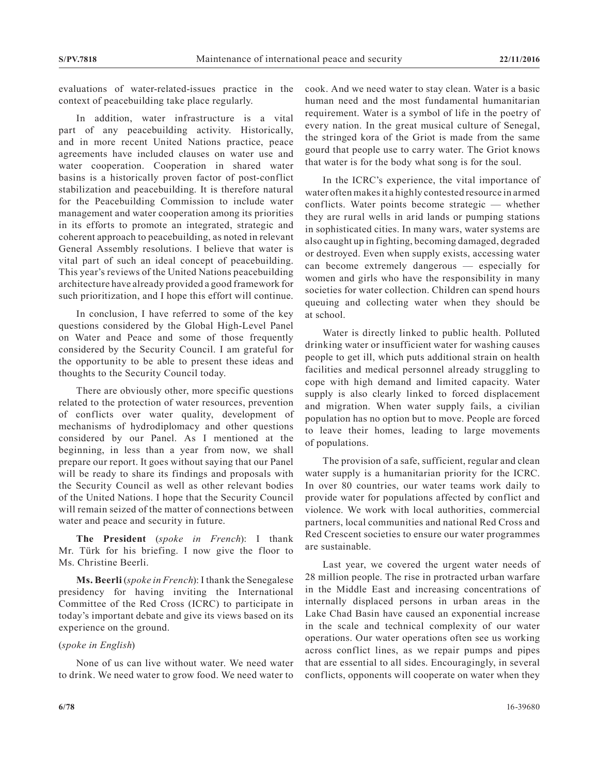evaluations of water-related-issues practice in the context of peacebuilding take place regularly.

In addition, water infrastructure is a vital part of any peacebuilding activity. Historically, and in more recent United Nations practice, peace agreements have included clauses on water use and water cooperation. Cooperation in shared water basins is a historically proven factor of post-conflict stabilization and peacebuilding. It is therefore natural for the Peacebuilding Commission to include water management and water cooperation among its priorities in its efforts to promote an integrated, strategic and coherent approach to peacebuilding, as noted in relevant General Assembly resolutions. I believe that water is vital part of such an ideal concept of peacebuilding. This year's reviews of the United Nations peacebuilding architecture have already provided a good framework for such prioritization, and I hope this effort will continue.

In conclusion, I have referred to some of the key questions considered by the Global High-Level Panel on Water and Peace and some of those frequently considered by the Security Council. I am grateful for the opportunity to be able to present these ideas and thoughts to the Security Council today.

There are obviously other, more specific questions related to the protection of water resources, prevention of conflicts over water quality, development of mechanisms of hydrodiplomacy and other questions considered by our Panel. As I mentioned at the beginning, in less than a year from now, we shall prepare our report. It goes without saying that our Panel will be ready to share its findings and proposals with the Security Council as well as other relevant bodies of the United Nations. I hope that the Security Council will remain seized of the matter of connections between water and peace and security in future.

**The President** (*spoke in French*): I thank Mr. Türk for his briefing. I now give the floor to Ms. Christine Beerli.

**Ms. Beerli** (*spoke in French*): I thank the Senegalese presidency for having inviting the International Committee of the Red Cross (ICRC) to participate in today's important debate and give its views based on its experience on the ground.

#### (*spoke in English*)

None of us can live without water. We need water to drink. We need water to grow food. We need water to cook. And we need water to stay clean. Water is a basic human need and the most fundamental humanitarian requirement. Water is a symbol of life in the poetry of every nation. In the great musical culture of Senegal, the stringed kora of the Griot is made from the same gourd that people use to carry water. The Griot knows that water is for the body what song is for the soul.

In the ICRC's experience, the vital importance of water often makes it a highly contested resource in armed conflicts. Water points become strategic — whether they are rural wells in arid lands or pumping stations in sophisticated cities. In many wars, water systems are also caught up in fighting, becoming damaged, degraded or destroyed. Even when supply exists, accessing water can become extremely dangerous — especially for women and girls who have the responsibility in many societies for water collection. Children can spend hours queuing and collecting water when they should be at school.

Water is directly linked to public health. Polluted drinking water or insufficient water for washing causes people to get ill, which puts additional strain on health facilities and medical personnel already struggling to cope with high demand and limited capacity. Water supply is also clearly linked to forced displacement and migration. When water supply fails, a civilian population has no option but to move. People are forced to leave their homes, leading to large movements of populations.

The provision of a safe, sufficient, regular and clean water supply is a humanitarian priority for the ICRC. In over 80 countries, our water teams work daily to provide water for populations affected by conflict and violence. We work with local authorities, commercial partners, local communities and national Red Cross and Red Crescent societies to ensure our water programmes are sustainable.

Last year, we covered the urgent water needs of 28 million people. The rise in protracted urban warfare in the Middle East and increasing concentrations of internally displaced persons in urban areas in the Lake Chad Basin have caused an exponential increase in the scale and technical complexity of our water operations. Our water operations often see us working across conflict lines, as we repair pumps and pipes that are essential to all sides. Encouragingly, in several conflicts, opponents will cooperate on water when they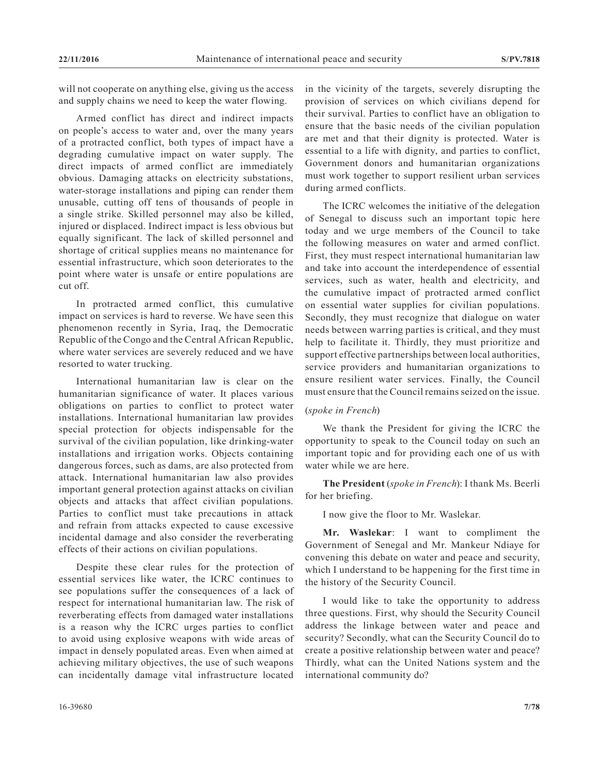will not cooperate on anything else, giving us the access and supply chains we need to keep the water flowing.

Armed conflict has direct and indirect impacts on people's access to water and, over the many years of a protracted conflict, both types of impact have a degrading cumulative impact on water supply. The direct impacts of armed conflict are immediately obvious. Damaging attacks on electricity substations, water-storage installations and piping can render them unusable, cutting off tens of thousands of people in a single strike. Skilled personnel may also be killed, injured or displaced. Indirect impact is less obvious but equally significant. The lack of skilled personnel and shortage of critical supplies means no maintenance for essential infrastructure, which soon deteriorates to the point where water is unsafe or entire populations are cut off.

In protracted armed conflict, this cumulative impact on services is hard to reverse. We have seen this phenomenon recently in Syria, Iraq, the Democratic Republic of the Congo and the Central African Republic, where water services are severely reduced and we have resorted to water trucking.

International humanitarian law is clear on the humanitarian significance of water. It places various obligations on parties to conflict to protect water installations. International humanitarian law provides special protection for objects indispensable for the survival of the civilian population, like drinking-water installations and irrigation works. Objects containing dangerous forces, such as dams, are also protected from attack. International humanitarian law also provides important general protection against attacks on civilian objects and attacks that affect civilian populations. Parties to conflict must take precautions in attack and refrain from attacks expected to cause excessive incidental damage and also consider the reverberating effects of their actions on civilian populations.

Despite these clear rules for the protection of essential services like water, the ICRC continues to see populations suffer the consequences of a lack of respect for international humanitarian law. The risk of reverberating effects from damaged water installations is a reason why the ICRC urges parties to conflict to avoid using explosive weapons with wide areas of impact in densely populated areas. Even when aimed at achieving military objectives, the use of such weapons can incidentally damage vital infrastructure located

in the vicinity of the targets, severely disrupting the provision of services on which civilians depend for their survival. Parties to conflict have an obligation to ensure that the basic needs of the civilian population are met and that their dignity is protected. Water is essential to a life with dignity, and parties to conflict, Government donors and humanitarian organizations must work together to support resilient urban services during armed conflicts.

The ICRC welcomes the initiative of the delegation of Senegal to discuss such an important topic here today and we urge members of the Council to take the following measures on water and armed conflict. First, they must respect international humanitarian law and take into account the interdependence of essential services, such as water, health and electricity, and the cumulative impact of protracted armed conflict on essential water supplies for civilian populations. Secondly, they must recognize that dialogue on water needs between warring parties is critical, and they must help to facilitate it. Thirdly, they must prioritize and support effective partnerships between local authorities, service providers and humanitarian organizations to ensure resilient water services. Finally, the Council must ensure that the Council remains seized on the issue.

#### (*spoke in French*)

We thank the President for giving the ICRC the opportunity to speak to the Council today on such an important topic and for providing each one of us with water while we are here.

**The President** (*spoke in French*): I thank Ms. Beerli for her briefing.

I now give the floor to Mr. Waslekar.

**Mr. Waslekar**: I want to compliment the Government of Senegal and Mr. Mankeur Ndiaye for convening this debate on water and peace and security, which I understand to be happening for the first time in the history of the Security Council.

I would like to take the opportunity to address three questions. First, why should the Security Council address the linkage between water and peace and security? Secondly, what can the Security Council do to create a positive relationship between water and peace? Thirdly, what can the United Nations system and the international community do?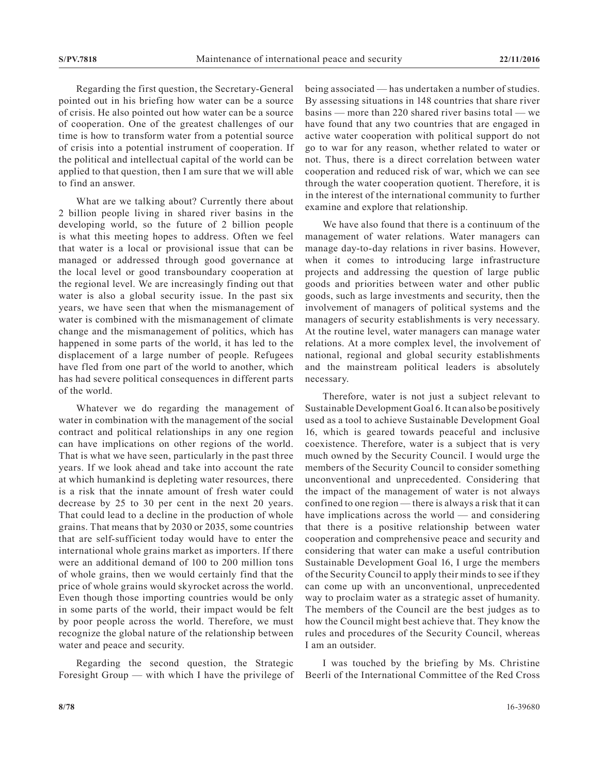Regarding the first question, the Secretary-General pointed out in his briefing how water can be a source of crisis. He also pointed out how water can be a source of cooperation. One of the greatest challenges of our time is how to transform water from a potential source of crisis into a potential instrument of cooperation. If the political and intellectual capital of the world can be applied to that question, then I am sure that we will able to find an answer.

What are we talking about? Currently there about 2 billion people living in shared river basins in the developing world, so the future of 2 billion people is what this meeting hopes to address. Often we feel that water is a local or provisional issue that can be managed or addressed through good governance at the local level or good transboundary cooperation at the regional level. We are increasingly finding out that water is also a global security issue. In the past six years, we have seen that when the mismanagement of water is combined with the mismanagement of climate change and the mismanagement of politics, which has happened in some parts of the world, it has led to the displacement of a large number of people. Refugees have fled from one part of the world to another, which has had severe political consequences in different parts of the world.

Whatever we do regarding the management of water in combination with the management of the social contract and political relationships in any one region can have implications on other regions of the world. That is what we have seen, particularly in the past three years. If we look ahead and take into account the rate at which humankind is depleting water resources, there is a risk that the innate amount of fresh water could decrease by 25 to 30 per cent in the next 20 years. That could lead to a decline in the production of whole grains. That means that by 2030 or 2035, some countries that are self-sufficient today would have to enter the international whole grains market as importers. If there were an additional demand of 100 to 200 million tons of whole grains, then we would certainly find that the price of whole grains would skyrocket across the world. Even though those importing countries would be only in some parts of the world, their impact would be felt by poor people across the world. Therefore, we must recognize the global nature of the relationship between water and peace and security.

Regarding the second question, the Strategic Foresight Group — with which I have the privilege of being associated — has undertaken a number of studies. By assessing situations in 148 countries that share river basins — more than 220 shared river basins total — we have found that any two countries that are engaged in active water cooperation with political support do not go to war for any reason, whether related to water or not. Thus, there is a direct correlation between water cooperation and reduced risk of war, which we can see through the water cooperation quotient. Therefore, it is in the interest of the international community to further examine and explore that relationship.

We have also found that there is a continuum of the management of water relations. Water managers can manage day-to-day relations in river basins. However, when it comes to introducing large infrastructure projects and addressing the question of large public goods and priorities between water and other public goods, such as large investments and security, then the involvement of managers of political systems and the managers of security establishments is very necessary. At the routine level, water managers can manage water relations. At a more complex level, the involvement of national, regional and global security establishments and the mainstream political leaders is absolutely necessary.

Therefore, water is not just a subject relevant to Sustainable Development Goal 6. It can also be positively used as a tool to achieve Sustainable Development Goal 16, which is geared towards peaceful and inclusive coexistence. Therefore, water is a subject that is very much owned by the Security Council. I would urge the members of the Security Council to consider something unconventional and unprecedented. Considering that the impact of the management of water is not always confined to one region — there is always a risk that it can have implications across the world — and considering that there is a positive relationship between water cooperation and comprehensive peace and security and considering that water can make a useful contribution Sustainable Development Goal 16, I urge the members of the Security Council to apply their minds to see if they can come up with an unconventional, unprecedented way to proclaim water as a strategic asset of humanity. The members of the Council are the best judges as to how the Council might best achieve that. They know the rules and procedures of the Security Council, whereas I am an outsider.

I was touched by the briefing by Ms. Christine Beerli of the International Committee of the Red Cross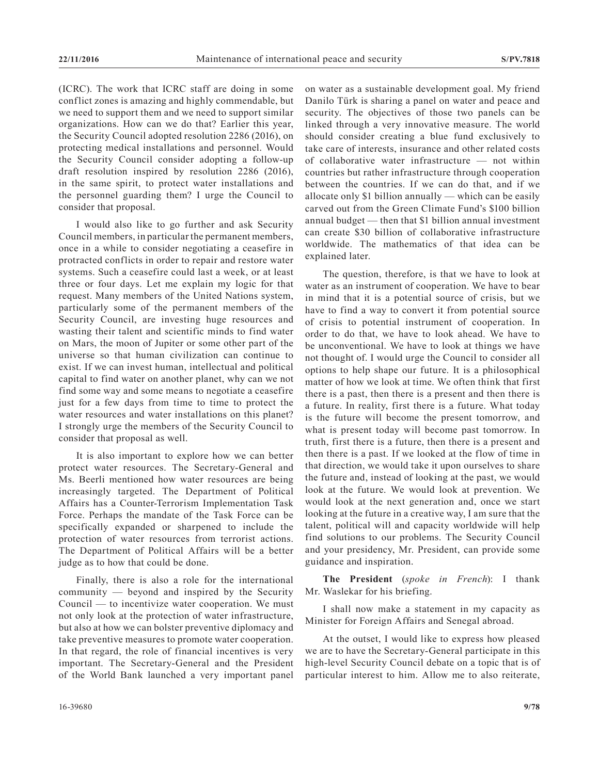(ICRC). The work that ICRC staff are doing in some conflict zones is amazing and highly commendable, but we need to support them and we need to support similar organizations. How can we do that? Earlier this year, the Security Council adopted resolution 2286 (2016), on protecting medical installations and personnel. Would the Security Council consider adopting a follow-up draft resolution inspired by resolution 2286 (2016), in the same spirit, to protect water installations and the personnel guarding them? I urge the Council to consider that proposal.

I would also like to go further and ask Security Council members, in particular the permanent members, once in a while to consider negotiating a ceasefire in protracted conflicts in order to repair and restore water systems. Such a ceasefire could last a week, or at least three or four days. Let me explain my logic for that request. Many members of the United Nations system, particularly some of the permanent members of the Security Council, are investing huge resources and wasting their talent and scientific minds to find water on Mars, the moon of Jupiter or some other part of the universe so that human civilization can continue to exist. If we can invest human, intellectual and political capital to find water on another planet, why can we not find some way and some means to negotiate a ceasefire just for a few days from time to time to protect the water resources and water installations on this planet? I strongly urge the members of the Security Council to consider that proposal as well.

It is also important to explore how we can better protect water resources. The Secretary-General and Ms. Beerli mentioned how water resources are being increasingly targeted. The Department of Political Affairs has a Counter-Terrorism Implementation Task Force. Perhaps the mandate of the Task Force can be specifically expanded or sharpened to include the protection of water resources from terrorist actions. The Department of Political Affairs will be a better judge as to how that could be done.

Finally, there is also a role for the international community — beyond and inspired by the Security Council — to incentivize water cooperation. We must not only look at the protection of water infrastructure, but also at how we can bolster preventive diplomacy and take preventive measures to promote water cooperation. In that regard, the role of financial incentives is very important. The Secretary-General and the President of the World Bank launched a very important panel

on water as a sustainable development goal. My friend Danilo Türk is sharing a panel on water and peace and security. The objectives of those two panels can be linked through a very innovative measure. The world should consider creating a blue fund exclusively to take care of interests, insurance and other related costs of collaborative water infrastructure — not within countries but rather infrastructure through cooperation between the countries. If we can do that, and if we allocate only \$1 billion annually — which can be easily carved out from the Green Climate Fund's \$100 billion annual budget — then that \$1 billion annual investment can create \$30 billion of collaborative infrastructure worldwide. The mathematics of that idea can be explained later.

The question, therefore, is that we have to look at water as an instrument of cooperation. We have to bear in mind that it is a potential source of crisis, but we have to find a way to convert it from potential source of crisis to potential instrument of cooperation. In order to do that, we have to look ahead. We have to be unconventional. We have to look at things we have not thought of. I would urge the Council to consider all options to help shape our future. It is a philosophical matter of how we look at time. We often think that first there is a past, then there is a present and then there is a future. In reality, first there is a future. What today is the future will become the present tomorrow, and what is present today will become past tomorrow. In truth, first there is a future, then there is a present and then there is a past. If we looked at the flow of time in that direction, we would take it upon ourselves to share the future and, instead of looking at the past, we would look at the future. We would look at prevention. We would look at the next generation and, once we start looking at the future in a creative way, I am sure that the talent, political will and capacity worldwide will help find solutions to our problems. The Security Council and your presidency, Mr. President, can provide some guidance and inspiration.

**The President** (*spoke in French*): I thank Mr. Waslekar for his briefing.

I shall now make a statement in my capacity as Minister for Foreign Affairs and Senegal abroad.

At the outset, I would like to express how pleased we are to have the Secretary-General participate in this high-level Security Council debate on a topic that is of particular interest to him. Allow me to also reiterate,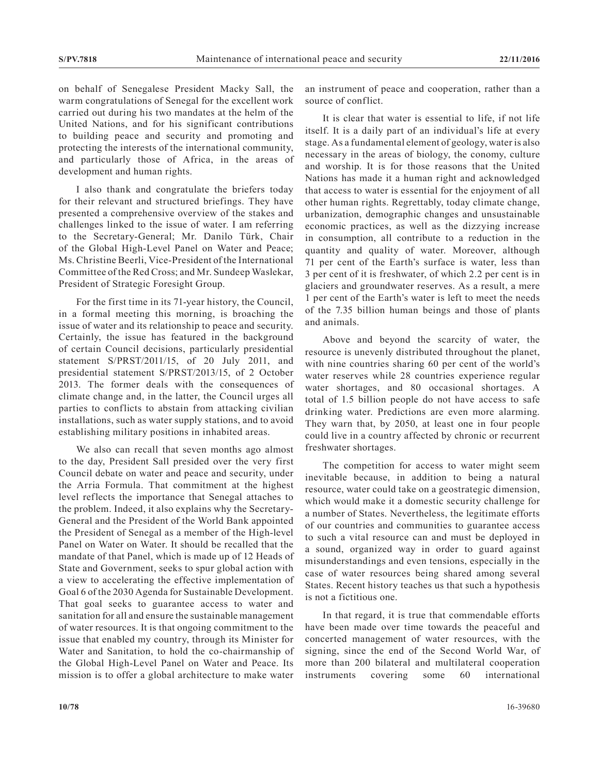on behalf of Senegalese President Macky Sall, the warm congratulations of Senegal for the excellent work carried out during his two mandates at the helm of the United Nations, and for his significant contributions to building peace and security and promoting and protecting the interests of the international community, and particularly those of Africa, in the areas of development and human rights.

I also thank and congratulate the briefers today for their relevant and structured briefings. They have presented a comprehensive overview of the stakes and challenges linked to the issue of water. I am referring to the Secretary-General; Mr. Danilo Türk, Chair of the Global High-Level Panel on Water and Peace; Ms. Christine Beerli, Vice-President of the International Committee of the Red Cross; and Mr. Sundeep Waslekar, President of Strategic Foresight Group.

For the first time in its 71-year history, the Council, in a formal meeting this morning, is broaching the issue of water and its relationship to peace and security. Certainly, the issue has featured in the background of certain Council decisions, particularly presidential statement S/PRST/2011/15, of 20 July 2011, and presidential statement S/PRST/2013/15, of 2 October 2013. The former deals with the consequences of climate change and, in the latter, the Council urges all parties to conflicts to abstain from attacking civilian installations, such as water supply stations, and to avoid establishing military positions in inhabited areas.

We also can recall that seven months ago almost to the day, President Sall presided over the very first Council debate on water and peace and security, under the Arria Formula. That commitment at the highest level reflects the importance that Senegal attaches to the problem. Indeed, it also explains why the Secretary-General and the President of the World Bank appointed the President of Senegal as a member of the High-level Panel on Water on Water. It should be recalled that the mandate of that Panel, which is made up of 12 Heads of State and Government, seeks to spur global action with a view to accelerating the effective implementation of Goal 6 of the 2030 Agenda for Sustainable Development. That goal seeks to guarantee access to water and sanitation for all and ensure the sustainable management of water resources. It is that ongoing commitment to the issue that enabled my country, through its Minister for Water and Sanitation, to hold the co-chairmanship of the Global High-Level Panel on Water and Peace. Its mission is to offer a global architecture to make water

an instrument of peace and cooperation, rather than a source of conflict.

It is clear that water is essential to life, if not life itself. It is a daily part of an individual's life at every stage. As a fundamental element of geology, water is also necessary in the areas of biology, the conomy, culture and worship. It is for those reasons that the United Nations has made it a human right and acknowledged that access to water is essential for the enjoyment of all other human rights. Regrettably, today climate change, urbanization, demographic changes and unsustainable economic practices, as well as the dizzying increase in consumption, all contribute to a reduction in the quantity and quality of water. Moreover, although 71 per cent of the Earth's surface is water, less than 3 per cent of it is freshwater, of which 2.2 per cent is in glaciers and groundwater reserves. As a result, a mere 1 per cent of the Earth's water is left to meet the needs of the 7.35 billion human beings and those of plants and animals.

Above and beyond the scarcity of water, the resource is unevenly distributed throughout the planet, with nine countries sharing 60 per cent of the world's water reserves while 28 countries experience regular water shortages, and 80 occasional shortages. A total of 1.5 billion people do not have access to safe drinking water. Predictions are even more alarming. They warn that, by 2050, at least one in four people could live in a country affected by chronic or recurrent freshwater shortages.

The competition for access to water might seem inevitable because, in addition to being a natural resource, water could take on a geostrategic dimension, which would make it a domestic security challenge for a number of States. Nevertheless, the legitimate efforts of our countries and communities to guarantee access to such a vital resource can and must be deployed in a sound, organized way in order to guard against misunderstandings and even tensions, especially in the case of water resources being shared among several States. Recent history teaches us that such a hypothesis is not a fictitious one.

In that regard, it is true that commendable efforts have been made over time towards the peaceful and concerted management of water resources, with the signing, since the end of the Second World War, of more than 200 bilateral and multilateral cooperation instruments covering some 60 international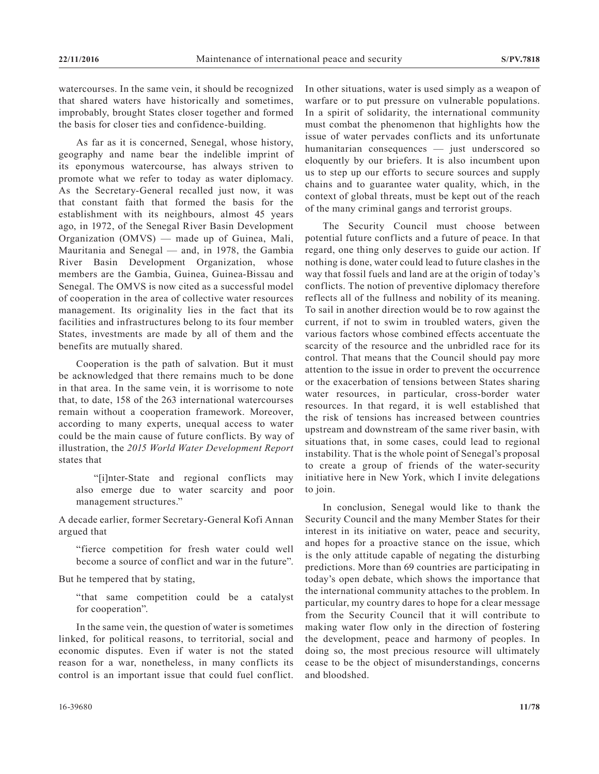watercourses. In the same vein, it should be recognized that shared waters have historically and sometimes, improbably, brought States closer together and formed the basis for closer ties and confidence-building.

As far as it is concerned, Senegal, whose history, geography and name bear the indelible imprint of its eponymous watercourse, has always striven to promote what we refer to today as water diplomacy. As the Secretary-General recalled just now, it was that constant faith that formed the basis for the establishment with its neighbours, almost 45 years ago, in 1972, of the Senegal River Basin Development Organization (OMVS) — made up of Guinea, Mali, Mauritania and Senegal — and, in 1978, the Gambia River Basin Development Organization, whose members are the Gambia, Guinea, Guinea-Bissau and Senegal. The OMVS is now cited as a successful model of cooperation in the area of collective water resources management. Its originality lies in the fact that its facilities and infrastructures belong to its four member States, investments are made by all of them and the benefits are mutually shared.

Cooperation is the path of salvation. But it must be acknowledged that there remains much to be done in that area. In the same vein, it is worrisome to note that, to date, 158 of the 263 international watercourses remain without a cooperation framework. Moreover, according to many experts, unequal access to water could be the main cause of future conflicts. By way of illustration, the *2015 World Water Development Report* states that

"[i]nter-State and regional conflicts may also emerge due to water scarcity and poor management structures."

A decade earlier, former Secretary-General Kofi Annan argued that

"fierce competition for fresh water could well become a source of conflict and war in the future".

But he tempered that by stating,

"that same competition could be a catalyst for cooperation".

In the same vein, the question of water is sometimes linked, for political reasons, to territorial, social and economic disputes. Even if water is not the stated reason for a war, nonetheless, in many conflicts its control is an important issue that could fuel conflict. In other situations, water is used simply as a weapon of warfare or to put pressure on vulnerable populations. In a spirit of solidarity, the international community must combat the phenomenon that highlights how the issue of water pervades conflicts and its unfortunate humanitarian consequences — just underscored so eloquently by our briefers. It is also incumbent upon us to step up our efforts to secure sources and supply chains and to guarantee water quality, which, in the context of global threats, must be kept out of the reach of the many criminal gangs and terrorist groups.

The Security Council must choose between potential future conflicts and a future of peace. In that regard, one thing only deserves to guide our action. If nothing is done, water could lead to future clashes in the way that fossil fuels and land are at the origin of today's conflicts. The notion of preventive diplomacy therefore reflects all of the fullness and nobility of its meaning. To sail in another direction would be to row against the current, if not to swim in troubled waters, given the various factors whose combined effects accentuate the scarcity of the resource and the unbridled race for its control. That means that the Council should pay more attention to the issue in order to prevent the occurrence or the exacerbation of tensions between States sharing water resources, in particular, cross-border water resources. In that regard, it is well established that the risk of tensions has increased between countries upstream and downstream of the same river basin, with situations that, in some cases, could lead to regional instability. That is the whole point of Senegal's proposal to create a group of friends of the water-security initiative here in New York, which I invite delegations to join.

In conclusion, Senegal would like to thank the Security Council and the many Member States for their interest in its initiative on water, peace and security, and hopes for a proactive stance on the issue, which is the only attitude capable of negating the disturbing predictions. More than 69 countries are participating in today's open debate, which shows the importance that the international community attaches to the problem. In particular, my country dares to hope for a clear message from the Security Council that it will contribute to making water flow only in the direction of fostering the development, peace and harmony of peoples. In doing so, the most precious resource will ultimately cease to be the object of misunderstandings, concerns and bloodshed.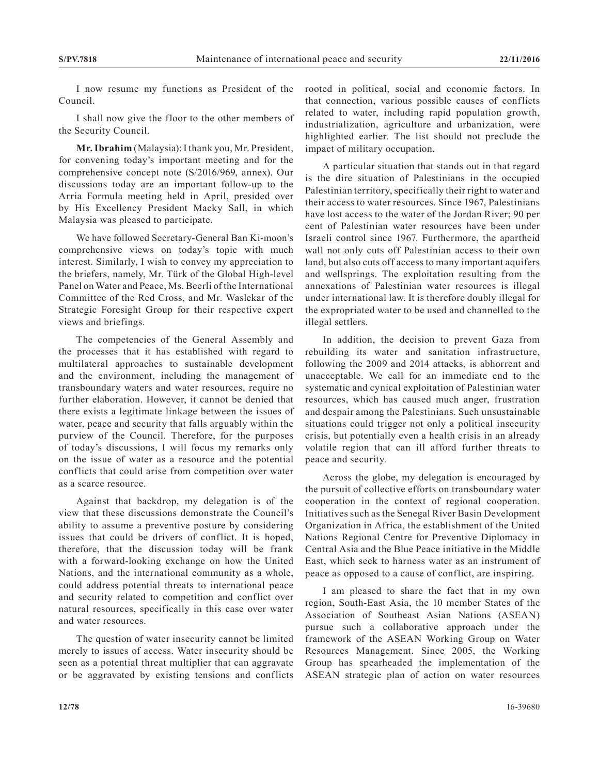I now resume my functions as President of the Council.

I shall now give the floor to the other members of the Security Council.

**Mr. Ibrahim** (Malaysia): I thank you, Mr. President, for convening today's important meeting and for the comprehensive concept note (S/2016/969, annex). Our discussions today are an important follow-up to the Arria Formula meeting held in April, presided over by His Excellency President Macky Sall, in which Malaysia was pleased to participate.

We have followed Secretary-General Ban Ki-moon's comprehensive views on today's topic with much interest. Similarly, I wish to convey my appreciation to the briefers, namely, Mr. Türk of the Global High-level Panel on Water and Peace, Ms. Beerli of the International Committee of the Red Cross, and Mr. Waslekar of the Strategic Foresight Group for their respective expert views and briefings.

The competencies of the General Assembly and the processes that it has established with regard to multilateral approaches to sustainable development and the environment, including the management of transboundary waters and water resources, require no further elaboration. However, it cannot be denied that there exists a legitimate linkage between the issues of water, peace and security that falls arguably within the purview of the Council. Therefore, for the purposes of today's discussions, I will focus my remarks only on the issue of water as a resource and the potential conflicts that could arise from competition over water as a scarce resource.

Against that backdrop, my delegation is of the view that these discussions demonstrate the Council's ability to assume a preventive posture by considering issues that could be drivers of conflict. It is hoped, therefore, that the discussion today will be frank with a forward-looking exchange on how the United Nations, and the international community as a whole, could address potential threats to international peace and security related to competition and conflict over natural resources, specifically in this case over water and water resources.

The question of water insecurity cannot be limited merely to issues of access. Water insecurity should be seen as a potential threat multiplier that can aggravate or be aggravated by existing tensions and conflicts rooted in political, social and economic factors. In that connection, various possible causes of conflicts related to water, including rapid population growth, industrialization, agriculture and urbanization, were highlighted earlier. The list should not preclude the impact of military occupation.

A particular situation that stands out in that regard is the dire situation of Palestinians in the occupied Palestinian territory, specifically their right to water and their access to water resources. Since 1967, Palestinians have lost access to the water of the Jordan River; 90 per cent of Palestinian water resources have been under Israeli control since 1967. Furthermore, the apartheid wall not only cuts off Palestinian access to their own land, but also cuts off access to many important aquifers and wellsprings. The exploitation resulting from the annexations of Palestinian water resources is illegal under international law. It is therefore doubly illegal for the expropriated water to be used and channelled to the illegal settlers.

In addition, the decision to prevent Gaza from rebuilding its water and sanitation infrastructure, following the 2009 and 2014 attacks, is abhorrent and unacceptable. We call for an immediate end to the systematic and cynical exploitation of Palestinian water resources, which has caused much anger, frustration and despair among the Palestinians. Such unsustainable situations could trigger not only a political insecurity crisis, but potentially even a health crisis in an already volatile region that can ill afford further threats to peace and security.

Across the globe, my delegation is encouraged by the pursuit of collective efforts on transboundary water cooperation in the context of regional cooperation. Initiatives such as the Senegal River Basin Development Organization in Africa, the establishment of the United Nations Regional Centre for Preventive Diplomacy in Central Asia and the Blue Peace initiative in the Middle East, which seek to harness water as an instrument of peace as opposed to a cause of conflict, are inspiring.

I am pleased to share the fact that in my own region, South-East Asia, the 10 member States of the Association of Southeast Asian Nations (ASEAN) pursue such a collaborative approach under the framework of the ASEAN Working Group on Water Resources Management. Since 2005, the Working Group has spearheaded the implementation of the ASEAN strategic plan of action on water resources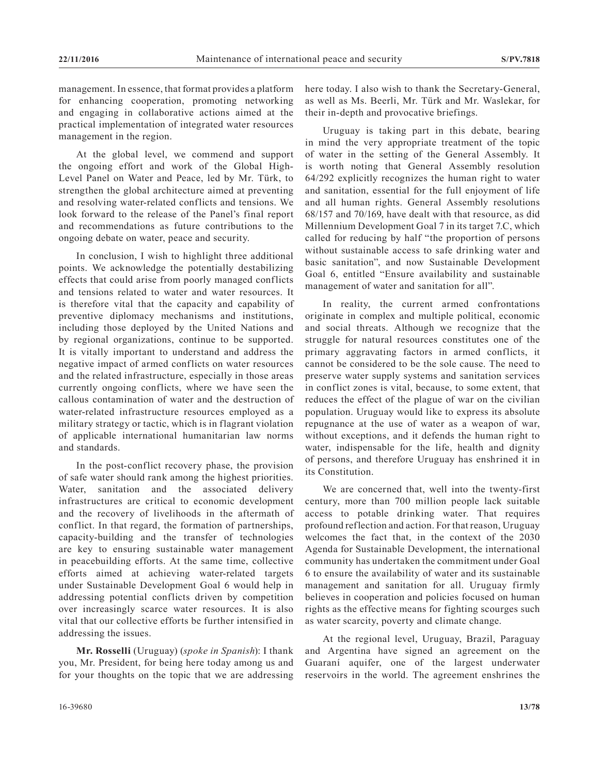management. In essence, that format provides a platform for enhancing cooperation, promoting networking and engaging in collaborative actions aimed at the practical implementation of integrated water resources management in the region.

At the global level, we commend and support the ongoing effort and work of the Global High-Level Panel on Water and Peace, led by Mr. Türk, to strengthen the global architecture aimed at preventing and resolving water-related conflicts and tensions. We look forward to the release of the Panel's final report and recommendations as future contributions to the ongoing debate on water, peace and security.

In conclusion, I wish to highlight three additional points. We acknowledge the potentially destabilizing effects that could arise from poorly managed conflicts and tensions related to water and water resources. It is therefore vital that the capacity and capability of preventive diplomacy mechanisms and institutions, including those deployed by the United Nations and by regional organizations, continue to be supported. It is vitally important to understand and address the negative impact of armed conflicts on water resources and the related infrastructure, especially in those areas currently ongoing conflicts, where we have seen the callous contamination of water and the destruction of water-related infrastructure resources employed as a military strategy or tactic, which is in flagrant violation of applicable international humanitarian law norms and standards.

In the post-conflict recovery phase, the provision of safe water should rank among the highest priorities. Water, sanitation and the associated delivery infrastructures are critical to economic development and the recovery of livelihoods in the aftermath of conflict. In that regard, the formation of partnerships, capacity-building and the transfer of technologies are key to ensuring sustainable water management in peacebuilding efforts. At the same time, collective efforts aimed at achieving water-related targets under Sustainable Development Goal 6 would help in addressing potential conflicts driven by competition over increasingly scarce water resources. It is also vital that our collective efforts be further intensified in addressing the issues.

**Mr. Rosselli** (Uruguay) (*spoke in Spanish*): I thank you, Mr. President, for being here today among us and for your thoughts on the topic that we are addressing here today. I also wish to thank the Secretary-General, as well as Ms. Beerli, Mr. Türk and Mr. Waslekar, for their in-depth and provocative briefings.

Uruguay is taking part in this debate, bearing in mind the very appropriate treatment of the topic of water in the setting of the General Assembly. It is worth noting that General Assembly resolution 64/292 explicitly recognizes the human right to water and sanitation, essential for the full enjoyment of life and all human rights. General Assembly resolutions 68/157 and 70/169, have dealt with that resource, as did Millennium Development Goal 7 in its target 7.C, which called for reducing by half "the proportion of persons without sustainable access to safe drinking water and basic sanitation", and now Sustainable Development Goal 6, entitled "Ensure availability and sustainable management of water and sanitation for all".

In reality, the current armed confrontations originate in complex and multiple political, economic and social threats. Although we recognize that the struggle for natural resources constitutes one of the primary aggravating factors in armed conflicts, it cannot be considered to be the sole cause. The need to preserve water supply systems and sanitation services in conflict zones is vital, because, to some extent, that reduces the effect of the plague of war on the civilian population. Uruguay would like to express its absolute repugnance at the use of water as a weapon of war, without exceptions, and it defends the human right to water, indispensable for the life, health and dignity of persons, and therefore Uruguay has enshrined it in its Constitution.

We are concerned that, well into the twenty-first century, more than 700 million people lack suitable access to potable drinking water. That requires profound reflection and action. For that reason, Uruguay welcomes the fact that, in the context of the 2030 Agenda for Sustainable Development, the international community has undertaken the commitment under Goal 6 to ensure the availability of water and its sustainable management and sanitation for all. Uruguay firmly believes in cooperation and policies focused on human rights as the effective means for fighting scourges such as water scarcity, poverty and climate change.

At the regional level, Uruguay, Brazil, Paraguay and Argentina have signed an agreement on the Guaraní aquifer, one of the largest underwater reservoirs in the world. The agreement enshrines the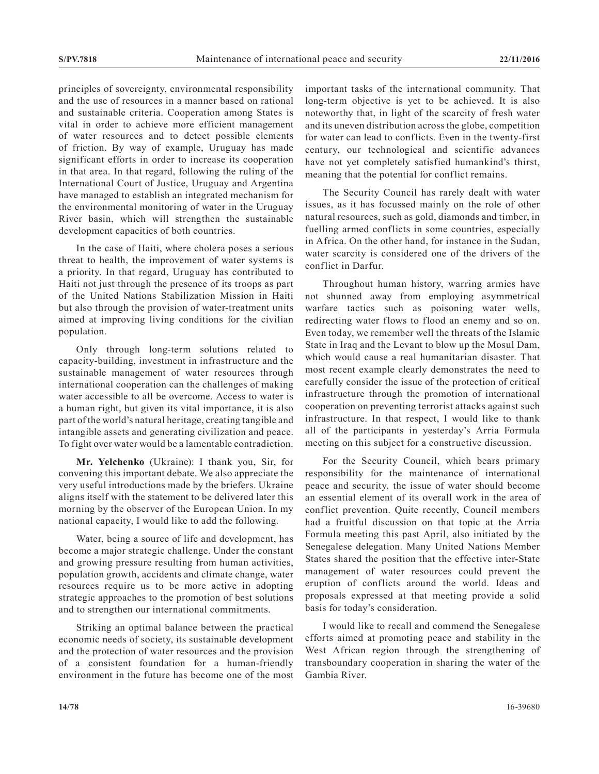principles of sovereignty, environmental responsibility and the use of resources in a manner based on rational and sustainable criteria. Cooperation among States is vital in order to achieve more efficient management of water resources and to detect possible elements of friction. By way of example, Uruguay has made significant efforts in order to increase its cooperation in that area. In that regard, following the ruling of the International Court of Justice, Uruguay and Argentina have managed to establish an integrated mechanism for the environmental monitoring of water in the Uruguay River basin, which will strengthen the sustainable development capacities of both countries.

In the case of Haiti, where cholera poses a serious threat to health, the improvement of water systems is a priority. In that regard, Uruguay has contributed to Haiti not just through the presence of its troops as part of the United Nations Stabilization Mission in Haiti but also through the provision of water-treatment units aimed at improving living conditions for the civilian population.

Only through long-term solutions related to capacity-building, investment in infrastructure and the sustainable management of water resources through international cooperation can the challenges of making water accessible to all be overcome. Access to water is a human right, but given its vital importance, it is also part of the world's natural heritage, creating tangible and intangible assets and generating civilization and peace. To fight over water would be a lamentable contradiction.

**Mr. Yelchenko** (Ukraine): I thank you, Sir, for convening this important debate. We also appreciate the very useful introductions made by the briefers. Ukraine aligns itself with the statement to be delivered later this morning by the observer of the European Union. In my national capacity, I would like to add the following.

Water, being a source of life and development, has become a major strategic challenge. Under the constant and growing pressure resulting from human activities, population growth, accidents and climate change, water resources require us to be more active in adopting strategic approaches to the promotion of best solutions and to strengthen our international commitments.

Striking an optimal balance between the practical economic needs of society, its sustainable development and the protection of water resources and the provision of a consistent foundation for a human-friendly environment in the future has become one of the most important tasks of the international community. That long-term objective is yet to be achieved. It is also noteworthy that, in light of the scarcity of fresh water and its uneven distribution across the globe, competition for water can lead to conflicts. Even in the twenty-first century, our technological and scientific advances have not yet completely satisfied humankind's thirst, meaning that the potential for conflict remains.

The Security Council has rarely dealt with water issues, as it has focussed mainly on the role of other natural resources, such as gold, diamonds and timber, in fuelling armed conflicts in some countries, especially in Africa. On the other hand, for instance in the Sudan, water scarcity is considered one of the drivers of the conflict in Darfur.

Throughout human history, warring armies have not shunned away from employing asymmetrical warfare tactics such as poisoning water wells, redirecting water flows to flood an enemy and so on. Even today, we remember well the threats of the Islamic State in Iraq and the Levant to blow up the Mosul Dam, which would cause a real humanitarian disaster. That most recent example clearly demonstrates the need to carefully consider the issue of the protection of critical infrastructure through the promotion of international cooperation on preventing terrorist attacks against such infrastructure. In that respect, I would like to thank all of the participants in yesterday's Arria Formula meeting on this subject for a constructive discussion.

For the Security Council, which bears primary responsibility for the maintenance of international peace and security, the issue of water should become an essential element of its overall work in the area of conflict prevention. Quite recently, Council members had a fruitful discussion on that topic at the Arria Formula meeting this past April, also initiated by the Senegalese delegation. Many United Nations Member States shared the position that the effective inter-State management of water resources could prevent the eruption of conflicts around the world. Ideas and proposals expressed at that meeting provide a solid basis for today's consideration.

I would like to recall and commend the Senegalese efforts aimed at promoting peace and stability in the West African region through the strengthening of transboundary cooperation in sharing the water of the Gambia River.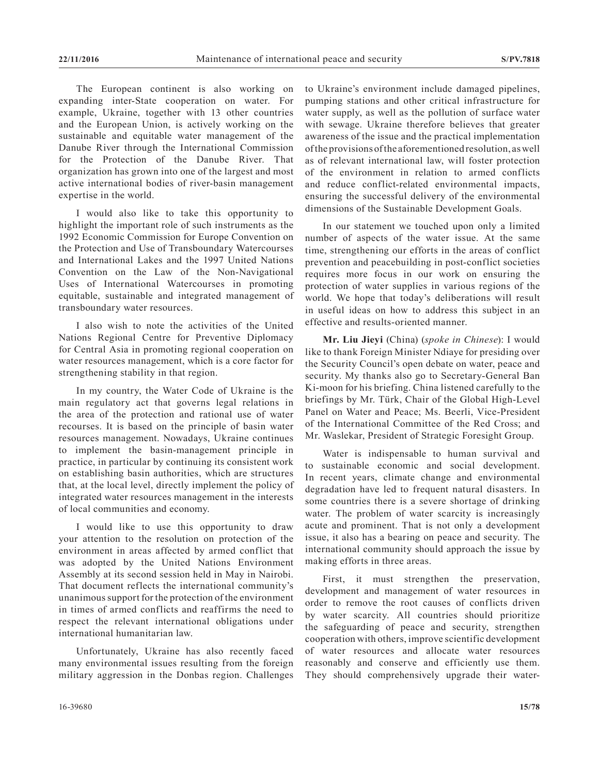The European continent is also working on expanding inter-State cooperation on water. For example, Ukraine, together with 13 other countries and the European Union, is actively working on the sustainable and equitable water management of the Danube River through the International Commission for the Protection of the Danube River. That organization has grown into one of the largest and most active international bodies of river-basin management expertise in the world.

I would also like to take this opportunity to highlight the important role of such instruments as the 1992 Economic Commission for Europe Convention on the Protection and Use of Transboundary Watercourses and International Lakes and the 1997 United Nations Convention on the Law of the Non-Navigational Uses of International Watercourses in promoting equitable, sustainable and integrated management of transboundary water resources.

I also wish to note the activities of the United Nations Regional Centre for Preventive Diplomacy for Central Asia in promoting regional cooperation on water resources management, which is a core factor for strengthening stability in that region.

In my country, the Water Code of Ukraine is the main regulatory act that governs legal relations in the area of the protection and rational use of water recourses. It is based on the principle of basin water resources management. Nowadays, Ukraine continues to implement the basin-management principle in practice, in particular by continuing its consistent work on establishing basin authorities, which are structures that, at the local level, directly implement the policy of integrated water resources management in the interests of local communities and economy.

I would like to use this opportunity to draw your attention to the resolution on protection of the environment in areas affected by armed conflict that was adopted by the United Nations Environment Assembly at its second session held in May in Nairobi. That document reflects the international community's unanimous support for the protection of the environment in times of armed conflicts and reaffirms the need to respect the relevant international obligations under international humanitarian law.

Unfortunately, Ukraine has also recently faced many environmental issues resulting from the foreign military aggression in the Donbas region. Challenges

to Ukraine's environment include damaged pipelines, pumping stations and other critical infrastructure for water supply, as well as the pollution of surface water with sewage. Ukraine therefore believes that greater awareness of the issue and the practical implementation of the provisions of the aforementioned resolution, as well as of relevant international law, will foster protection of the environment in relation to armed conflicts and reduce conflict-related environmental impacts, ensuring the successful delivery of the environmental dimensions of the Sustainable Development Goals.

In our statement we touched upon only a limited number of aspects of the water issue. At the same time, strengthening our efforts in the areas of conflict prevention and peacebuilding in post-conflict societies requires more focus in our work on ensuring the protection of water supplies in various regions of the world. We hope that today's deliberations will result in useful ideas on how to address this subject in an effective and results-oriented manner.

**Mr. Liu Jieyi** (China) (*spoke in Chinese*): I would like to thank Foreign Minister Ndiaye for presiding over the Security Council's open debate on water, peace and security. My thanks also go to Secretary-General Ban Ki-moon for his briefing. China listened carefully to the briefings by Mr. Türk, Chair of the Global High-Level Panel on Water and Peace; Ms. Beerli, Vice-President of the International Committee of the Red Cross; and Mr. Waslekar, President of Strategic Foresight Group.

Water is indispensable to human survival and to sustainable economic and social development. In recent years, climate change and environmental degradation have led to frequent natural disasters. In some countries there is a severe shortage of drinking water. The problem of water scarcity is increasingly acute and prominent. That is not only a development issue, it also has a bearing on peace and security. The international community should approach the issue by making efforts in three areas.

First, it must strengthen the preservation, development and management of water resources in order to remove the root causes of conflicts driven by water scarcity. All countries should prioritize the safeguarding of peace and security, strengthen cooperation with others, improve scientific development of water resources and allocate water resources reasonably and conserve and efficiently use them. They should comprehensively upgrade their water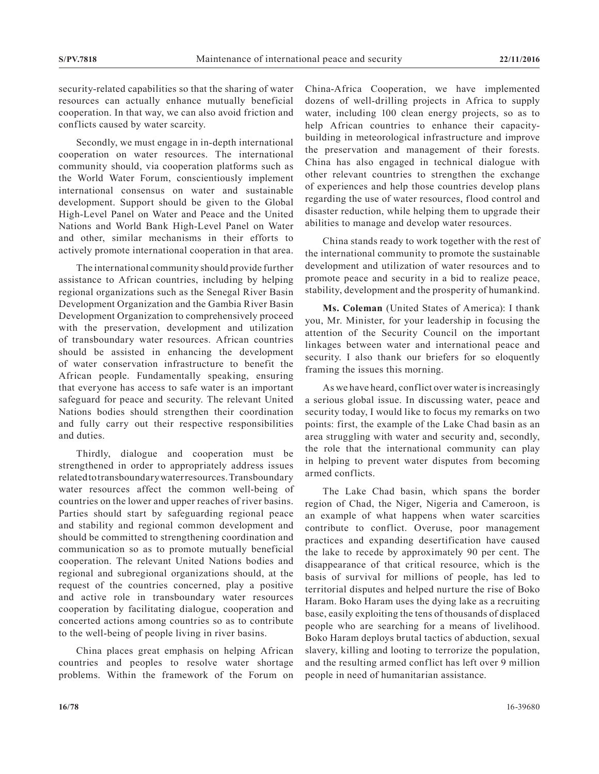security-related capabilities so that the sharing of water resources can actually enhance mutually beneficial cooperation. In that way, we can also avoid friction and conflicts caused by water scarcity.

Secondly, we must engage in in-depth international cooperation on water resources. The international community should, via cooperation platforms such as the World Water Forum, conscientiously implement international consensus on water and sustainable development. Support should be given to the Global High-Level Panel on Water and Peace and the United Nations and World Bank High-Level Panel on Water and other, similar mechanisms in their efforts to actively promote international cooperation in that area.

The international community should provide further assistance to African countries, including by helping regional organizations such as the Senegal River Basin Development Organization and the Gambia River Basin Development Organization to comprehensively proceed with the preservation, development and utilization of transboundary water resources. African countries should be assisted in enhancing the development of water conservation infrastructure to benefit the African people. Fundamentally speaking, ensuring that everyone has access to safe water is an important safeguard for peace and security. The relevant United Nations bodies should strengthen their coordination and fully carry out their respective responsibilities and duties.

Thirdly, dialogue and cooperation must be strengthened in order to appropriately address issues related to transboundary water resources. Transboundary water resources affect the common well-being of countries on the lower and upper reaches of river basins. Parties should start by safeguarding regional peace and stability and regional common development and should be committed to strengthening coordination and communication so as to promote mutually beneficial cooperation. The relevant United Nations bodies and regional and subregional organizations should, at the request of the countries concerned, play a positive and active role in transboundary water resources cooperation by facilitating dialogue, cooperation and concerted actions among countries so as to contribute to the well-being of people living in river basins.

China places great emphasis on helping African countries and peoples to resolve water shortage problems. Within the framework of the Forum on China-Africa Cooperation, we have implemented dozens of well-drilling projects in Africa to supply water, including 100 clean energy projects, so as to help African countries to enhance their capacitybuilding in meteorological infrastructure and improve the preservation and management of their forests. China has also engaged in technical dialogue with other relevant countries to strengthen the exchange of experiences and help those countries develop plans regarding the use of water resources, flood control and disaster reduction, while helping them to upgrade their abilities to manage and develop water resources.

China stands ready to work together with the rest of the international community to promote the sustainable development and utilization of water resources and to promote peace and security in a bid to realize peace, stability, development and the prosperity of humankind.

**Ms. Coleman** (United States of America): I thank you, Mr. Minister, for your leadership in focusing the attention of the Security Council on the important linkages between water and international peace and security. I also thank our briefers for so eloquently framing the issues this morning.

As we have heard, conflict over water is increasingly a serious global issue. In discussing water, peace and security today, I would like to focus my remarks on two points: first, the example of the Lake Chad basin as an area struggling with water and security and, secondly, the role that the international community can play in helping to prevent water disputes from becoming armed conflicts.

The Lake Chad basin, which spans the border region of Chad, the Niger, Nigeria and Cameroon, is an example of what happens when water scarcities contribute to conflict. Overuse, poor management practices and expanding desertification have caused the lake to recede by approximately 90 per cent. The disappearance of that critical resource, which is the basis of survival for millions of people, has led to territorial disputes and helped nurture the rise of Boko Haram. Boko Haram uses the dying lake as a recruiting base, easily exploiting the tens of thousands of displaced people who are searching for a means of livelihood. Boko Haram deploys brutal tactics of abduction, sexual slavery, killing and looting to terrorize the population, and the resulting armed conflict has left over 9 million people in need of humanitarian assistance.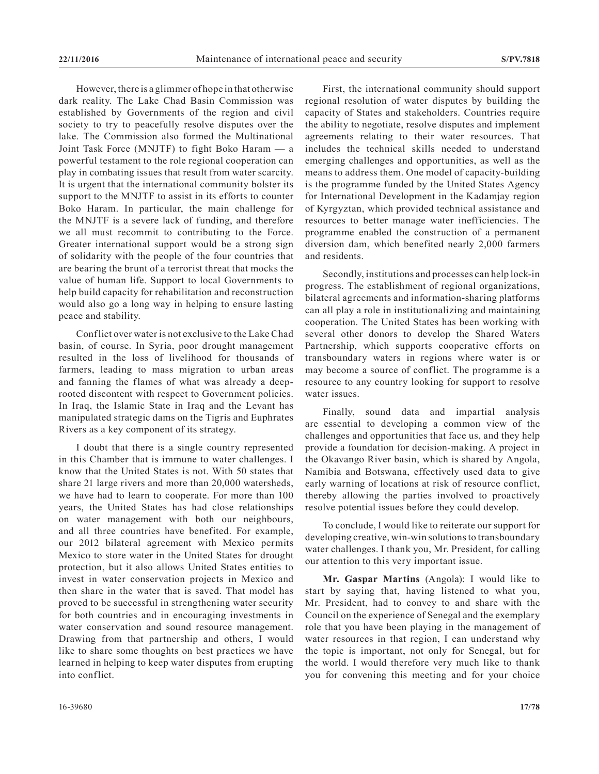However, there is a glimmer of hope in that otherwise dark reality. The Lake Chad Basin Commission was established by Governments of the region and civil society to try to peacefully resolve disputes over the lake. The Commission also formed the Multinational Joint Task Force (MNJTF) to fight Boko Haram — a powerful testament to the role regional cooperation can play in combating issues that result from water scarcity. It is urgent that the international community bolster its support to the MNJTF to assist in its efforts to counter Boko Haram. In particular, the main challenge for the MNJTF is a severe lack of funding, and therefore we all must recommit to contributing to the Force. Greater international support would be a strong sign of solidarity with the people of the four countries that are bearing the brunt of a terrorist threat that mocks the value of human life. Support to local Governments to help build capacity for rehabilitation and reconstruction would also go a long way in helping to ensure lasting peace and stability.

Conflict over water is not exclusive to the Lake Chad basin, of course. In Syria, poor drought management resulted in the loss of livelihood for thousands of farmers, leading to mass migration to urban areas and fanning the flames of what was already a deeprooted discontent with respect to Government policies. In Iraq, the Islamic State in Iraq and the Levant has manipulated strategic dams on the Tigris and Euphrates Rivers as a key component of its strategy.

I doubt that there is a single country represented in this Chamber that is immune to water challenges. I know that the United States is not. With 50 states that share 21 large rivers and more than 20,000 watersheds, we have had to learn to cooperate. For more than 100 years, the United States has had close relationships on water management with both our neighbours, and all three countries have benefited. For example, our 2012 bilateral agreement with Mexico permits Mexico to store water in the United States for drought protection, but it also allows United States entities to invest in water conservation projects in Mexico and then share in the water that is saved. That model has proved to be successful in strengthening water security for both countries and in encouraging investments in water conservation and sound resource management. Drawing from that partnership and others, I would like to share some thoughts on best practices we have learned in helping to keep water disputes from erupting into conflict.

First, the international community should support regional resolution of water disputes by building the capacity of States and stakeholders. Countries require the ability to negotiate, resolve disputes and implement agreements relating to their water resources. That includes the technical skills needed to understand emerging challenges and opportunities, as well as the means to address them. One model of capacity-building is the programme funded by the United States Agency for International Development in the Kadamjay region of Kyrgyztan, which provided technical assistance and resources to better manage water inefficiencies. The programme enabled the construction of a permanent diversion dam, which benefited nearly 2,000 farmers and residents.

Secondly, institutions and processes can help lock-in progress. The establishment of regional organizations, bilateral agreements and information-sharing platforms can all play a role in institutionalizing and maintaining cooperation. The United States has been working with several other donors to develop the Shared Waters Partnership, which supports cooperative efforts on transboundary waters in regions where water is or may become a source of conflict. The programme is a resource to any country looking for support to resolve water issues.

Finally, sound data and impartial analysis are essential to developing a common view of the challenges and opportunities that face us, and they help provide a foundation for decision-making. A project in the Okavango River basin, which is shared by Angola, Namibia and Botswana, effectively used data to give early warning of locations at risk of resource conflict, thereby allowing the parties involved to proactively resolve potential issues before they could develop.

To conclude, I would like to reiterate our support for developing creative, win-win solutions to transboundary water challenges. I thank you, Mr. President, for calling our attention to this very important issue.

**Mr. Gaspar Martins** (Angola): I would like to start by saying that, having listened to what you, Mr. President, had to convey to and share with the Council on the experience of Senegal and the exemplary role that you have been playing in the management of water resources in that region, I can understand why the topic is important, not only for Senegal, but for the world. I would therefore very much like to thank you for convening this meeting and for your choice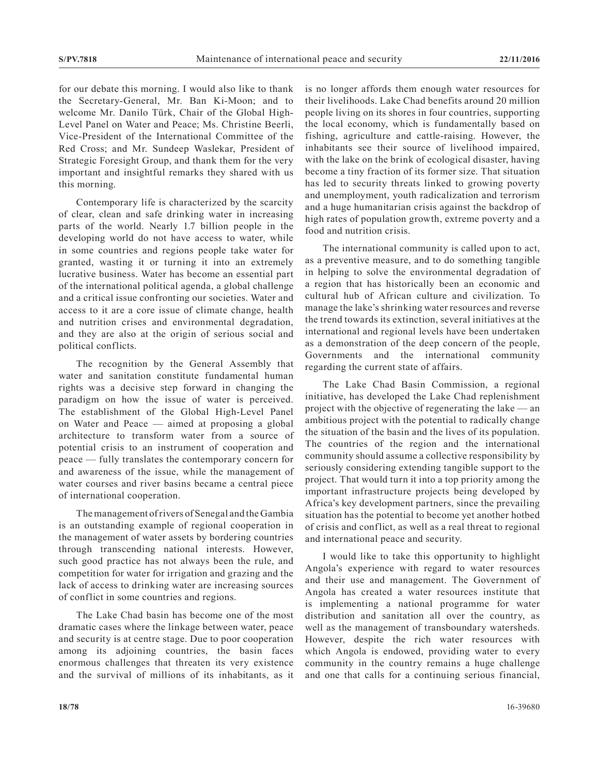for our debate this morning. I would also like to thank the Secretary-General, Mr. Ban Ki-Moon; and to welcome Mr. Danilo Türk, Chair of the Global High-Level Panel on Water and Peace; Ms. Christine Beerli, Vice-President of the International Committee of the Red Cross; and Mr. Sundeep Waslekar, President of Strategic Foresight Group, and thank them for the very important and insightful remarks they shared with us this morning.

Contemporary life is characterized by the scarcity of clear, clean and safe drinking water in increasing parts of the world. Nearly 1.7 billion people in the developing world do not have access to water, while in some countries and regions people take water for granted, wasting it or turning it into an extremely lucrative business. Water has become an essential part of the international political agenda, a global challenge and a critical issue confronting our societies. Water and access to it are a core issue of climate change, health and nutrition crises and environmental degradation, and they are also at the origin of serious social and political conflicts.

The recognition by the General Assembly that water and sanitation constitute fundamental human rights was a decisive step forward in changing the paradigm on how the issue of water is perceived. The establishment of the Global High-Level Panel on Water and Peace — aimed at proposing a global architecture to transform water from a source of potential crisis to an instrument of cooperation and peace — fully translates the contemporary concern for and awareness of the issue, while the management of water courses and river basins became a central piece of international cooperation.

The management of rivers of Senegal and the Gambia is an outstanding example of regional cooperation in the management of water assets by bordering countries through transcending national interests. However, such good practice has not always been the rule, and competition for water for irrigation and grazing and the lack of access to drinking water are increasing sources of conflict in some countries and regions.

The Lake Chad basin has become one of the most dramatic cases where the linkage between water, peace and security is at centre stage. Due to poor cooperation among its adjoining countries, the basin faces enormous challenges that threaten its very existence and the survival of millions of its inhabitants, as it is no longer affords them enough water resources for their livelihoods. Lake Chad benefits around 20 million people living on its shores in four countries, supporting the local economy, which is fundamentally based on fishing, agriculture and cattle-raising. However, the inhabitants see their source of livelihood impaired, with the lake on the brink of ecological disaster, having become a tiny fraction of its former size. That situation has led to security threats linked to growing poverty and unemployment, youth radicalization and terrorism and a huge humanitarian crisis against the backdrop of high rates of population growth, extreme poverty and a food and nutrition crisis.

The international community is called upon to act, as a preventive measure, and to do something tangible in helping to solve the environmental degradation of a region that has historically been an economic and cultural hub of African culture and civilization. To manage the lake's shrinking water resources and reverse the trend towards its extinction, several initiatives at the international and regional levels have been undertaken as a demonstration of the deep concern of the people, Governments and the international community regarding the current state of affairs.

The Lake Chad Basin Commission, a regional initiative, has developed the Lake Chad replenishment project with the objective of regenerating the lake — an ambitious project with the potential to radically change the situation of the basin and the lives of its population. The countries of the region and the international community should assume a collective responsibility by seriously considering extending tangible support to the project. That would turn it into a top priority among the important infrastructure projects being developed by Africa's key development partners, since the prevailing situation has the potential to become yet another hotbed of crisis and conflict, as well as a real threat to regional and international peace and security.

I would like to take this opportunity to highlight Angola's experience with regard to water resources and their use and management. The Government of Angola has created a water resources institute that is implementing a national programme for water distribution and sanitation all over the country, as well as the management of transboundary watersheds. However, despite the rich water resources with which Angola is endowed, providing water to every community in the country remains a huge challenge and one that calls for a continuing serious financial,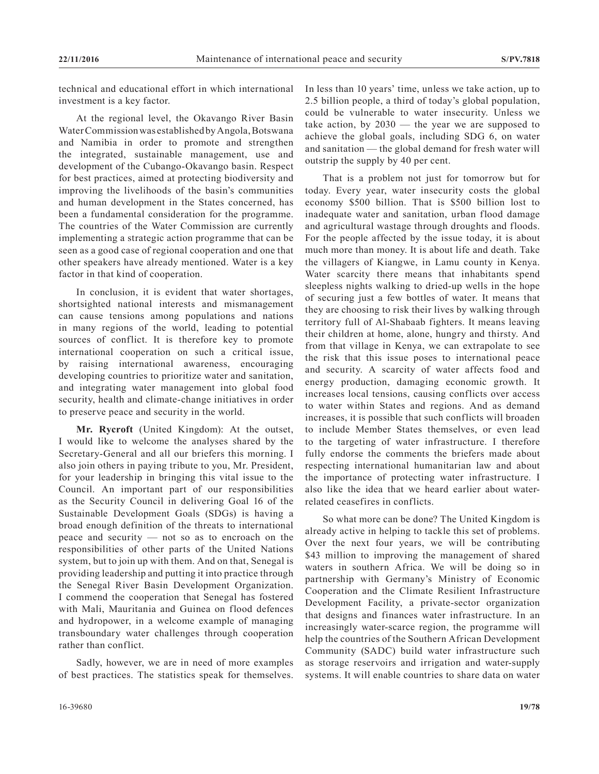technical and educational effort in which international investment is a key factor.

At the regional level, the Okavango River Basin Water Commission was established by Angola, Botswana and Namibia in order to promote and strengthen the integrated, sustainable management, use and development of the Cubango-Okavango basin. Respect for best practices, aimed at protecting biodiversity and improving the livelihoods of the basin's communities and human development in the States concerned, has been a fundamental consideration for the programme. The countries of the Water Commission are currently implementing a strategic action programme that can be seen as a good case of regional cooperation and one that other speakers have already mentioned. Water is a key factor in that kind of cooperation.

In conclusion, it is evident that water shortages, shortsighted national interests and mismanagement can cause tensions among populations and nations in many regions of the world, leading to potential sources of conflict. It is therefore key to promote international cooperation on such a critical issue, by raising international awareness, encouraging developing countries to prioritize water and sanitation, and integrating water management into global food security, health and climate-change initiatives in order to preserve peace and security in the world.

**Mr. Rycroft** (United Kingdom): At the outset, I would like to welcome the analyses shared by the Secretary-General and all our briefers this morning. I also join others in paying tribute to you, Mr. President, for your leadership in bringing this vital issue to the Council. An important part of our responsibilities as the Security Council in delivering Goal 16 of the Sustainable Development Goals (SDGs) is having a broad enough definition of the threats to international peace and security — not so as to encroach on the responsibilities of other parts of the United Nations system, but to join up with them. And on that, Senegal is providing leadership and putting it into practice through the Senegal River Basin Development Organization. I commend the cooperation that Senegal has fostered with Mali, Mauritania and Guinea on flood defences and hydropower, in a welcome example of managing transboundary water challenges through cooperation rather than conflict.

Sadly, however, we are in need of more examples of best practices. The statistics speak for themselves. In less than 10 years' time, unless we take action, up to 2.5 billion people, a third of today's global population, could be vulnerable to water insecurity. Unless we take action, by  $2030$  — the year we are supposed to achieve the global goals, including SDG 6, on water and sanitation — the global demand for fresh water will outstrip the supply by 40 per cent.

That is a problem not just for tomorrow but for today. Every year, water insecurity costs the global economy \$500 billion. That is \$500 billion lost to inadequate water and sanitation, urban flood damage and agricultural wastage through droughts and floods. For the people affected by the issue today, it is about much more than money. It is about life and death. Take the villagers of Kiangwe, in Lamu county in Kenya. Water scarcity there means that inhabitants spend sleepless nights walking to dried-up wells in the hope of securing just a few bottles of water. It means that they are choosing to risk their lives by walking through territory full of Al-Shabaab fighters. It means leaving their children at home, alone, hungry and thirsty. And from that village in Kenya, we can extrapolate to see the risk that this issue poses to international peace and security. A scarcity of water affects food and energy production, damaging economic growth. It increases local tensions, causing conflicts over access to water within States and regions. And as demand increases, it is possible that such conflicts will broaden to include Member States themselves, or even lead to the targeting of water infrastructure. I therefore fully endorse the comments the briefers made about respecting international humanitarian law and about the importance of protecting water infrastructure. I also like the idea that we heard earlier about waterrelated ceasefires in conflicts.

So what more can be done? The United Kingdom is already active in helping to tackle this set of problems. Over the next four years, we will be contributing \$43 million to improving the management of shared waters in southern Africa. We will be doing so in partnership with Germany's Ministry of Economic Cooperation and the Climate Resilient Infrastructure Development Facility, a private-sector organization that designs and finances water infrastructure. In an increasingly water-scarce region, the programme will help the countries of the Southern African Development Community (SADC) build water infrastructure such as storage reservoirs and irrigation and water-supply systems. It will enable countries to share data on water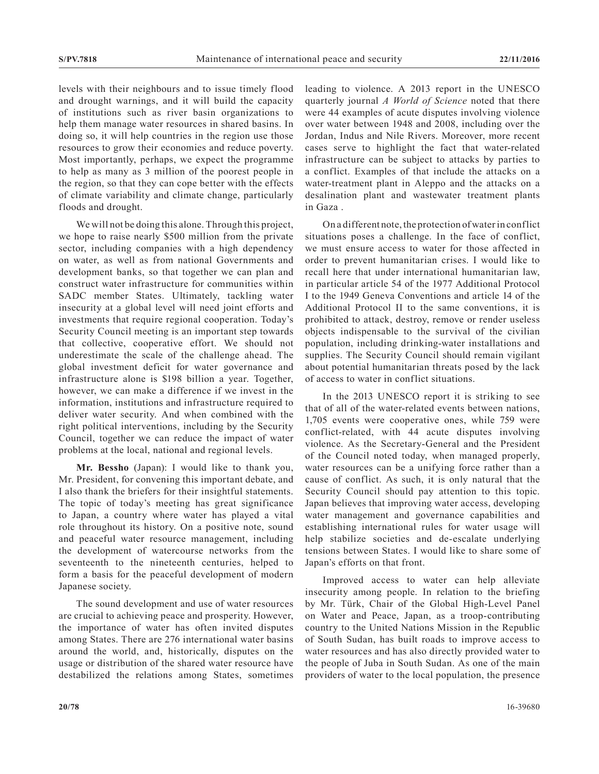levels with their neighbours and to issue timely flood and drought warnings, and it will build the capacity of institutions such as river basin organizations to help them manage water resources in shared basins. In doing so, it will help countries in the region use those resources to grow their economies and reduce poverty. Most importantly, perhaps, we expect the programme to help as many as 3 million of the poorest people in the region, so that they can cope better with the effects of climate variability and climate change, particularly floods and drought.

We will not be doing this alone. Through this project, we hope to raise nearly \$500 million from the private sector, including companies with a high dependency on water, as well as from national Governments and development banks, so that together we can plan and construct water infrastructure for communities within SADC member States. Ultimately, tackling water insecurity at a global level will need joint efforts and investments that require regional cooperation. Today's Security Council meeting is an important step towards that collective, cooperative effort. We should not underestimate the scale of the challenge ahead. The global investment deficit for water governance and infrastructure alone is \$198 billion a year. Together, however, we can make a difference if we invest in the information, institutions and infrastructure required to deliver water security. And when combined with the right political interventions, including by the Security Council, together we can reduce the impact of water problems at the local, national and regional levels.

**Mr. Bessho** (Japan): I would like to thank you, Mr. President, for convening this important debate, and I also thank the briefers for their insightful statements. The topic of today's meeting has great significance to Japan, a country where water has played a vital role throughout its history. On a positive note, sound and peaceful water resource management, including the development of watercourse networks from the seventeenth to the nineteenth centuries, helped to form a basis for the peaceful development of modern Japanese society.

The sound development and use of water resources are crucial to achieving peace and prosperity. However, the importance of water has often invited disputes among States. There are 276 international water basins around the world, and, historically, disputes on the usage or distribution of the shared water resource have destabilized the relations among States, sometimes leading to violence. A 2013 report in the UNESCO quarterly journal *A World of Science* noted that there were 44 examples of acute disputes involving violence over water between 1948 and 2008, including over the Jordan, Indus and Nile Rivers. Moreover, more recent cases serve to highlight the fact that water-related infrastructure can be subject to attacks by parties to a conflict. Examples of that include the attacks on a water-treatment plant in Aleppo and the attacks on a desalination plant and wastewater treatment plants in Gaza .

On a different note, the protection of water in conflict situations poses a challenge. In the face of conflict, we must ensure access to water for those affected in order to prevent humanitarian crises. I would like to recall here that under international humanitarian law, in particular article 54 of the 1977 Additional Protocol I to the 1949 Geneva Conventions and article 14 of the Additional Protocol II to the same conventions, it is prohibited to attack, destroy, remove or render useless objects indispensable to the survival of the civilian population, including drinking-water installations and supplies. The Security Council should remain vigilant about potential humanitarian threats posed by the lack of access to water in conflict situations.

In the 2013 UNESCO report it is striking to see that of all of the water-related events between nations, 1,705 events were cooperative ones, while 759 were conflict-related, with 44 acute disputes involving violence. As the Secretary-General and the President of the Council noted today, when managed properly, water resources can be a unifying force rather than a cause of conflict. As such, it is only natural that the Security Council should pay attention to this topic. Japan believes that improving water access, developing water management and governance capabilities and establishing international rules for water usage will help stabilize societies and de-escalate underlying tensions between States. I would like to share some of Japan's efforts on that front.

Improved access to water can help alleviate insecurity among people. In relation to the briefing by Mr. Türk, Chair of the Global High-Level Panel on Water and Peace, Japan, as a troop-contributing country to the United Nations Mission in the Republic of South Sudan, has built roads to improve access to water resources and has also directly provided water to the people of Juba in South Sudan. As one of the main providers of water to the local population, the presence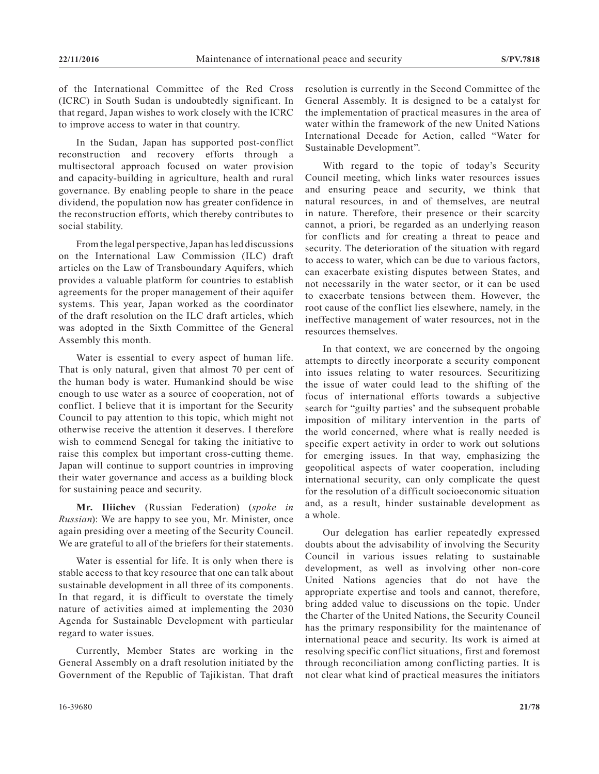of the International Committee of the Red Cross (ICRC) in South Sudan is undoubtedly significant. In that regard, Japan wishes to work closely with the ICRC to improve access to water in that country.

In the Sudan, Japan has supported post-conflict reconstruction and recovery efforts through a multisectoral approach focused on water provision and capacity-building in agriculture, health and rural governance. By enabling people to share in the peace dividend, the population now has greater confidence in the reconstruction efforts, which thereby contributes to social stability.

From the legal perspective, Japan has led discussions on the International Law Commission (ILC) draft articles on the Law of Transboundary Aquifers, which provides a valuable platform for countries to establish agreements for the proper management of their aquifer systems. This year, Japan worked as the coordinator of the draft resolution on the ILC draft articles, which was adopted in the Sixth Committee of the General Assembly this month.

Water is essential to every aspect of human life. That is only natural, given that almost 70 per cent of the human body is water. Humankind should be wise enough to use water as a source of cooperation, not of conflict. I believe that it is important for the Security Council to pay attention to this topic, which might not otherwise receive the attention it deserves. I therefore wish to commend Senegal for taking the initiative to raise this complex but important cross-cutting theme. Japan will continue to support countries in improving their water governance and access as a building block for sustaining peace and security.

**Mr. Iliichev** (Russian Federation) (*spoke in Russian*): We are happy to see you, Mr. Minister, once again presiding over a meeting of the Security Council. We are grateful to all of the briefers for their statements.

Water is essential for life. It is only when there is stable access to that key resource that one can talk about sustainable development in all three of its components. In that regard, it is difficult to overstate the timely nature of activities aimed at implementing the 2030 Agenda for Sustainable Development with particular regard to water issues.

Currently, Member States are working in the General Assembly on a draft resolution initiated by the Government of the Republic of Tajikistan. That draft resolution is currently in the Second Committee of the General Assembly. It is designed to be a catalyst for the implementation of practical measures in the area of water within the framework of the new United Nations International Decade for Action, called "Water for Sustainable Development".

With regard to the topic of today's Security Council meeting, which links water resources issues and ensuring peace and security, we think that natural resources, in and of themselves, are neutral in nature. Therefore, their presence or their scarcity cannot, a priori, be regarded as an underlying reason for conflicts and for creating a threat to peace and security. The deterioration of the situation with regard to access to water, which can be due to various factors, can exacerbate existing disputes between States, and not necessarily in the water sector, or it can be used to exacerbate tensions between them. However, the root cause of the conflict lies elsewhere, namely, in the ineffective management of water resources, not in the resources themselves.

In that context, we are concerned by the ongoing attempts to directly incorporate a security component into issues relating to water resources. Securitizing the issue of water could lead to the shifting of the focus of international efforts towards a subjective search for "guilty parties' and the subsequent probable imposition of military intervention in the parts of the world concerned, where what is really needed is specific expert activity in order to work out solutions for emerging issues. In that way, emphasizing the geopolitical aspects of water cooperation, including international security, can only complicate the quest for the resolution of a difficult socioeconomic situation and, as a result, hinder sustainable development as a whole.

Our delegation has earlier repeatedly expressed doubts about the advisability of involving the Security Council in various issues relating to sustainable development, as well as involving other non-core United Nations agencies that do not have the appropriate expertise and tools and cannot, therefore, bring added value to discussions on the topic. Under the Charter of the United Nations, the Security Council has the primary responsibility for the maintenance of international peace and security. Its work is aimed at resolving specific conflict situations, first and foremost through reconciliation among conflicting parties. It is not clear what kind of practical measures the initiators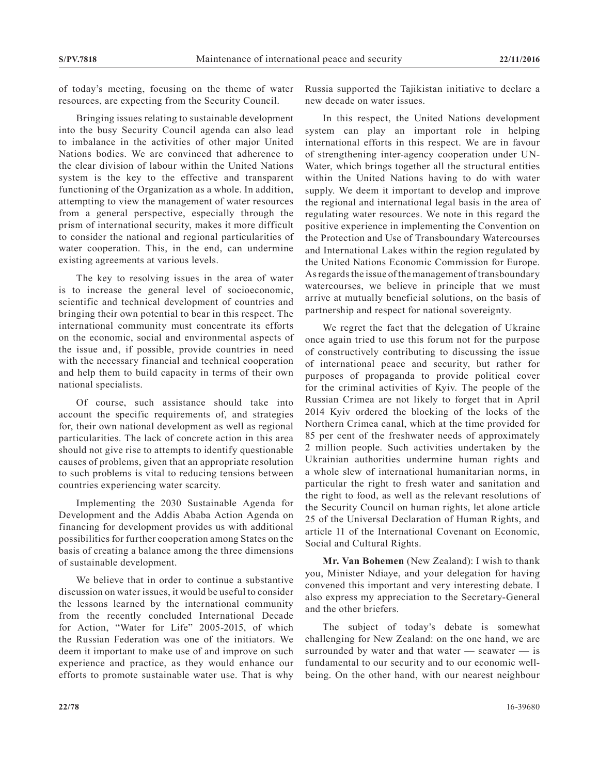of today's meeting, focusing on the theme of water resources, are expecting from the Security Council.

Bringing issues relating to sustainable development into the busy Security Council agenda can also lead to imbalance in the activities of other major United Nations bodies. We are convinced that adherence to the clear division of labour within the United Nations system is the key to the effective and transparent functioning of the Organization as a whole. In addition, attempting to view the management of water resources from a general perspective, especially through the prism of international security, makes it more difficult to consider the national and regional particularities of water cooperation. This, in the end, can undermine existing agreements at various levels.

The key to resolving issues in the area of water is to increase the general level of socioeconomic, scientific and technical development of countries and bringing their own potential to bear in this respect. The international community must concentrate its efforts on the economic, social and environmental aspects of the issue and, if possible, provide countries in need with the necessary financial and technical cooperation and help them to build capacity in terms of their own national specialists.

Of course, such assistance should take into account the specific requirements of, and strategies for, their own national development as well as regional particularities. The lack of concrete action in this area should not give rise to attempts to identify questionable causes of problems, given that an appropriate resolution to such problems is vital to reducing tensions between countries experiencing water scarcity.

Implementing the 2030 Sustainable Agenda for Development and the Addis Ababa Action Agenda on financing for development provides us with additional possibilities for further cooperation among States on the basis of creating a balance among the three dimensions of sustainable development.

We believe that in order to continue a substantive discussion on water issues, it would be useful to consider the lessons learned by the international community from the recently concluded International Decade for Action, "Water for Life" 2005-2015, of which the Russian Federation was one of the initiators. We deem it important to make use of and improve on such experience and practice, as they would enhance our efforts to promote sustainable water use. That is why Russia supported the Tajikistan initiative to declare a new decade on water issues.

In this respect, the United Nations development system can play an important role in helping international efforts in this respect. We are in favour of strengthening inter-agency cooperation under UN-Water, which brings together all the structural entities within the United Nations having to do with water supply. We deem it important to develop and improve the regional and international legal basis in the area of regulating water resources. We note in this regard the positive experience in implementing the Convention on the Protection and Use of Transboundary Watercourses and International Lakes within the region regulated by the United Nations Economic Commission for Europe. As regards the issue of the management of transboundary watercourses, we believe in principle that we must arrive at mutually beneficial solutions, on the basis of partnership and respect for national sovereignty.

We regret the fact that the delegation of Ukraine once again tried to use this forum not for the purpose of constructively contributing to discussing the issue of international peace and security, but rather for purposes of propaganda to provide political cover for the criminal activities of Kyiv. The people of the Russian Crimea are not likely to forget that in April 2014 Kyiv ordered the blocking of the locks of the Northern Crimea canal, which at the time provided for 85 per cent of the freshwater needs of approximately 2 million people. Such activities undertaken by the Ukrainian authorities undermine human rights and a whole slew of international humanitarian norms, in particular the right to fresh water and sanitation and the right to food, as well as the relevant resolutions of the Security Council on human rights, let alone article 25 of the Universal Declaration of Human Rights, and article 11 of the International Covenant on Economic, Social and Cultural Rights.

**Mr. Van Bohemen** (New Zealand): I wish to thank you, Minister Ndiaye, and your delegation for having convened this important and very interesting debate. I also express my appreciation to the Secretary-General and the other briefers.

The subject of today's debate is somewhat challenging for New Zealand: on the one hand, we are surrounded by water and that water — seawater — is fundamental to our security and to our economic wellbeing. On the other hand, with our nearest neighbour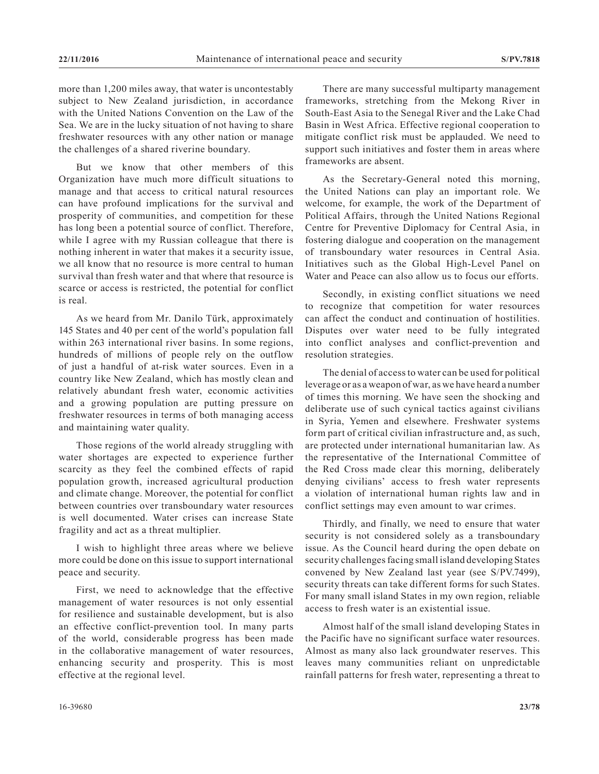more than 1,200 miles away, that water is uncontestably subject to New Zealand jurisdiction, in accordance with the United Nations Convention on the Law of the Sea. We are in the lucky situation of not having to share freshwater resources with any other nation or manage the challenges of a shared riverine boundary.

But we know that other members of this Organization have much more difficult situations to manage and that access to critical natural resources can have profound implications for the survival and prosperity of communities, and competition for these has long been a potential source of conflict. Therefore, while I agree with my Russian colleague that there is nothing inherent in water that makes it a security issue, we all know that no resource is more central to human survival than fresh water and that where that resource is scarce or access is restricted, the potential for conflict is real.

As we heard from Mr. Danilo Türk, approximately 145 States and 40 per cent of the world's population fall within 263 international river basins. In some regions, hundreds of millions of people rely on the outflow of just a handful of at-risk water sources. Even in a country like New Zealand, which has mostly clean and relatively abundant fresh water, economic activities and a growing population are putting pressure on freshwater resources in terms of both managing access and maintaining water quality.

Those regions of the world already struggling with water shortages are expected to experience further scarcity as they feel the combined effects of rapid population growth, increased agricultural production and climate change. Moreover, the potential for conflict between countries over transboundary water resources is well documented. Water crises can increase State fragility and act as a threat multiplier.

I wish to highlight three areas where we believe more could be done on this issue to support international peace and security.

First, we need to acknowledge that the effective management of water resources is not only essential for resilience and sustainable development, but is also an effective conflict-prevention tool. In many parts of the world, considerable progress has been made in the collaborative management of water resources, enhancing security and prosperity. This is most effective at the regional level.

There are many successful multiparty management frameworks, stretching from the Mekong River in South-East Asia to the Senegal River and the Lake Chad Basin in West Africa. Effective regional cooperation to mitigate conflict risk must be applauded. We need to support such initiatives and foster them in areas where frameworks are absent.

As the Secretary-General noted this morning, the United Nations can play an important role. We welcome, for example, the work of the Department of Political Affairs, through the United Nations Regional Centre for Preventive Diplomacy for Central Asia, in fostering dialogue and cooperation on the management of transboundary water resources in Central Asia. Initiatives such as the Global High-Level Panel on Water and Peace can also allow us to focus our efforts.

Secondly, in existing conflict situations we need to recognize that competition for water resources can affect the conduct and continuation of hostilities. Disputes over water need to be fully integrated into conflict analyses and conflict-prevention and resolution strategies.

The denial of access to water can be used for political leverage or as a weapon of war, as we have heard a number of times this morning. We have seen the shocking and deliberate use of such cynical tactics against civilians in Syria, Yemen and elsewhere. Freshwater systems form part of critical civilian infrastructure and, as such, are protected under international humanitarian law. As the representative of the International Committee of the Red Cross made clear this morning, deliberately denying civilians' access to fresh water represents a violation of international human rights law and in conflict settings may even amount to war crimes.

Thirdly, and finally, we need to ensure that water security is not considered solely as a transboundary issue. As the Council heard during the open debate on security challenges facing small island developing States convened by New Zealand last year (see S/PV.7499), security threats can take different forms for such States. For many small island States in my own region, reliable access to fresh water is an existential issue.

Almost half of the small island developing States in the Pacific have no significant surface water resources. Almost as many also lack groundwater reserves. This leaves many communities reliant on unpredictable rainfall patterns for fresh water, representing a threat to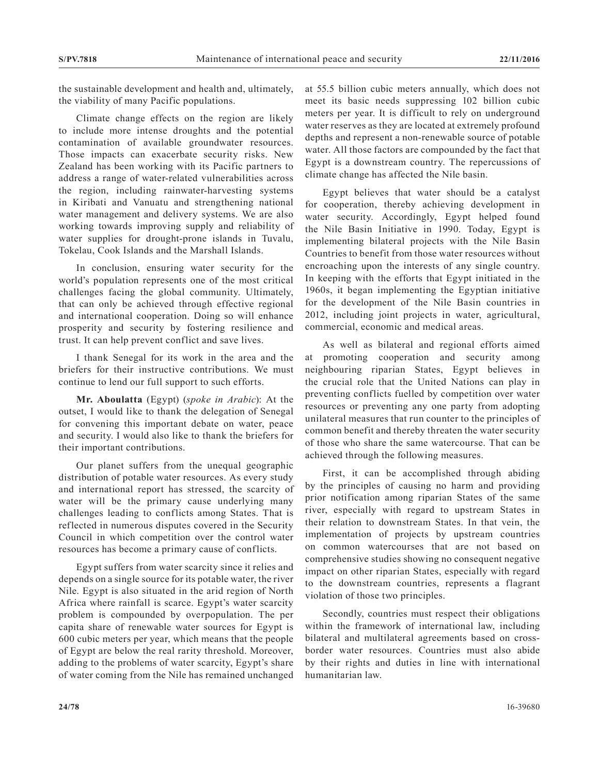the sustainable development and health and, ultimately, the viability of many Pacific populations.

Climate change effects on the region are likely to include more intense droughts and the potential contamination of available groundwater resources. Those impacts can exacerbate security risks. New Zealand has been working with its Pacific partners to address a range of water-related vulnerabilities across the region, including rainwater-harvesting systems in Kiribati and Vanuatu and strengthening national water management and delivery systems. We are also working towards improving supply and reliability of water supplies for drought-prone islands in Tuvalu, Tokelau, Cook Islands and the Marshall Islands.

In conclusion, ensuring water security for the world's population represents one of the most critical challenges facing the global community. Ultimately, that can only be achieved through effective regional and international cooperation. Doing so will enhance prosperity and security by fostering resilience and trust. It can help prevent conflict and save lives.

I thank Senegal for its work in the area and the briefers for their instructive contributions. We must continue to lend our full support to such efforts.

**Mr. Aboulatta** (Egypt) (*spoke in Arabic*): At the outset, I would like to thank the delegation of Senegal for convening this important debate on water, peace and security. I would also like to thank the briefers for their important contributions.

Our planet suffers from the unequal geographic distribution of potable water resources. As every study and international report has stressed, the scarcity of water will be the primary cause underlying many challenges leading to conflicts among States. That is reflected in numerous disputes covered in the Security Council in which competition over the control water resources has become a primary cause of conflicts.

Egypt suffers from water scarcity since it relies and depends on a single source for its potable water, the river Nile. Egypt is also situated in the arid region of North Africa where rainfall is scarce. Egypt's water scarcity problem is compounded by overpopulation. The per capita share of renewable water sources for Egypt is 600 cubic meters per year, which means that the people of Egypt are below the real rarity threshold. Moreover, adding to the problems of water scarcity, Egypt's share of water coming from the Nile has remained unchanged at 55.5 billion cubic meters annually, which does not meet its basic needs suppressing 102 billion cubic meters per year. It is difficult to rely on underground water reserves as they are located at extremely profound depths and represent a non-renewable source of potable water. All those factors are compounded by the fact that Egypt is a downstream country. The repercussions of climate change has affected the Nile basin.

Egypt believes that water should be a catalyst for cooperation, thereby achieving development in water security. Accordingly, Egypt helped found the Nile Basin Initiative in 1990. Today, Egypt is implementing bilateral projects with the Nile Basin Countries to benefit from those water resources without encroaching upon the interests of any single country. In keeping with the efforts that Egypt initiated in the 1960s, it began implementing the Egyptian initiative for the development of the Nile Basin countries in 2012, including joint projects in water, agricultural, commercial, economic and medical areas.

As well as bilateral and regional efforts aimed at promoting cooperation and security among neighbouring riparian States, Egypt believes in the crucial role that the United Nations can play in preventing conflicts fuelled by competition over water resources or preventing any one party from adopting unilateral measures that run counter to the principles of common benefit and thereby threaten the water security of those who share the same watercourse. That can be achieved through the following measures.

First, it can be accomplished through abiding by the principles of causing no harm and providing prior notification among riparian States of the same river, especially with regard to upstream States in their relation to downstream States. In that vein, the implementation of projects by upstream countries on common watercourses that are not based on comprehensive studies showing no consequent negative impact on other riparian States, especially with regard to the downstream countries, represents a flagrant violation of those two principles.

Secondly, countries must respect their obligations within the framework of international law, including bilateral and multilateral agreements based on crossborder water resources. Countries must also abide by their rights and duties in line with international humanitarian law.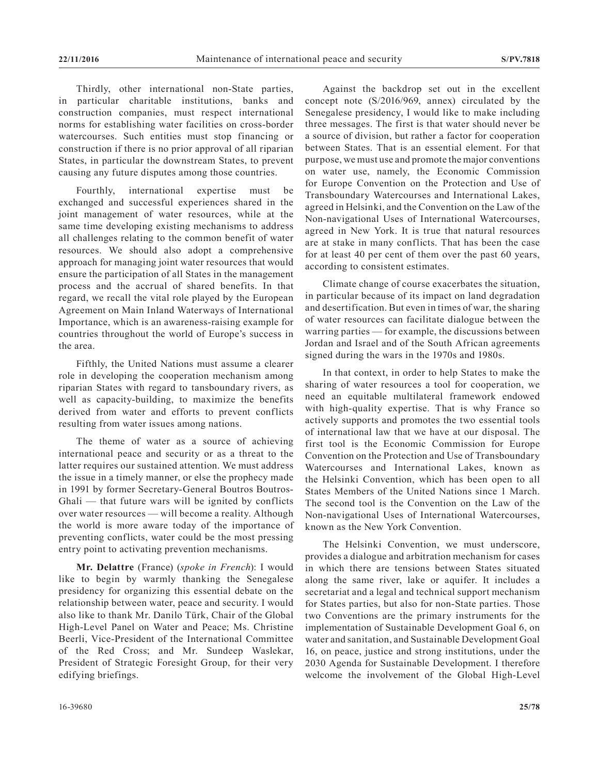Thirdly, other international non-State parties, in particular charitable institutions, banks and construction companies, must respect international norms for establishing water facilities on cross-border watercourses. Such entities must stop financing or construction if there is no prior approval of all riparian States, in particular the downstream States, to prevent causing any future disputes among those countries.

Fourthly, international expertise must be exchanged and successful experiences shared in the joint management of water resources, while at the same time developing existing mechanisms to address all challenges relating to the common benefit of water resources. We should also adopt a comprehensive approach for managing joint water resources that would ensure the participation of all States in the management process and the accrual of shared benefits. In that regard, we recall the vital role played by the European Agreement on Main Inland Waterways of International Importance, which is an awareness-raising example for countries throughout the world of Europe's success in the area.

Fifthly, the United Nations must assume a clearer role in developing the cooperation mechanism among riparian States with regard to tansboundary rivers, as well as capacity-building, to maximize the benefits derived from water and efforts to prevent conflicts resulting from water issues among nations.

The theme of water as a source of achieving international peace and security or as a threat to the latter requires our sustained attention. We must address the issue in a timely manner, or else the prophecy made in 1991 by former Secretary-General Boutros Boutros-Ghali — that future wars will be ignited by conflicts over water resources — will become a reality. Although the world is more aware today of the importance of preventing conflicts, water could be the most pressing entry point to activating prevention mechanisms.

**Mr. Delattre** (France) (*spoke in French*): I would like to begin by warmly thanking the Senegalese presidency for organizing this essential debate on the relationship between water, peace and security. I would also like to thank Mr. Danilo Türk, Chair of the Global High-Level Panel on Water and Peace; Ms. Christine Beerli, Vice-President of the International Committee of the Red Cross; and Mr. Sundeep Waslekar, President of Strategic Foresight Group, for their very edifying briefings.

Against the backdrop set out in the excellent concept note (S/2016/969, annex) circulated by the Senegalese presidency, I would like to make including three messages. The first is that water should never be a source of division, but rather a factor for cooperation between States. That is an essential element. For that purpose, we must use and promote the major conventions on water use, namely, the Economic Commission for Europe Convention on the Protection and Use of Transboundary Watercourses and International Lakes, agreed in Helsinki, and the Convention on the Law of the Non-navigational Uses of International Watercourses, agreed in New York. It is true that natural resources are at stake in many conflicts. That has been the case for at least 40 per cent of them over the past 60 years, according to consistent estimates.

Climate change of course exacerbates the situation, in particular because of its impact on land degradation and desertification. But even in times of war, the sharing of water resources can facilitate dialogue between the warring parties — for example, the discussions between Jordan and Israel and of the South African agreements signed during the wars in the 1970s and 1980s.

In that context, in order to help States to make the sharing of water resources a tool for cooperation, we need an equitable multilateral framework endowed with high-quality expertise. That is why France so actively supports and promotes the two essential tools of international law that we have at our disposal. The first tool is the Economic Commission for Europe Convention on the Protection and Use of Transboundary Watercourses and International Lakes, known as the Helsinki Convention, which has been open to all States Members of the United Nations since 1 March. The second tool is the Convention on the Law of the Non-navigational Uses of International Watercourses, known as the New York Convention.

The Helsinki Convention, we must underscore, provides a dialogue and arbitration mechanism for cases in which there are tensions between States situated along the same river, lake or aquifer. It includes a secretariat and a legal and technical support mechanism for States parties, but also for non-State parties. Those two Conventions are the primary instruments for the implementation of Sustainable Development Goal 6, on water and sanitation, and Sustainable Development Goal 16, on peace, justice and strong institutions, under the 2030 Agenda for Sustainable Development. I therefore welcome the involvement of the Global High-Level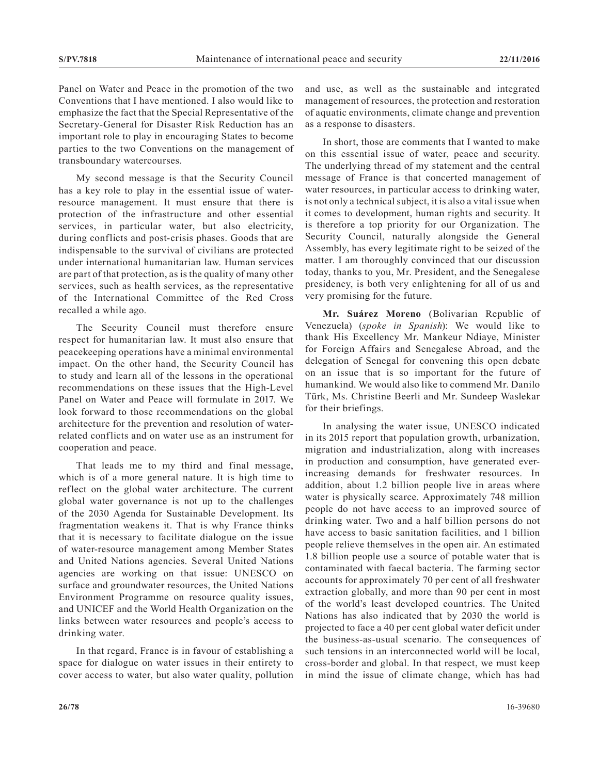Panel on Water and Peace in the promotion of the two Conventions that I have mentioned. I also would like to emphasize the fact that the Special Representative of the Secretary-General for Disaster Risk Reduction has an important role to play in encouraging States to become parties to the two Conventions on the management of transboundary watercourses.

My second message is that the Security Council has a key role to play in the essential issue of waterresource management. It must ensure that there is protection of the infrastructure and other essential services, in particular water, but also electricity, during conflicts and post-crisis phases. Goods that are indispensable to the survival of civilians are protected under international humanitarian law. Human services are part of that protection, as is the quality of many other services, such as health services, as the representative of the International Committee of the Red Cross recalled a while ago.

The Security Council must therefore ensure respect for humanitarian law. It must also ensure that peacekeeping operations have a minimal environmental impact. On the other hand, the Security Council has to study and learn all of the lessons in the operational recommendations on these issues that the High-Level Panel on Water and Peace will formulate in 2017. We look forward to those recommendations on the global architecture for the prevention and resolution of waterrelated conflicts and on water use as an instrument for cooperation and peace.

That leads me to my third and final message, which is of a more general nature. It is high time to reflect on the global water architecture. The current global water governance is not up to the challenges of the 2030 Agenda for Sustainable Development. Its fragmentation weakens it. That is why France thinks that it is necessary to facilitate dialogue on the issue of water-resource management among Member States and United Nations agencies. Several United Nations agencies are working on that issue: UNESCO on surface and groundwater resources, the United Nations Environment Programme on resource quality issues, and UNICEF and the World Health Organization on the links between water resources and people's access to drinking water.

In that regard, France is in favour of establishing a space for dialogue on water issues in their entirety to cover access to water, but also water quality, pollution and use, as well as the sustainable and integrated management of resources, the protection and restoration of aquatic environments, climate change and prevention as a response to disasters.

In short, those are comments that I wanted to make on this essential issue of water, peace and security. The underlying thread of my statement and the central message of France is that concerted management of water resources, in particular access to drinking water, is not only a technical subject, it is also a vital issue when it comes to development, human rights and security. It is therefore a top priority for our Organization. The Security Council, naturally alongside the General Assembly, has every legitimate right to be seized of the matter. I am thoroughly convinced that our discussion today, thanks to you, Mr. President, and the Senegalese presidency, is both very enlightening for all of us and very promising for the future.

**Mr. Suárez Moreno** (Bolivarian Republic of Venezuela) (*spoke in Spanish*): We would like to thank His Excellency Mr. Mankeur Ndiaye, Minister for Foreign Affairs and Senegalese Abroad, and the delegation of Senegal for convening this open debate on an issue that is so important for the future of humankind. We would also like to commend Mr. Danilo Türk, Ms. Christine Beerli and Mr. Sundeep Waslekar for their briefings.

In analysing the water issue, UNESCO indicated in its 2015 report that population growth, urbanization, migration and industrialization, along with increases in production and consumption, have generated everincreasing demands for freshwater resources. In addition, about 1.2 billion people live in areas where water is physically scarce. Approximately 748 million people do not have access to an improved source of drinking water. Two and a half billion persons do not have access to basic sanitation facilities, and 1 billion people relieve themselves in the open air. An estimated 1.8 billion people use a source of potable water that is contaminated with faecal bacteria. The farming sector accounts for approximately 70 per cent of all freshwater extraction globally, and more than 90 per cent in most of the world's least developed countries. The United Nations has also indicated that by 2030 the world is projected to face a 40 per cent global water deficit under the business-as-usual scenario. The consequences of such tensions in an interconnected world will be local, cross-border and global. In that respect, we must keep in mind the issue of climate change, which has had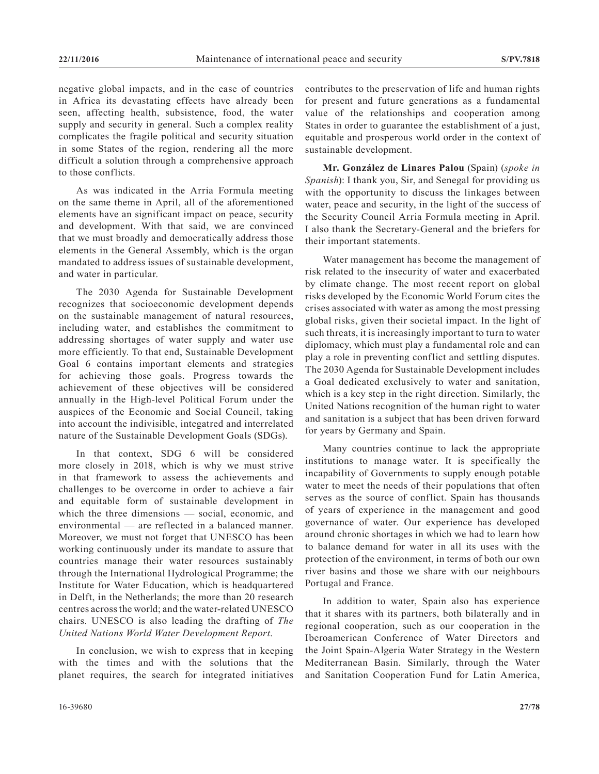negative global impacts, and in the case of countries in Africa its devastating effects have already been seen, affecting health, subsistence, food, the water supply and security in general. Such a complex reality complicates the fragile political and security situation in some States of the region, rendering all the more difficult a solution through a comprehensive approach to those conflicts.

As was indicated in the Arria Formula meeting on the same theme in April, all of the aforementioned elements have an significant impact on peace, security and development. With that said, we are convinced that we must broadly and democratically address those elements in the General Assembly, which is the organ mandated to address issues of sustainable development, and water in particular.

The 2030 Agenda for Sustainable Development recognizes that socioeconomic development depends on the sustainable management of natural resources, including water, and establishes the commitment to addressing shortages of water supply and water use more efficiently. To that end, Sustainable Development Goal 6 contains important elements and strategies for achieving those goals. Progress towards the achievement of these objectives will be considered annually in the High-level Political Forum under the auspices of the Economic and Social Council, taking into account the indivisible, integatred and interrelated nature of the Sustainable Development Goals (SDGs).

In that context, SDG 6 will be considered more closely in 2018, which is why we must strive in that framework to assess the achievements and challenges to be overcome in order to achieve a fair and equitable form of sustainable development in which the three dimensions — social, economic, and environmental — are reflected in a balanced manner. Moreover, we must not forget that UNESCO has been working continuously under its mandate to assure that countries manage their water resources sustainably through the International Hydrological Programme; the Institute for Water Education, which is headquartered in Delft, in the Netherlands; the more than 20 research centres across the world; and the water-related UNESCO chairs. UNESCO is also leading the drafting of *The United Nations World Water Development Report*.

In conclusion, we wish to express that in keeping with the times and with the solutions that the planet requires, the search for integrated initiatives contributes to the preservation of life and human rights for present and future generations as a fundamental value of the relationships and cooperation among States in order to guarantee the establishment of a just, equitable and prosperous world order in the context of sustainable development.

**Mr. González de Linares Palou** (Spain) (*spoke in Spanish*): I thank you, Sir, and Senegal for providing us with the opportunity to discuss the linkages between water, peace and security, in the light of the success of the Security Council Arria Formula meeting in April. I also thank the Secretary-General and the briefers for their important statements.

Water management has become the management of risk related to the insecurity of water and exacerbated by climate change. The most recent report on global risks developed by the Economic World Forum cites the crises associated with water as among the most pressing global risks, given their societal impact. In the light of such threats, it is increasingly important to turn to water diplomacy, which must play a fundamental role and can play a role in preventing conflict and settling disputes. The 2030 Agenda for Sustainable Development includes a Goal dedicated exclusively to water and sanitation, which is a key step in the right direction. Similarly, the United Nations recognition of the human right to water and sanitation is a subject that has been driven forward for years by Germany and Spain.

Many countries continue to lack the appropriate institutions to manage water. It is specifically the incapability of Governments to supply enough potable water to meet the needs of their populations that often serves as the source of conflict. Spain has thousands of years of experience in the management and good governance of water. Our experience has developed around chronic shortages in which we had to learn how to balance demand for water in all its uses with the protection of the environment, in terms of both our own river basins and those we share with our neighbours Portugal and France.

In addition to water, Spain also has experience that it shares with its partners, both bilaterally and in regional cooperation, such as our cooperation in the Iberoamerican Conference of Water Directors and the Joint Spain-Algeria Water Strategy in the Western Mediterranean Basin. Similarly, through the Water and Sanitation Cooperation Fund for Latin America,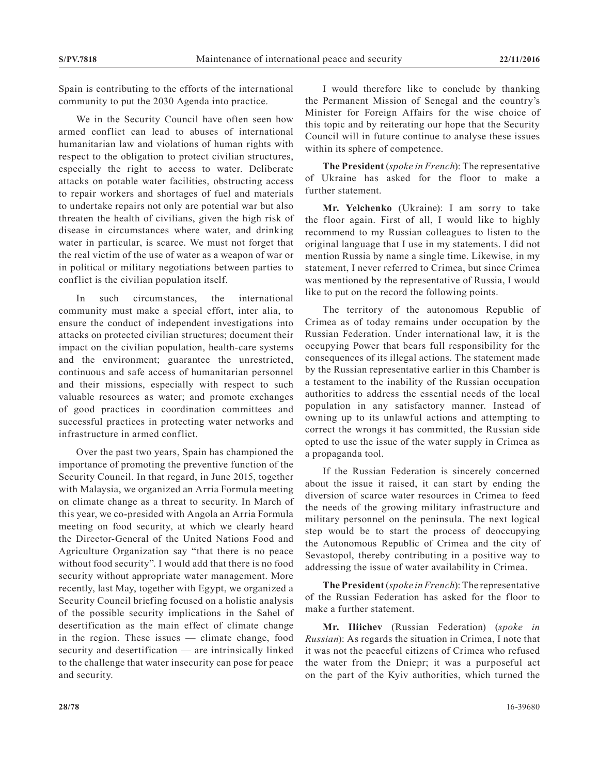Spain is contributing to the efforts of the international community to put the 2030 Agenda into practice.

We in the Security Council have often seen how armed conflict can lead to abuses of international humanitarian law and violations of human rights with respect to the obligation to protect civilian structures, especially the right to access to water. Deliberate attacks on potable water facilities, obstructing access to repair workers and shortages of fuel and materials to undertake repairs not only are potential war but also threaten the health of civilians, given the high risk of disease in circumstances where water, and drinking water in particular, is scarce. We must not forget that the real victim of the use of water as a weapon of war or in political or military negotiations between parties to conflict is the civilian population itself.

In such circumstances, the international community must make a special effort, inter alia, to ensure the conduct of independent investigations into attacks on protected civilian structures; document their impact on the civilian population, health-care systems and the environment; guarantee the unrestricted, continuous and safe access of humanitarian personnel and their missions, especially with respect to such valuable resources as water; and promote exchanges of good practices in coordination committees and successful practices in protecting water networks and infrastructure in armed conflict.

Over the past two years, Spain has championed the importance of promoting the preventive function of the Security Council. In that regard, in June 2015, together with Malaysia, we organized an Arria Formula meeting on climate change as a threat to security. In March of this year, we co-presided with Angola an Arria Formula meeting on food security, at which we clearly heard the Director-General of the United Nations Food and Agriculture Organization say "that there is no peace without food security". I would add that there is no food security without appropriate water management. More recently, last May, together with Egypt, we organized a Security Council briefing focused on a holistic analysis of the possible security implications in the Sahel of desertification as the main effect of climate change in the region. These issues — climate change, food security and desertification — are intrinsically linked to the challenge that water insecurity can pose for peace and security.

I would therefore like to conclude by thanking the Permanent Mission of Senegal and the country's Minister for Foreign Affairs for the wise choice of this topic and by reiterating our hope that the Security Council will in future continue to analyse these issues within its sphere of competence.

**The President** (*spoke in French*): The representative of Ukraine has asked for the floor to make a further statement.

**Mr. Yelchenko** (Ukraine): I am sorry to take the floor again. First of all, I would like to highly recommend to my Russian colleagues to listen to the original language that I use in my statements. I did not mention Russia by name a single time. Likewise, in my statement, I never referred to Crimea, but since Crimea was mentioned by the representative of Russia, I would like to put on the record the following points.

The territory of the autonomous Republic of Crimea as of today remains under occupation by the Russian Federation. Under international law, it is the occupying Power that bears full responsibility for the consequences of its illegal actions. The statement made by the Russian representative earlier in this Chamber is a testament to the inability of the Russian occupation authorities to address the essential needs of the local population in any satisfactory manner. Instead of owning up to its unlawful actions and attempting to correct the wrongs it has committed, the Russian side opted to use the issue of the water supply in Crimea as a propaganda tool.

If the Russian Federation is sincerely concerned about the issue it raised, it can start by ending the diversion of scarce water resources in Crimea to feed the needs of the growing military infrastructure and military personnel on the peninsula. The next logical step would be to start the process of deoccupying the Autonomous Republic of Crimea and the city of Sevastopol, thereby contributing in a positive way to addressing the issue of water availability in Crimea.

**The President** (*spoke in French*): The representative of the Russian Federation has asked for the floor to make a further statement.

**Mr. Iliichev** (Russian Federation) (*spoke in Russian*): As regards the situation in Crimea, I note that it was not the peaceful citizens of Crimea who refused the water from the Dniepr; it was a purposeful act on the part of the Kyiv authorities, which turned the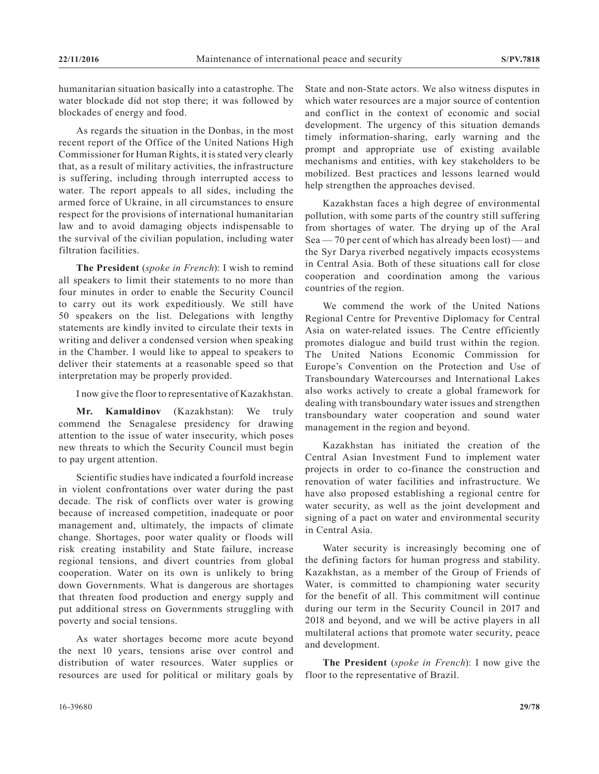humanitarian situation basically into a catastrophe. The water blockade did not stop there; it was followed by blockades of energy and food.

As regards the situation in the Donbas, in the most recent report of the Office of the United Nations High Commissioner for Human Rights, it is stated very clearly that, as a result of military activities, the infrastructure is suffering, including through interrupted access to water. The report appeals to all sides, including the armed force of Ukraine, in all circumstances to ensure respect for the provisions of international humanitarian law and to avoid damaging objects indispensable to the survival of the civilian population, including water filtration facilities.

**The President** (*spoke in French*): I wish to remind all speakers to limit their statements to no more than four minutes in order to enable the Security Council to carry out its work expeditiously. We still have 50 speakers on the list. Delegations with lengthy statements are kindly invited to circulate their texts in writing and deliver a condensed version when speaking in the Chamber. I would like to appeal to speakers to deliver their statements at a reasonable speed so that interpretation may be properly provided.

I now give the floor to representative of Kazakhstan.

**Mr. Kamaldinov** (Kazakhstan): We truly commend the Senagalese presidency for drawing attention to the issue of water insecurity, which poses new threats to which the Security Council must begin to pay urgent attention.

Scientific studies have indicated a fourfold increase in violent confrontations over water during the past decade. The risk of conflicts over water is growing because of increased competition, inadequate or poor management and, ultimately, the impacts of climate change. Shortages, poor water quality or floods will risk creating instability and State failure, increase regional tensions, and divert countries from global cooperation. Water on its own is unlikely to bring down Governments. What is dangerous are shortages that threaten food production and energy supply and put additional stress on Governments struggling with poverty and social tensions.

As water shortages become more acute beyond the next 10 years, tensions arise over control and distribution of water resources. Water supplies or resources are used for political or military goals by State and non-State actors. We also witness disputes in which water resources are a major source of contention and conflict in the context of economic and social development. The urgency of this situation demands timely information-sharing, early warning and the prompt and appropriate use of existing available mechanisms and entities, with key stakeholders to be mobilized. Best practices and lessons learned would help strengthen the approaches devised.

Kazakhstan faces a high degree of environmental pollution, with some parts of the country still suffering from shortages of water. The drying up of the Aral Sea — 70 per cent of which has already been lost) — and the Syr Darya riverbed negatively impacts ecosystems in Central Asia. Both of these situations call for close cooperation and coordination among the various countries of the region.

We commend the work of the United Nations Regional Centre for Preventive Diplomacy for Central Asia on water-related issues. The Centre efficiently promotes dialogue and build trust within the region. The United Nations Economic Commission for Europe's Convention on the Protection and Use of Transboundary Watercourses and International Lakes also works actively to create a global framework for dealing with transboundary water issues and strengthen transboundary water cooperation and sound water management in the region and beyond.

Kazakhstan has initiated the creation of the Central Asian Investment Fund to implement water projects in order to co-finance the construction and renovation of water facilities and infrastructure. We have also proposed establishing a regional centre for water security, as well as the joint development and signing of a pact on water and environmental security in Central Asia.

Water security is increasingly becoming one of the defining factors for human progress and stability. Kazakhstan, as a member of the Group of Friends of Water, is committed to championing water security for the benefit of all. This commitment will continue during our term in the Security Council in 2017 and 2018 and beyond, and we will be active players in all multilateral actions that promote water security, peace and development.

**The President** (*spoke in French*): I now give the floor to the representative of Brazil.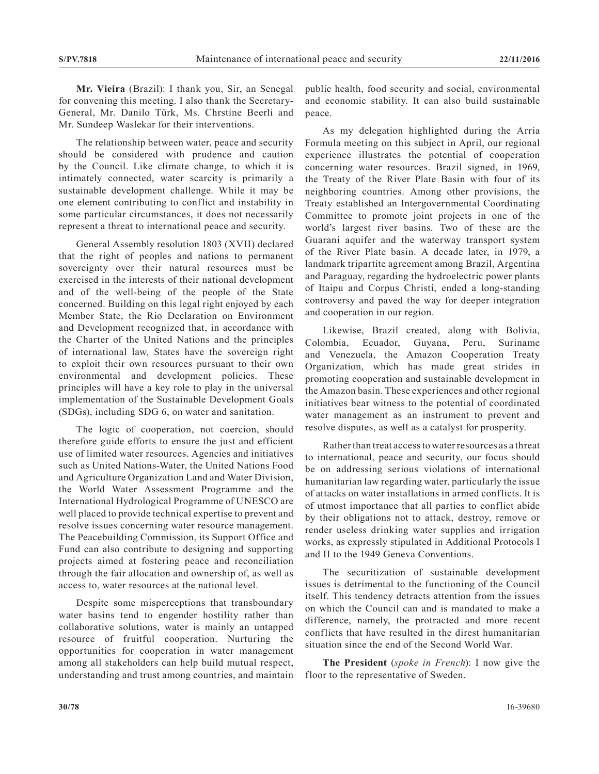**Mr. Vieira** (Brazil): I thank you, Sir, an Senegal for convening this meeting. I also thank the Secretary-General, Mr. Danilo Türk, Ms. Chrstine Beerli and Mr. Sundeep Waslekar for their interventions.

The relationship between water, peace and security should be considered with prudence and caution by the Council. Like climate change, to which it is intimately connected, water scarcity is primarily a sustainable development challenge. While it may be one element contributing to conflict and instability in some particular circumstances, it does not necessarily represent a threat to international peace and security.

General Assembly resolution 1803 (XVII) declared that the right of peoples and nations to permanent sovereignty over their natural resources must be exercised in the interests of their national development and of the well-being of the people of the State concerned. Building on this legal right enjoyed by each Member State, the Rio Declaration on Environment and Development recognized that, in accordance with the Charter of the United Nations and the principles of international law, States have the sovereign right to exploit their own resources pursuant to their own environmental and development policies. These principles will have a key role to play in the universal implementation of the Sustainable Development Goals (SDGs), including SDG 6, on water and sanitation.

The logic of cooperation, not coercion, should therefore guide efforts to ensure the just and efficient use of limited water resources. Agencies and initiatives such as United Nations-Water, the United Nations Food and Agriculture Organization Land and Water Division, the World Water Assessment Programme and the International Hydrological Programme of UNESCO are well placed to provide technical expertise to prevent and resolve issues concerning water resource management. The Peacebuilding Commission, its Support Office and Fund can also contribute to designing and supporting projects aimed at fostering peace and reconciliation through the fair allocation and ownership of, as well as access to, water resources at the national level.

Despite some misperceptions that transboundary water basins tend to engender hostility rather than collaborative solutions, water is mainly an untapped resource of fruitful cooperation. Nurturing the opportunities for cooperation in water management among all stakeholders can help build mutual respect, understanding and trust among countries, and maintain

public health, food security and social, environmental and economic stability. It can also build sustainable peace.

As my delegation highlighted during the Arria Formula meeting on this subject in April, our regional experience illustrates the potential of cooperation concerning water resources. Brazil signed, in 1969, the Treaty of the River Plate Basin with four of its neighboring countries. Among other provisions, the Treaty established an Intergovernmental Coordinating Committee to promote joint projects in one of the world's largest river basins. Two of these are the Guarani aquifer and the waterway transport system of the River Plate basin. A decade later, in 1979, a landmark tripartite agreement among Brazil, Argentina and Paraguay, regarding the hydroelectric power plants of Itaipu and Corpus Christi, ended a long-standing controversy and paved the way for deeper integration and cooperation in our region.

Likewise, Brazil created, along with Bolivia, Colombia, Ecuador, Guyana, Peru, Suriname and Venezuela, the Amazon Cooperation Treaty Organization, which has made great strides in promoting cooperation and sustainable development in the Amazon basin. These experiences and other regional initiatives bear witness to the potential of coordinated water management as an instrument to prevent and resolve disputes, as well as a catalyst for prosperity.

Rather than treat access to water resources as a threat to international, peace and security, our focus should be on addressing serious violations of international humanitarian law regarding water, particularly the issue of attacks on water installations in armed conflicts. It is of utmost importance that all parties to conflict abide by their obligations not to attack, destroy, remove or render useless drinking water supplies and irrigation works, as expressly stipulated in Additional Protocols I and II to the 1949 Geneva Conventions.

The securitization of sustainable development issues is detrimental to the functioning of the Council itself. This tendency detracts attention from the issues on which the Council can and is mandated to make a difference, namely, the protracted and more recent conflicts that have resulted in the direst humanitarian situation since the end of the Second World War.

**The President** (*spoke in French*): I now give the floor to the representative of Sweden.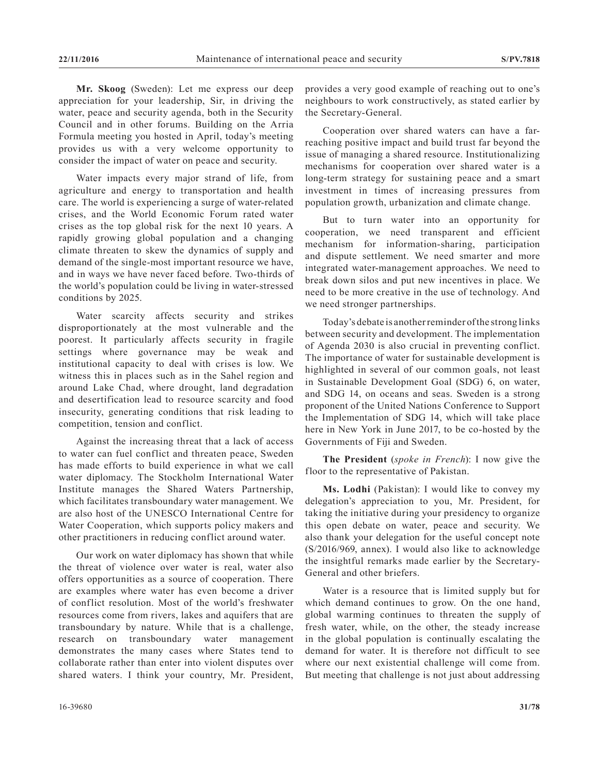**Mr. Skoog** (Sweden): Let me express our deep appreciation for your leadership, Sir, in driving the water, peace and security agenda, both in the Security Council and in other forums. Building on the Arria Formula meeting you hosted in April, today's meeting provides us with a very welcome opportunity to consider the impact of water on peace and security.

Water impacts every major strand of life, from agriculture and energy to transportation and health care. The world is experiencing a surge of water-related crises, and the World Economic Forum rated water crises as the top global risk for the next 10 years. A rapidly growing global population and a changing climate threaten to skew the dynamics of supply and demand of the single-most important resource we have, and in ways we have never faced before. Two-thirds of the world's population could be living in water-stressed conditions by 2025.

Water scarcity affects security and strikes disproportionately at the most vulnerable and the poorest. It particularly affects security in fragile settings where governance may be weak and institutional capacity to deal with crises is low. We witness this in places such as in the Sahel region and around Lake Chad, where drought, land degradation and desertification lead to resource scarcity and food insecurity, generating conditions that risk leading to competition, tension and conflict.

Against the increasing threat that a lack of access to water can fuel conflict and threaten peace, Sweden has made efforts to build experience in what we call water diplomacy. The Stockholm International Water Institute manages the Shared Waters Partnership, which facilitates transboundary water management. We are also host of the UNESCO International Centre for Water Cooperation, which supports policy makers and other practitioners in reducing conflict around water.

Our work on water diplomacy has shown that while the threat of violence over water is real, water also offers opportunities as a source of cooperation. There are examples where water has even become a driver of conflict resolution. Most of the world's freshwater resources come from rivers, lakes and aquifers that are transboundary by nature. While that is a challenge, research on transboundary water management demonstrates the many cases where States tend to collaborate rather than enter into violent disputes over shared waters. I think your country, Mr. President,

provides a very good example of reaching out to one's neighbours to work constructively, as stated earlier by the Secretary-General.

Cooperation over shared waters can have a farreaching positive impact and build trust far beyond the issue of managing a shared resource. Institutionalizing mechanisms for cooperation over shared water is a long-term strategy for sustaining peace and a smart investment in times of increasing pressures from population growth, urbanization and climate change.

But to turn water into an opportunity for cooperation, we need transparent and efficient mechanism for information-sharing, participation and dispute settlement. We need smarter and more integrated water-management approaches. We need to break down silos and put new incentives in place. We need to be more creative in the use of technology. And we need stronger partnerships.

Today's debate is another reminder of the strong links between security and development. The implementation of Agenda 2030 is also crucial in preventing conflict. The importance of water for sustainable development is highlighted in several of our common goals, not least in Sustainable Development Goal (SDG) 6, on water, and SDG 14, on oceans and seas. Sweden is a strong proponent of the United Nations Conference to Support the Implementation of SDG 14, which will take place here in New York in June 2017, to be co-hosted by the Governments of Fiji and Sweden.

**The President** (*spoke in French*): I now give the floor to the representative of Pakistan.

**Ms. Lodhi** (Pakistan): I would like to convey my delegation's appreciation to you, Mr. President, for taking the initiative during your presidency to organize this open debate on water, peace and security. We also thank your delegation for the useful concept note (S/2016/969, annex). I would also like to acknowledge the insightful remarks made earlier by the Secretary-General and other briefers.

Water is a resource that is limited supply but for which demand continues to grow. On the one hand, global warming continues to threaten the supply of fresh water, while, on the other, the steady increase in the global population is continually escalating the demand for water. It is therefore not difficult to see where our next existential challenge will come from. But meeting that challenge is not just about addressing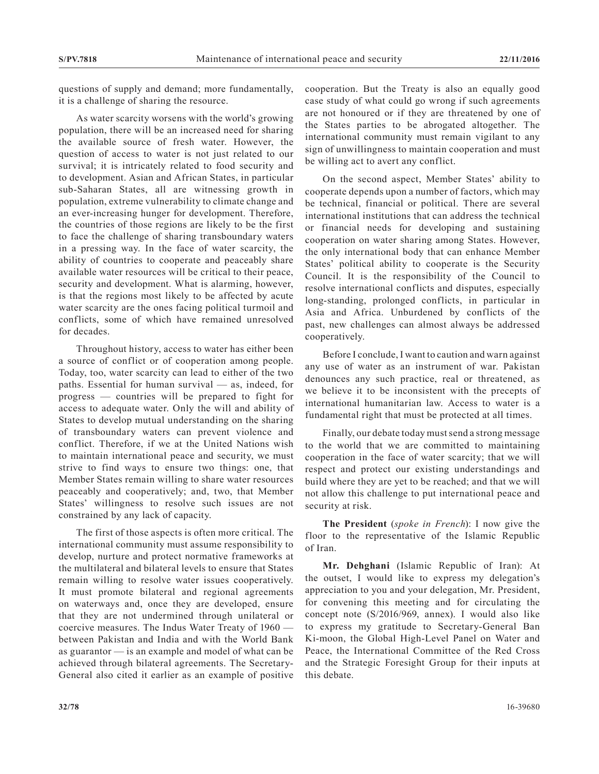questions of supply and demand; more fundamentally, it is a challenge of sharing the resource.

As water scarcity worsens with the world's growing population, there will be an increased need for sharing the available source of fresh water. However, the question of access to water is not just related to our survival; it is intricately related to food security and to development. Asian and African States, in particular sub-Saharan States, all are witnessing growth in population, extreme vulnerability to climate change and an ever-increasing hunger for development. Therefore, the countries of those regions are likely to be the first to face the challenge of sharing transboundary waters in a pressing way. In the face of water scarcity, the ability of countries to cooperate and peaceably share available water resources will be critical to their peace, security and development. What is alarming, however, is that the regions most likely to be affected by acute water scarcity are the ones facing political turmoil and conflicts, some of which have remained unresolved for decades.

Throughout history, access to water has either been a source of conflict or of cooperation among people. Today, too, water scarcity can lead to either of the two paths. Essential for human survival — as, indeed, for progress — countries will be prepared to fight for access to adequate water. Only the will and ability of States to develop mutual understanding on the sharing of transboundary waters can prevent violence and conflict. Therefore, if we at the United Nations wish to maintain international peace and security, we must strive to find ways to ensure two things: one, that Member States remain willing to share water resources peaceably and cooperatively; and, two, that Member States' willingness to resolve such issues are not constrained by any lack of capacity.

The first of those aspects is often more critical. The international community must assume responsibility to develop, nurture and protect normative frameworks at the multilateral and bilateral levels to ensure that States remain willing to resolve water issues cooperatively. It must promote bilateral and regional agreements on waterways and, once they are developed, ensure that they are not undermined through unilateral or coercive measures. The Indus Water Treaty of 1960 between Pakistan and India and with the World Bank as guarantor — is an example and model of what can be achieved through bilateral agreements. The Secretary-General also cited it earlier as an example of positive cooperation. But the Treaty is also an equally good case study of what could go wrong if such agreements are not honoured or if they are threatened by one of the States parties to be abrogated altogether. The international community must remain vigilant to any sign of unwillingness to maintain cooperation and must be willing act to avert any conflict.

On the second aspect, Member States' ability to cooperate depends upon a number of factors, which may be technical, financial or political. There are several international institutions that can address the technical or financial needs for developing and sustaining cooperation on water sharing among States. However, the only international body that can enhance Member States' political ability to cooperate is the Security Council. It is the responsibility of the Council to resolve international conflicts and disputes, especially long-standing, prolonged conflicts, in particular in Asia and Africa. Unburdened by conflicts of the past, new challenges can almost always be addressed cooperatively.

Before I conclude, I want to caution and warn against any use of water as an instrument of war. Pakistan denounces any such practice, real or threatened, as we believe it to be inconsistent with the precepts of international humanitarian law. Access to water is a fundamental right that must be protected at all times.

Finally, our debate today must send a strong message to the world that we are committed to maintaining cooperation in the face of water scarcity; that we will respect and protect our existing understandings and build where they are yet to be reached; and that we will not allow this challenge to put international peace and security at risk.

**The President** (*spoke in French*): I now give the floor to the representative of the Islamic Republic of Iran.

**Mr. Dehghani** (Islamic Republic of Iran): At the outset, I would like to express my delegation's appreciation to you and your delegation, Mr. President, for convening this meeting and for circulating the concept note (S/2016/969, annex). I would also like to express my gratitude to Secretary-General Ban Ki-moon, the Global High-Level Panel on Water and Peace, the International Committee of the Red Cross and the Strategic Foresight Group for their inputs at this debate.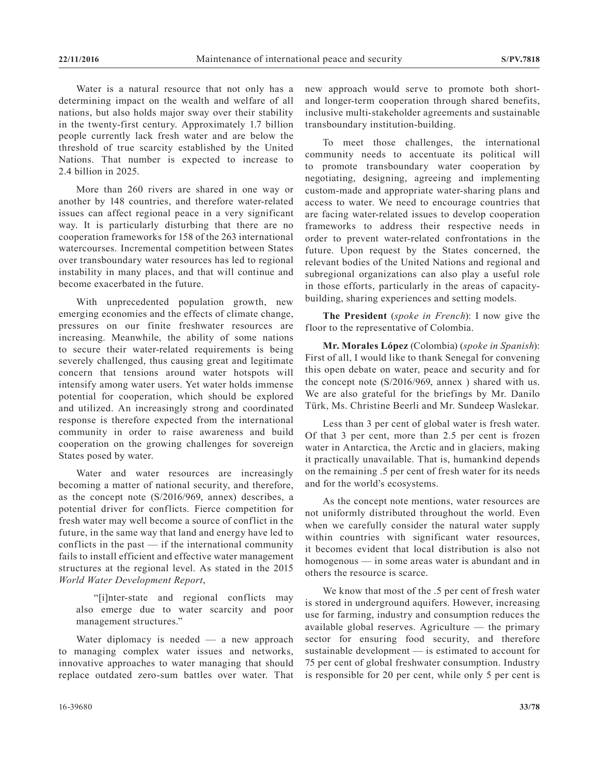Water is a natural resource that not only has a determining impact on the wealth and welfare of all nations, but also holds major sway over their stability in the twenty-first century. Approximately 1.7 billion people currently lack fresh water and are below the threshold of true scarcity established by the United Nations. That number is expected to increase to 2.4 billion in 2025.

More than 260 rivers are shared in one way or another by 148 countries, and therefore water-related issues can affect regional peace in a very significant way. It is particularly disturbing that there are no cooperation frameworks for 158 of the 263 international watercourses. Incremental competition between States over transboundary water resources has led to regional instability in many places, and that will continue and become exacerbated in the future.

With unprecedented population growth, new emerging economies and the effects of climate change, pressures on our finite freshwater resources are increasing. Meanwhile, the ability of some nations to secure their water-related requirements is being severely challenged, thus causing great and legitimate concern that tensions around water hotspots will intensify among water users. Yet water holds immense potential for cooperation, which should be explored and utilized. An increasingly strong and coordinated response is therefore expected from the international community in order to raise awareness and build cooperation on the growing challenges for sovereign States posed by water.

Water and water resources are increasingly becoming a matter of national security, and therefore, as the concept note (S/2016/969, annex) describes, a potential driver for conflicts. Fierce competition for fresh water may well become a source of conflict in the future, in the same way that land and energy have led to conflicts in the past  $-$  if the international community fails to install efficient and effective water management structures at the regional level. As stated in the 2015 *World Water Development Report*,

"[i]nter-state and regional conflicts may also emerge due to water scarcity and poor management structures."

Water diplomacy is needed — a new approach to managing complex water issues and networks, innovative approaches to water managing that should replace outdated zero-sum battles over water. That new approach would serve to promote both shortand longer-term cooperation through shared benefits, inclusive multi-stakeholder agreements and sustainable transboundary institution-building.

To meet those challenges, the international community needs to accentuate its political will to promote transboundary water cooperation by negotiating, designing, agreeing and implementing custom-made and appropriate water-sharing plans and access to water. We need to encourage countries that are facing water-related issues to develop cooperation frameworks to address their respective needs in order to prevent water-related confrontations in the future. Upon request by the States concerned, the relevant bodies of the United Nations and regional and subregional organizations can also play a useful role in those efforts, particularly in the areas of capacitybuilding, sharing experiences and setting models.

**The President** (*spoke in French*): I now give the floor to the representative of Colombia.

**Mr. Morales López** (Colombia) (*spoke in Spanish*): First of all, I would like to thank Senegal for convening this open debate on water, peace and security and for the concept note (S/2016/969, annex ) shared with us. We are also grateful for the briefings by Mr. Danilo Türk, Ms. Christine Beerli and Mr. Sundeep Waslekar.

Less than 3 per cent of global water is fresh water. Of that 3 per cent, more than 2.5 per cent is frozen water in Antarctica, the Arctic and in glaciers, making it practically unavailable. That is, humankind depends on the remaining .5 per cent of fresh water for its needs and for the world's ecosystems.

As the concept note mentions, water resources are not uniformly distributed throughout the world. Even when we carefully consider the natural water supply within countries with significant water resources, it becomes evident that local distribution is also not homogenous — in some areas water is abundant and in others the resource is scarce.

We know that most of the .5 per cent of fresh water is stored in underground aquifers. However, increasing use for farming, industry and consumption reduces the available global reserves. Agriculture — the primary sector for ensuring food security, and therefore sustainable development — is estimated to account for 75 per cent of global freshwater consumption. Industry is responsible for 20 per cent, while only 5 per cent is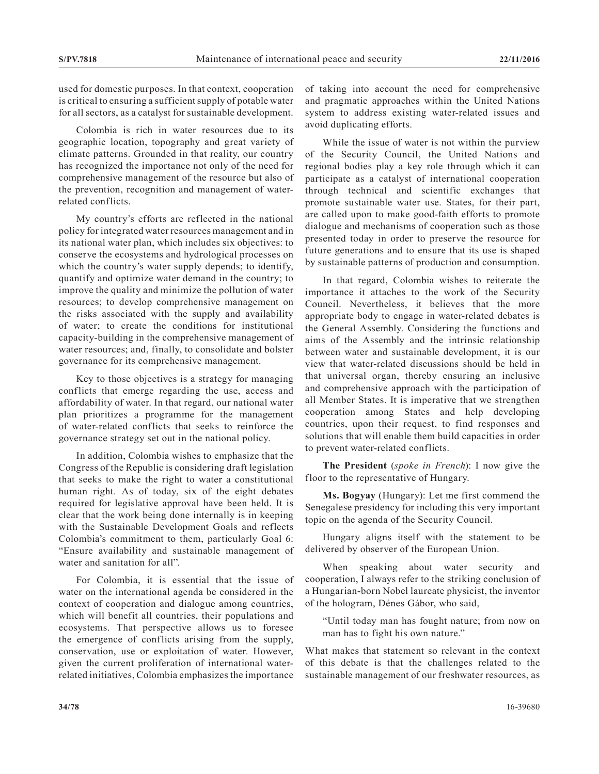used for domestic purposes. In that context, cooperation is critical to ensuring a sufficient supply of potable water for all sectors, as a catalyst for sustainable development.

Colombia is rich in water resources due to its geographic location, topography and great variety of climate patterns. Grounded in that reality, our country has recognized the importance not only of the need for comprehensive management of the resource but also of the prevention, recognition and management of waterrelated conflicts.

My country's efforts are reflected in the national policy for integrated water resources management and in its national water plan, which includes six objectives: to conserve the ecosystems and hydrological processes on which the country's water supply depends; to identify, quantify and optimize water demand in the country; to improve the quality and minimize the pollution of water resources; to develop comprehensive management on the risks associated with the supply and availability of water; to create the conditions for institutional capacity-building in the comprehensive management of water resources; and, finally, to consolidate and bolster governance for its comprehensive management.

Key to those objectives is a strategy for managing conflicts that emerge regarding the use, access and affordability of water. In that regard, our national water plan prioritizes a programme for the management of water-related conflicts that seeks to reinforce the governance strategy set out in the national policy.

In addition, Colombia wishes to emphasize that the Congress of the Republic is considering draft legislation that seeks to make the right to water a constitutional human right. As of today, six of the eight debates required for legislative approval have been held. It is clear that the work being done internally is in keeping with the Sustainable Development Goals and reflects Colombia's commitment to them, particularly Goal 6: "Ensure availability and sustainable management of water and sanitation for all".

For Colombia, it is essential that the issue of water on the international agenda be considered in the context of cooperation and dialogue among countries, which will benefit all countries, their populations and ecosystems. That perspective allows us to foresee the emergence of conflicts arising from the supply, conservation, use or exploitation of water. However, given the current proliferation of international waterrelated initiatives, Colombia emphasizes the importance

of taking into account the need for comprehensive and pragmatic approaches within the United Nations system to address existing water-related issues and avoid duplicating efforts.

While the issue of water is not within the purview of the Security Council, the United Nations and regional bodies play a key role through which it can participate as a catalyst of international cooperation through technical and scientific exchanges that promote sustainable water use. States, for their part, are called upon to make good-faith efforts to promote dialogue and mechanisms of cooperation such as those presented today in order to preserve the resource for future generations and to ensure that its use is shaped by sustainable patterns of production and consumption.

In that regard, Colombia wishes to reiterate the importance it attaches to the work of the Security Council. Nevertheless, it believes that the more appropriate body to engage in water-related debates is the General Assembly. Considering the functions and aims of the Assembly and the intrinsic relationship between water and sustainable development, it is our view that water-related discussions should be held in that universal organ, thereby ensuring an inclusive and comprehensive approach with the participation of all Member States. It is imperative that we strengthen cooperation among States and help developing countries, upon their request, to find responses and solutions that will enable them build capacities in order to prevent water-related conflicts.

**The President** (*spoke in French*): I now give the floor to the representative of Hungary.

**Ms. Bogyay** (Hungary): Let me first commend the Senegalese presidency for including this very important topic on the agenda of the Security Council.

Hungary aligns itself with the statement to be delivered by observer of the European Union.

When speaking about water security and cooperation, I always refer to the striking conclusion of a Hungarian-born Nobel laureate physicist, the inventor of the hologram, Dénes Gábor, who said,

"Until today man has fought nature; from now on man has to fight his own nature."

What makes that statement so relevant in the context of this debate is that the challenges related to the sustainable management of our freshwater resources, as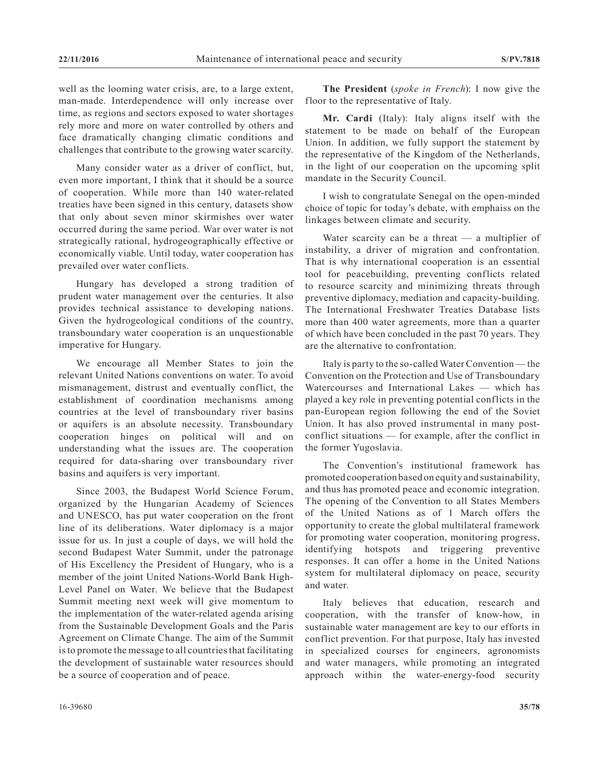well as the looming water crisis, are, to a large extent, man-made. Interdependence will only increase over time, as regions and sectors exposed to water shortages rely more and more on water controlled by others and face dramatically changing climatic conditions and challenges that contribute to the growing water scarcity.

Many consider water as a driver of conflict, but, even more important, I think that it should be a source of cooperation. While more than 140 water-related treaties have been signed in this century, datasets show that only about seven minor skirmishes over water occurred during the same period. War over water is not strategically rational, hydrogeographically effective or economically viable. Until today, water cooperation has prevailed over water conflicts.

Hungary has developed a strong tradition of prudent water management over the centuries. It also provides technical assistance to developing nations. Given the hydrogeological conditions of the country, transboundary water cooperation is an unquestionable imperative for Hungary.

We encourage all Member States to join the relevant United Nations conventions on water. To avoid mismanagement, distrust and eventually conflict, the establishment of coordination mechanisms among countries at the level of transboundary river basins or aquifers is an absolute necessity. Transboundary cooperation hinges on political will and on understanding what the issues are. The cooperation required for data-sharing over transboundary river basins and aquifers is very important.

Since 2003, the Budapest World Science Forum, organized by the Hungarian Academy of Sciences and UNESCO, has put water cooperation on the front line of its deliberations. Water diplomacy is a major issue for us. In just a couple of days, we will hold the second Budapest Water Summit, under the patronage of His Excellency the President of Hungary, who is a member of the joint United Nations-World Bank High-Level Panel on Water. We believe that the Budapest Summit meeting next week will give momentum to the implementation of the water-related agenda arising from the Sustainable Development Goals and the Paris Agreement on Climate Change. The aim of the Summit is to promote the message to all countries that facilitating the development of sustainable water resources should be a source of cooperation and of peace.

**The President** (*spoke in French*): I now give the floor to the representative of Italy.

**Mr. Cardi** (Italy): Italy aligns itself with the statement to be made on behalf of the European Union. In addition, we fully support the statement by the representative of the Kingdom of the Netherlands, in the light of our cooperation on the upcoming split mandate in the Security Council.

I wish to congratulate Senegal on the open-minded choice of topic for today's debate, with emphaiss on the linkages between climate and security.

Water scarcity can be a threat  $-$  a multiplier of instability, a driver of migration and confrontation. That is why international cooperation is an essential tool for peacebuilding, preventing conflicts related to resource scarcity and minimizing threats through preventive diplomacy, mediation and capacity-building. The International Freshwater Treaties Database lists more than 400 water agreements, more than a quarter of which have been concluded in the past 70 years. They are the alternative to confrontation.

Italy is party to the so-called Water Convention — the Convention on the Protection and Use of Transboundary Watercourses and International Lakes — which has played a key role in preventing potential conflicts in the pan-European region following the end of the Soviet Union. It has also proved instrumental in many postconflict situations — for example, after the conflict in the former Yugoslavia.

The Convention's institutional framework has promoted cooperation based on equity and sustainability, and thus has promoted peace and economic integration. The opening of the Convention to all States Members of the United Nations as of 1 March offers the opportunity to create the global multilateral framework for promoting water cooperation, monitoring progress, identifying hotspots and triggering preventive responses. It can offer a home in the United Nations system for multilateral diplomacy on peace, security and water.

Italy believes that education, research and cooperation, with the transfer of know-how, in sustainable water management are key to our efforts in conflict prevention. For that purpose, Italy has invested in specialized courses for engineers, agronomists and water managers, while promoting an integrated approach within the water-energy-food security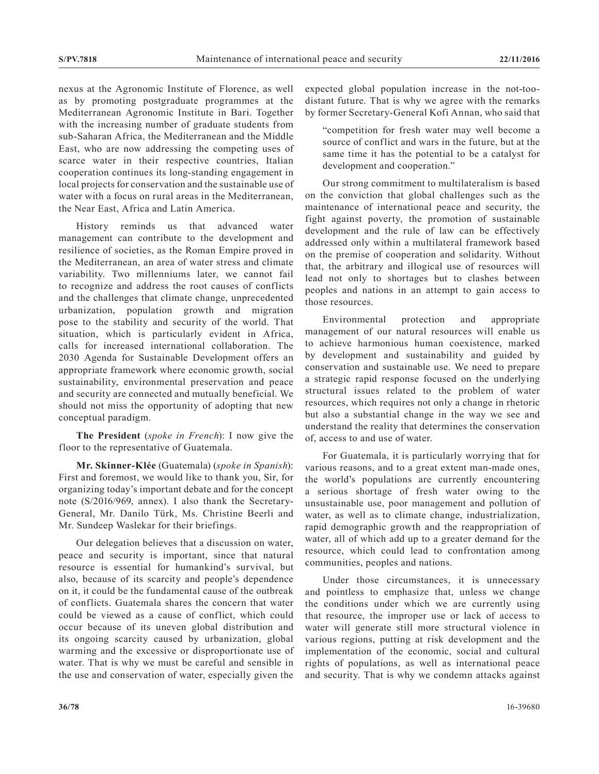nexus at the Agronomic Institute of Florence, as well as by promoting postgraduate programmes at the Mediterranean Agronomic Institute in Bari. Together with the increasing number of graduate students from sub-Saharan Africa, the Mediterranean and the Middle East, who are now addressing the competing uses of scarce water in their respective countries, Italian cooperation continues its long-standing engagement in local projects for conservation and the sustainable use of water with a focus on rural areas in the Mediterranean, the Near East, Africa and Latin America.

History reminds us that advanced water management can contribute to the development and resilience of societies, as the Roman Empire proved in the Mediterranean, an area of water stress and climate variability. Two millenniums later, we cannot fail to recognize and address the root causes of conflicts and the challenges that climate change, unprecedented urbanization, population growth and migration pose to the stability and security of the world. That situation, which is particularly evident in Africa, calls for increased international collaboration. The 2030 Agenda for Sustainable Development offers an appropriate framework where economic growth, social sustainability, environmental preservation and peace and security are connected and mutually beneficial. We should not miss the opportunity of adopting that new conceptual paradigm.

**The President** (*spoke in French*): I now give the floor to the representative of Guatemala.

**Mr. Skinner-Klée** (Guatemala) (*spoke in Spanish*): First and foremost, we would like to thank you, Sir, for organizing today's important debate and for the concept note (S/2016/969, annex). I also thank the Secretary-General, Mr. Danilo Türk, Ms. Christine Beerli and Mr. Sundeep Waslekar for their briefings.

Our delegation believes that a discussion on water, peace and security is important, since that natural resource is essential for humankind's survival, but also, because of its scarcity and people's dependence on it, it could be the fundamental cause of the outbreak of conflicts. Guatemala shares the concern that water could be viewed as a cause of conflict, which could occur because of its uneven global distribution and its ongoing scarcity caused by urbanization, global warming and the excessive or disproportionate use of water. That is why we must be careful and sensible in the use and conservation of water, especially given the

expected global population increase in the not-toodistant future. That is why we agree with the remarks by former Secretary-General Kofi Annan, who said that

"competition for fresh water may well become a source of conflict and wars in the future, but at the same time it has the potential to be a catalyst for development and cooperation."

Our strong commitment to multilateralism is based on the conviction that global challenges such as the maintenance of international peace and security, the fight against poverty, the promotion of sustainable development and the rule of law can be effectively addressed only within a multilateral framework based on the premise of cooperation and solidarity. Without that, the arbitrary and illogical use of resources will lead not only to shortages but to clashes between peoples and nations in an attempt to gain access to those resources.

Environmental protection and appropriate management of our natural resources will enable us to achieve harmonious human coexistence, marked by development and sustainability and guided by conservation and sustainable use. We need to prepare a strategic rapid response focused on the underlying structural issues related to the problem of water resources, which requires not only a change in rhetoric but also a substantial change in the way we see and understand the reality that determines the conservation of, access to and use of water.

For Guatemala, it is particularly worrying that for various reasons, and to a great extent man-made ones, the world's populations are currently encountering a serious shortage of fresh water owing to the unsustainable use, poor management and pollution of water, as well as to climate change, industrialization, rapid demographic growth and the reappropriation of water, all of which add up to a greater demand for the resource, which could lead to confrontation among communities, peoples and nations.

Under those circumstances, it is unnecessary and pointless to emphasize that, unless we change the conditions under which we are currently using that resource, the improper use or lack of access to water will generate still more structural violence in various regions, putting at risk development and the implementation of the economic, social and cultural rights of populations, as well as international peace and security. That is why we condemn attacks against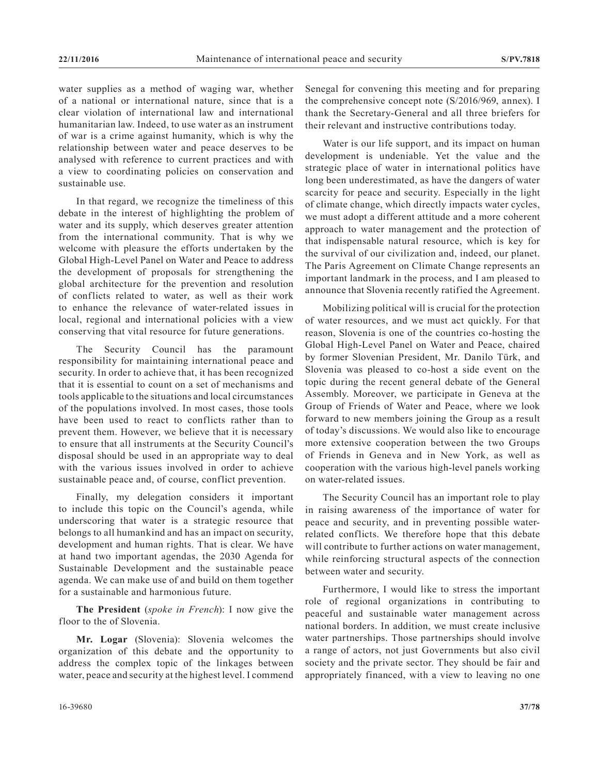water supplies as a method of waging war, whether of a national or international nature, since that is a clear violation of international law and international humanitarian law. Indeed, to use water as an instrument of war is a crime against humanity, which is why the relationship between water and peace deserves to be analysed with reference to current practices and with a view to coordinating policies on conservation and sustainable use.

In that regard, we recognize the timeliness of this debate in the interest of highlighting the problem of water and its supply, which deserves greater attention from the international community. That is why we welcome with pleasure the efforts undertaken by the Global High-Level Panel on Water and Peace to address the development of proposals for strengthening the global architecture for the prevention and resolution of conflicts related to water, as well as their work to enhance the relevance of water-related issues in local, regional and international policies with a view conserving that vital resource for future generations.

The Security Council has the paramount responsibility for maintaining international peace and security. In order to achieve that, it has been recognized that it is essential to count on a set of mechanisms and tools applicable to the situations and local circumstances of the populations involved. In most cases, those tools have been used to react to conflicts rather than to prevent them. However, we believe that it is necessary to ensure that all instruments at the Security Council's disposal should be used in an appropriate way to deal with the various issues involved in order to achieve sustainable peace and, of course, conflict prevention.

Finally, my delegation considers it important to include this topic on the Council's agenda, while underscoring that water is a strategic resource that belongs to all humankind and has an impact on security, development and human rights. That is clear. We have at hand two important agendas, the 2030 Agenda for Sustainable Development and the sustainable peace agenda. We can make use of and build on them together for a sustainable and harmonious future.

**The President** (*spoke in French*): I now give the floor to the of Slovenia.

**Mr. Logar** (Slovenia): Slovenia welcomes the organization of this debate and the opportunity to address the complex topic of the linkages between water, peace and security at the highest level. I commend Senegal for convening this meeting and for preparing the comprehensive concept note (S/2016/969, annex). I thank the Secretary-General and all three briefers for their relevant and instructive contributions today.

Water is our life support, and its impact on human development is undeniable. Yet the value and the strategic place of water in international politics have long been underestimated, as have the dangers of water scarcity for peace and security. Especially in the light of climate change, which directly impacts water cycles, we must adopt a different attitude and a more coherent approach to water management and the protection of that indispensable natural resource, which is key for the survival of our civilization and, indeed, our planet. The Paris Agreement on Climate Change represents an important landmark in the process, and I am pleased to announce that Slovenia recently ratified the Agreement.

Mobilizing political will is crucial for the protection of water resources, and we must act quickly. For that reason, Slovenia is one of the countries co-hosting the Global High-Level Panel on Water and Peace, chaired by former Slovenian President, Mr. Danilo Türk, and Slovenia was pleased to co-host a side event on the topic during the recent general debate of the General Assembly. Moreover, we participate in Geneva at the Group of Friends of Water and Peace, where we look forward to new members joining the Group as a result of today's discussions. We would also like to encourage more extensive cooperation between the two Groups of Friends in Geneva and in New York, as well as cooperation with the various high-level panels working on water-related issues.

The Security Council has an important role to play in raising awareness of the importance of water for peace and security, and in preventing possible waterrelated conflicts. We therefore hope that this debate will contribute to further actions on water management, while reinforcing structural aspects of the connection between water and security.

Furthermore, I would like to stress the important role of regional organizations in contributing to peaceful and sustainable water management across national borders. In addition, we must create inclusive water partnerships. Those partnerships should involve a range of actors, not just Governments but also civil society and the private sector. They should be fair and appropriately financed, with a view to leaving no one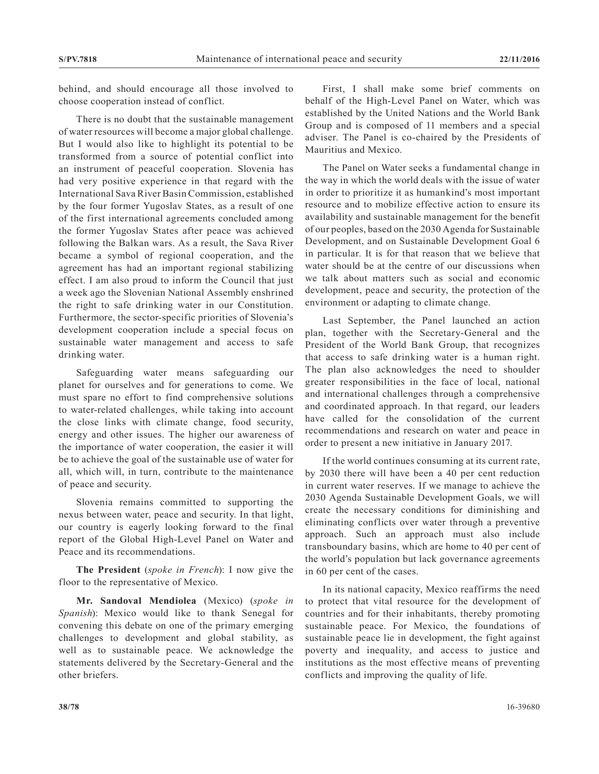behind, and should encourage all those involved to choose cooperation instead of conflict.

There is no doubt that the sustainable management of water resources will become a major global challenge. But I would also like to highlight its potential to be transformed from a source of potential conflict into an instrument of peaceful cooperation. Slovenia has had very positive experience in that regard with the International Sava River Basin Commission, established by the four former Yugoslav States, as a result of one of the first international agreements concluded among the former Yugoslav States after peace was achieved following the Balkan wars. As a result, the Sava River became a symbol of regional cooperation, and the agreement has had an important regional stabilizing effect. I am also proud to inform the Council that just a week ago the Slovenian National Assembly enshrined the right to safe drinking water in our Constitution. Furthermore, the sector-specific priorities of Slovenia's development cooperation include a special focus on sustainable water management and access to safe drinking water.

Safeguarding water means safeguarding our planet for ourselves and for generations to come. We must spare no effort to find comprehensive solutions to water-related challenges, while taking into account the close links with climate change, food security, energy and other issues. The higher our awareness of the importance of water cooperation, the easier it will be to achieve the goal of the sustainable use of water for all, which will, in turn, contribute to the maintenance of peace and security.

Slovenia remains committed to supporting the nexus between water, peace and security. In that light, our country is eagerly looking forward to the final report of the Global High-Level Panel on Water and Peace and its recommendations.

**The President** (*spoke in French*): I now give the floor to the representative of Mexico.

**Mr. Sandoval Mendiolea** (Mexico) (*spoke in Spanish*): Mexico would like to thank Senegal for convening this debate on one of the primary emerging challenges to development and global stability, as well as to sustainable peace. We acknowledge the statements delivered by the Secretary-General and the other briefers.

First, I shall make some brief comments on behalf of the High-Level Panel on Water, which was established by the United Nations and the World Bank Group and is composed of 11 members and a special adviser. The Panel is co-chaired by the Presidents of Mauritius and Mexico.

The Panel on Water seeks a fundamental change in the way in which the world deals with the issue of water in order to prioritize it as humankind's most important resource and to mobilize effective action to ensure its availability and sustainable management for the benefit of our peoples, based on the 2030 Agenda for Sustainable Development, and on Sustainable Development Goal 6 in particular. It is for that reason that we believe that water should be at the centre of our discussions when we talk about matters such as social and economic development, peace and security, the protection of the environment or adapting to climate change.

Last September, the Panel launched an action plan, together with the Secretary-General and the President of the World Bank Group, that recognizes that access to safe drinking water is a human right. The plan also acknowledges the need to shoulder greater responsibilities in the face of local, national and international challenges through a comprehensive and coordinated approach. In that regard, our leaders have called for the consolidation of the current recommendations and research on water and peace in order to present a new initiative in January 2017.

If the world continues consuming at its current rate, by 2030 there will have been a 40 per cent reduction in current water reserves. If we manage to achieve the 2030 Agenda Sustainable Development Goals, we will create the necessary conditions for diminishing and eliminating conflicts over water through a preventive approach. Such an approach must also include transboundary basins, which are home to 40 per cent of the world's population but lack governance agreements in 60 per cent of the cases.

In its national capacity, Mexico reaffirms the need to protect that vital resource for the development of countries and for their inhabitants, thereby promoting sustainable peace. For Mexico, the foundations of sustainable peace lie in development, the fight against poverty and inequality, and access to justice and institutions as the most effective means of preventing conflicts and improving the quality of life.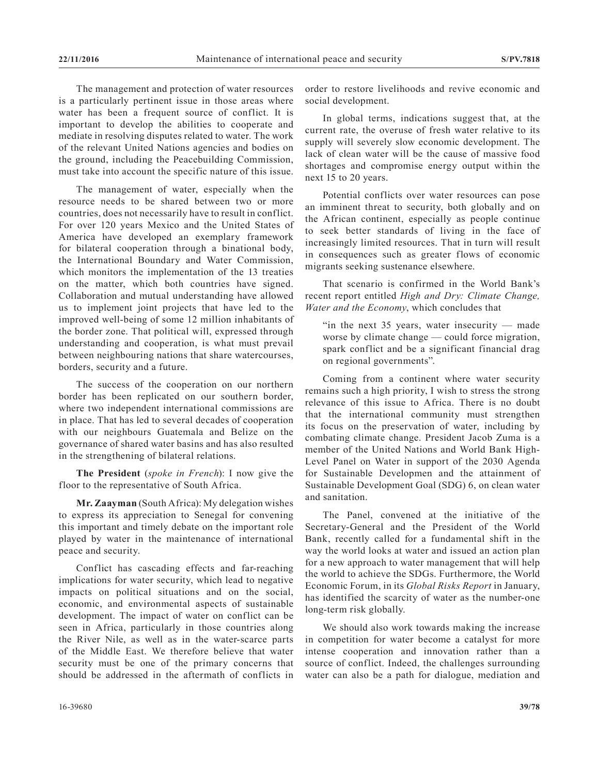The management and protection of water resources is a particularly pertinent issue in those areas where water has been a frequent source of conflict. It is important to develop the abilities to cooperate and mediate in resolving disputes related to water. The work of the relevant United Nations agencies and bodies on the ground, including the Peacebuilding Commission, must take into account the specific nature of this issue.

The management of water, especially when the resource needs to be shared between two or more countries, does not necessarily have to result in conflict. For over 120 years Mexico and the United States of America have developed an exemplary framework for bilateral cooperation through a binational body, the International Boundary and Water Commission, which monitors the implementation of the 13 treaties on the matter, which both countries have signed. Collaboration and mutual understanding have allowed us to implement joint projects that have led to the improved well-being of some 12 million inhabitants of the border zone. That political will, expressed through understanding and cooperation, is what must prevail between neighbouring nations that share watercourses, borders, security and a future.

The success of the cooperation on our northern border has been replicated on our southern border, where two independent international commissions are in place. That has led to several decades of cooperation with our neighbours Guatemala and Belize on the governance of shared water basins and has also resulted in the strengthening of bilateral relations.

**The President** (*spoke in French*): I now give the floor to the representative of South Africa.

**Mr. Zaayman** (South Africa): My delegation wishes to express its appreciation to Senegal for convening this important and timely debate on the important role played by water in the maintenance of international peace and security.

Conflict has cascading effects and far-reaching implications for water security, which lead to negative impacts on political situations and on the social, economic, and environmental aspects of sustainable development. The impact of water on conflict can be seen in Africa, particularly in those countries along the River Nile, as well as in the water-scarce parts of the Middle East. We therefore believe that water security must be one of the primary concerns that should be addressed in the aftermath of conflicts in

order to restore livelihoods and revive economic and social development.

In global terms, indications suggest that, at the current rate, the overuse of fresh water relative to its supply will severely slow economic development. The lack of clean water will be the cause of massive food shortages and compromise energy output within the next 15 to 20 years.

Potential conflicts over water resources can pose an imminent threat to security, both globally and on the African continent, especially as people continue to seek better standards of living in the face of increasingly limited resources. That in turn will result in consequences such as greater flows of economic migrants seeking sustenance elsewhere.

That scenario is confirmed in the World Bank's recent report entitled *High and Dry: Climate Change, Water and the Economy*, which concludes that

"in the next 35 years, water insecurity — made worse by climate change — could force migration, spark conflict and be a significant financial drag on regional governments".

Coming from a continent where water security remains such a high priority, I wish to stress the strong relevance of this issue to Africa. There is no doubt that the international community must strengthen its focus on the preservation of water, including by combating climate change. President Jacob Zuma is a member of the United Nations and World Bank High-Level Panel on Water in support of the 2030 Agenda for Sustainable Developmen and the attainment of Sustainable Development Goal (SDG) 6, on clean water and sanitation.

The Panel, convened at the initiative of the Secretary-General and the President of the World Bank, recently called for a fundamental shift in the way the world looks at water and issued an action plan for a new approach to water management that will help the world to achieve the SDGs. Furthermore, the World Economic Forum, in its *Global Risks Report* in January, has identified the scarcity of water as the number-one long-term risk globally.

We should also work towards making the increase in competition for water become a catalyst for more intense cooperation and innovation rather than a source of conflict. Indeed, the challenges surrounding water can also be a path for dialogue, mediation and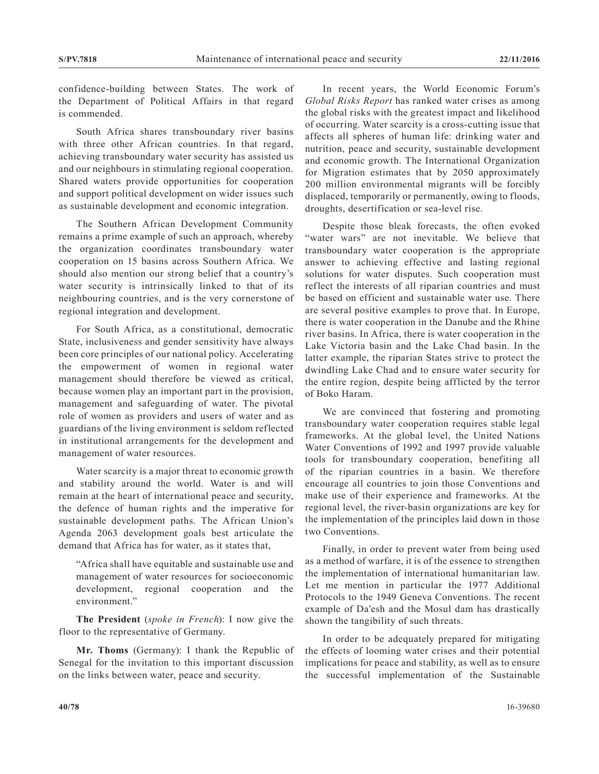confidence-building between States. The work of the Department of Political Affairs in that regard is commended.

South Africa shares transboundary river basins with three other African countries. In that regard, achieving transboundary water security has assisted us and our neighbours in stimulating regional cooperation. Shared waters provide opportunities for cooperation and support political development on wider issues such as sustainable development and economic integration.

The Southern African Development Community remains a prime example of such an approach, whereby the organization coordinates transboundary water cooperation on 15 basins across Southern Africa. We should also mention our strong belief that a country's water security is intrinsically linked to that of its neighbouring countries, and is the very cornerstone of regional integration and development.

For South Africa, as a constitutional, democratic State, inclusiveness and gender sensitivity have always been core principles of our national policy. Accelerating the empowerment of women in regional water management should therefore be viewed as critical, because women play an important part in the provision, management and safeguarding of water. The pivotal role of women as providers and users of water and as guardians of the living environment is seldom reflected in institutional arrangements for the development and management of water resources.

Water scarcity is a major threat to economic growth and stability around the world. Water is and will remain at the heart of international peace and security, the defence of human rights and the imperative for sustainable development paths. The African Union's Agenda 2063 development goals best articulate the demand that Africa has for water, as it states that,

"Africa shall have equitable and sustainable use and management of water resources for socioeconomic development, regional cooperation and the environment."

**The President** (*spoke in French*): I now give the floor to the representative of Germany.

**Mr. Thoms** (Germany): I thank the Republic of Senegal for the invitation to this important discussion on the links between water, peace and security.

In recent years, the World Economic Forum's *Global Risks Report* has ranked water crises as among the global risks with the greatest impact and likelihood of occurring. Water scarcity is a cross-cutting issue that affects all spheres of human life: drinking water and nutrition, peace and security, sustainable development and economic growth. The International Organization for Migration estimates that by 2050 approximately 200 million environmental migrants will be forcibly displaced, temporarily or permanently, owing to floods, droughts, desertification or sea-level rise.

Despite those bleak forecasts, the often evoked "water wars" are not inevitable. We believe that transboundary water cooperation is the appropriate answer to achieving effective and lasting regional solutions for water disputes. Such cooperation must reflect the interests of all riparian countries and must be based on efficient and sustainable water use. There are several positive examples to prove that. In Europe, there is water cooperation in the Danube and the Rhine river basins. In Africa, there is water cooperation in the Lake Victoria basin and the Lake Chad basin. In the latter example, the riparian States strive to protect the dwindling Lake Chad and to ensure water security for the entire region, despite being afflicted by the terror of Boko Haram.

We are convinced that fostering and promoting transboundary water cooperation requires stable legal frameworks. At the global level, the United Nations Water Conventions of 1992 and 1997 provide valuable tools for transboundary cooperation, benefiting all of the riparian countries in a basin. We therefore encourage all countries to join those Conventions and make use of their experience and frameworks. At the regional level, the river-basin organizations are key for the implementation of the principles laid down in those two Conventions.

Finally, in order to prevent water from being used as a method of warfare, it is of the essence to strengthen the implementation of international humanitarian law. Let me mention in particular the 1977 Additional Protocols to the 1949 Geneva Conventions. The recent example of Da'esh and the Mosul dam has drastically shown the tangibility of such threats.

In order to be adequately prepared for mitigating the effects of looming water crises and their potential implications for peace and stability, as well as to ensure the successful implementation of the Sustainable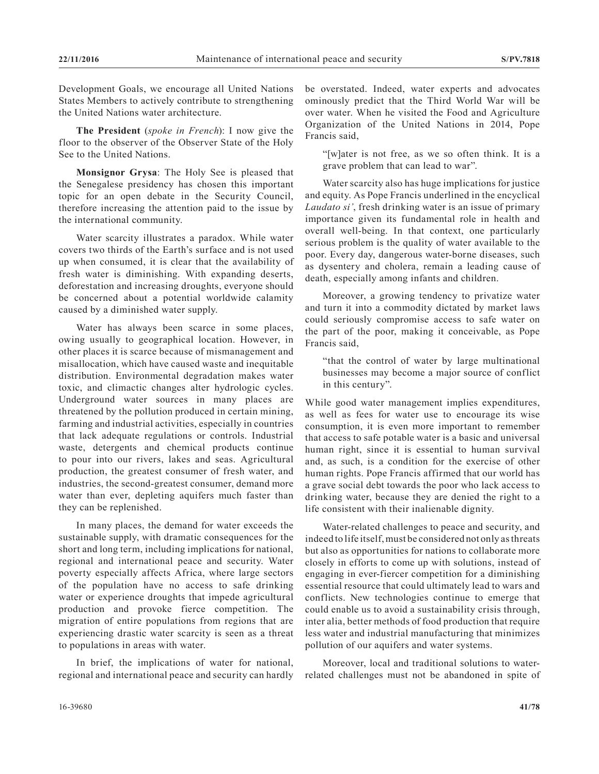Development Goals, we encourage all United Nations States Members to actively contribute to strengthening the United Nations water architecture.

**The President** (*spoke in French*): I now give the floor to the observer of the Observer State of the Holy See to the United Nations.

**Monsignor Grysa**: The Holy See is pleased that the Senegalese presidency has chosen this important topic for an open debate in the Security Council, therefore increasing the attention paid to the issue by the international community.

Water scarcity illustrates a paradox. While water covers two thirds of the Earth's surface and is not used up when consumed, it is clear that the availability of fresh water is diminishing. With expanding deserts, deforestation and increasing droughts, everyone should be concerned about a potential worldwide calamity caused by a diminished water supply.

Water has always been scarce in some places, owing usually to geographical location. However, in other places it is scarce because of mismanagement and misallocation, which have caused waste and inequitable distribution. Environmental degradation makes water toxic, and climactic changes alter hydrologic cycles. Underground water sources in many places are threatened by the pollution produced in certain mining, farming and industrial activities, especially in countries that lack adequate regulations or controls. Industrial waste, detergents and chemical products continue to pour into our rivers, lakes and seas. Agricultural production, the greatest consumer of fresh water, and industries, the second-greatest consumer, demand more water than ever, depleting aquifers much faster than they can be replenished.

In many places, the demand for water exceeds the sustainable supply, with dramatic consequences for the short and long term, including implications for national, regional and international peace and security. Water poverty especially affects Africa, where large sectors of the population have no access to safe drinking water or experience droughts that impede agricultural production and provoke fierce competition. The migration of entire populations from regions that are experiencing drastic water scarcity is seen as a threat to populations in areas with water.

In brief, the implications of water for national, regional and international peace and security can hardly be overstated. Indeed, water experts and advocates ominously predict that the Third World War will be over water. When he visited the Food and Agriculture Organization of the United Nations in 2014, Pope Francis said,

"[w]ater is not free, as we so often think. It is a grave problem that can lead to war".

Water scarcity also has huge implications for justice and equity. As Pope Francis underlined in the encyclical *Laudato si'*, fresh drinking water is an issue of primary importance given its fundamental role in health and overall well-being. In that context, one particularly serious problem is the quality of water available to the poor. Every day, dangerous water-borne diseases, such as dysentery and cholera, remain a leading cause of death, especially among infants and children.

Moreover, a growing tendency to privatize water and turn it into a commodity dictated by market laws could seriously compromise access to safe water on the part of the poor, making it conceivable, as Pope Francis said,

"that the control of water by large multinational businesses may become a major source of conflict in this century".

While good water management implies expenditures, as well as fees for water use to encourage its wise consumption, it is even more important to remember that access to safe potable water is a basic and universal human right, since it is essential to human survival and, as such, is a condition for the exercise of other human rights. Pope Francis affirmed that our world has a grave social debt towards the poor who lack access to drinking water, because they are denied the right to a life consistent with their inalienable dignity.

Water-related challenges to peace and security, and indeed to life itself, must be considered not only as threats but also as opportunities for nations to collaborate more closely in efforts to come up with solutions, instead of engaging in ever-fiercer competition for a diminishing essential resource that could ultimately lead to wars and conflicts. New technologies continue to emerge that could enable us to avoid a sustainability crisis through, inter alia, better methods of food production that require less water and industrial manufacturing that minimizes pollution of our aquifers and water systems.

Moreover, local and traditional solutions to waterrelated challenges must not be abandoned in spite of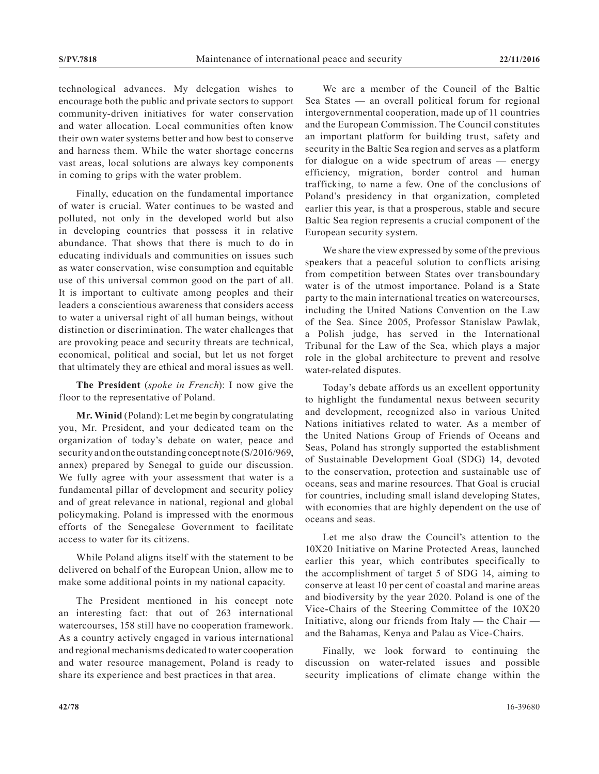technological advances. My delegation wishes to encourage both the public and private sectors to support community-driven initiatives for water conservation and water allocation. Local communities often know their own water systems better and how best to conserve and harness them. While the water shortage concerns vast areas, local solutions are always key components in coming to grips with the water problem.

Finally, education on the fundamental importance of water is crucial. Water continues to be wasted and polluted, not only in the developed world but also in developing countries that possess it in relative abundance. That shows that there is much to do in educating individuals and communities on issues such as water conservation, wise consumption and equitable use of this universal common good on the part of all. It is important to cultivate among peoples and their leaders a conscientious awareness that considers access to water a universal right of all human beings, without distinction or discrimination. The water challenges that are provoking peace and security threats are technical, economical, political and social, but let us not forget that ultimately they are ethical and moral issues as well.

**The President** (*spoke in French*): I now give the floor to the representative of Poland.

**Mr. Winid** (Poland): Let me begin by congratulating you, Mr. President, and your dedicated team on the organization of today's debate on water, peace and security and on the outstanding concept note (S/2016/969, annex) prepared by Senegal to guide our discussion. We fully agree with your assessment that water is a fundamental pillar of development and security policy and of great relevance in national, regional and global policymaking. Poland is impressed with the enormous efforts of the Senegalese Government to facilitate access to water for its citizens.

While Poland aligns itself with the statement to be delivered on behalf of the European Union, allow me to make some additional points in my national capacity.

The President mentioned in his concept note an interesting fact: that out of 263 international watercourses, 158 still have no cooperation framework. As a country actively engaged in various international and regional mechanisms dedicated to water cooperation and water resource management, Poland is ready to share its experience and best practices in that area.

We are a member of the Council of the Baltic Sea States — an overall political forum for regional intergovernmental cooperation, made up of 11 countries and the European Commission. The Council constitutes an important platform for building trust, safety and security in the Baltic Sea region and serves as a platform for dialogue on a wide spectrum of areas — energy efficiency, migration, border control and human trafficking, to name a few. One of the conclusions of Poland's presidency in that organization, completed earlier this year, is that a prosperous, stable and secure Baltic Sea region represents a crucial component of the European security system.

We share the view expressed by some of the previous speakers that a peaceful solution to conflicts arising from competition between States over transboundary water is of the utmost importance. Poland is a State party to the main international treaties on watercourses, including the United Nations Convention on the Law of the Sea. Since 2005, Professor Stanislaw Pawlak, a Polish judge, has served in the International Tribunal for the Law of the Sea, which plays a major role in the global architecture to prevent and resolve water-related disputes.

Today's debate affords us an excellent opportunity to highlight the fundamental nexus between security and development, recognized also in various United Nations initiatives related to water. As a member of the United Nations Group of Friends of Oceans and Seas, Poland has strongly supported the establishment of Sustainable Development Goal (SDG) 14, devoted to the conservation, protection and sustainable use of oceans, seas and marine resources. That Goal is crucial for countries, including small island developing States, with economies that are highly dependent on the use of oceans and seas.

Let me also draw the Council's attention to the 10X20 Initiative on Marine Protected Areas, launched earlier this year, which contributes specifically to the accomplishment of target 5 of SDG 14, aiming to conserve at least 10 per cent of coastal and marine areas and biodiversity by the year 2020. Poland is one of the Vice-Chairs of the Steering Committee of the 10X20 Initiative, along our friends from Italy — the Chair and the Bahamas, Kenya and Palau as Vice-Chairs.

Finally, we look forward to continuing the discussion on water-related issues and possible security implications of climate change within the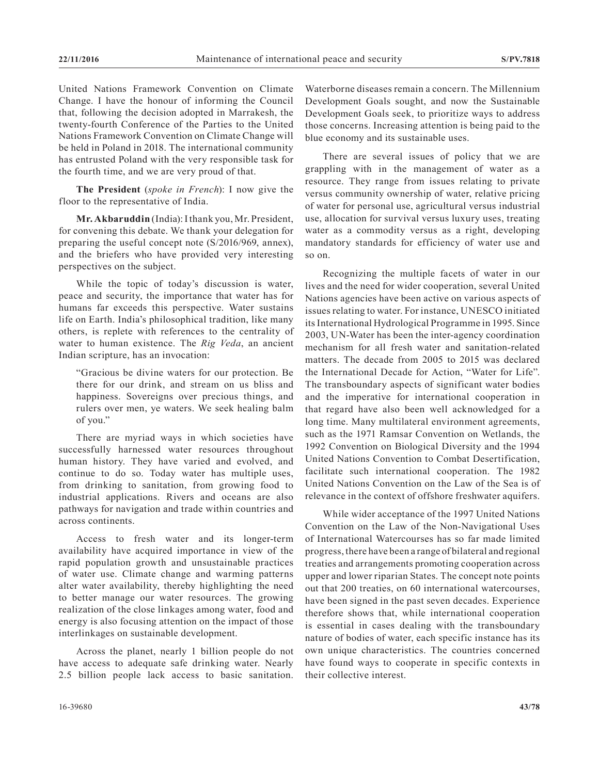United Nations Framework Convention on Climate Change. I have the honour of informing the Council that, following the decision adopted in Marrakesh, the twenty-fourth Conference of the Parties to the United Nations Framework Convention on Climate Change will be held in Poland in 2018. The international community has entrusted Poland with the very responsible task for the fourth time, and we are very proud of that.

**The President** (*spoke in French*): I now give the floor to the representative of India.

**Mr. Akbaruddin** (India): I thank you, Mr. President, for convening this debate. We thank your delegation for preparing the useful concept note (S/2016/969, annex), and the briefers who have provided very interesting perspectives on the subject.

While the topic of today's discussion is water, peace and security, the importance that water has for humans far exceeds this perspective. Water sustains life on Earth. India's philosophical tradition, like many others, is replete with references to the centrality of water to human existence. The *Rig Veda*, an ancient Indian scripture, has an invocation:

"Gracious be divine waters for our protection. Be there for our drink, and stream on us bliss and happiness. Sovereigns over precious things, and rulers over men, ye waters. We seek healing balm of you."

There are myriad ways in which societies have successfully harnessed water resources throughout human history. They have varied and evolved, and continue to do so. Today water has multiple uses, from drinking to sanitation, from growing food to industrial applications. Rivers and oceans are also pathways for navigation and trade within countries and across continents.

Access to fresh water and its longer-term availability have acquired importance in view of the rapid population growth and unsustainable practices of water use. Climate change and warming patterns alter water availability, thereby highlighting the need to better manage our water resources. The growing realization of the close linkages among water, food and energy is also focusing attention on the impact of those interlinkages on sustainable development.

Across the planet, nearly 1 billion people do not have access to adequate safe drinking water. Nearly 2.5 billion people lack access to basic sanitation. Waterborne diseases remain a concern. The Millennium Development Goals sought, and now the Sustainable Development Goals seek, to prioritize ways to address those concerns. Increasing attention is being paid to the blue economy and its sustainable uses.

There are several issues of policy that we are grappling with in the management of water as a resource. They range from issues relating to private versus community ownership of water, relative pricing of water for personal use, agricultural versus industrial use, allocation for survival versus luxury uses, treating water as a commodity versus as a right, developing mandatory standards for efficiency of water use and so on.

Recognizing the multiple facets of water in our lives and the need for wider cooperation, several United Nations agencies have been active on various aspects of issues relating to water. For instance, UNESCO initiated its International Hydrological Programme in 1995. Since 2003, UN-Water has been the inter-agency coordination mechanism for all fresh water and sanitation-related matters. The decade from 2005 to 2015 was declared the International Decade for Action, "Water for Life". The transboundary aspects of significant water bodies and the imperative for international cooperation in that regard have also been well acknowledged for a long time. Many multilateral environment agreements, such as the 1971 Ramsar Convention on Wetlands, the 1992 Convention on Biological Diversity and the 1994 United Nations Convention to Combat Desertification, facilitate such international cooperation. The 1982 United Nations Convention on the Law of the Sea is of relevance in the context of offshore freshwater aquifers.

While wider acceptance of the 1997 United Nations Convention on the Law of the Non-Navigational Uses of International Watercourses has so far made limited progress, there have been a range of bilateral and regional treaties and arrangements promoting cooperation across upper and lower riparian States. The concept note points out that 200 treaties, on 60 international watercourses, have been signed in the past seven decades. Experience therefore shows that, while international cooperation is essential in cases dealing with the transboundary nature of bodies of water, each specific instance has its own unique characteristics. The countries concerned have found ways to cooperate in specific contexts in their collective interest.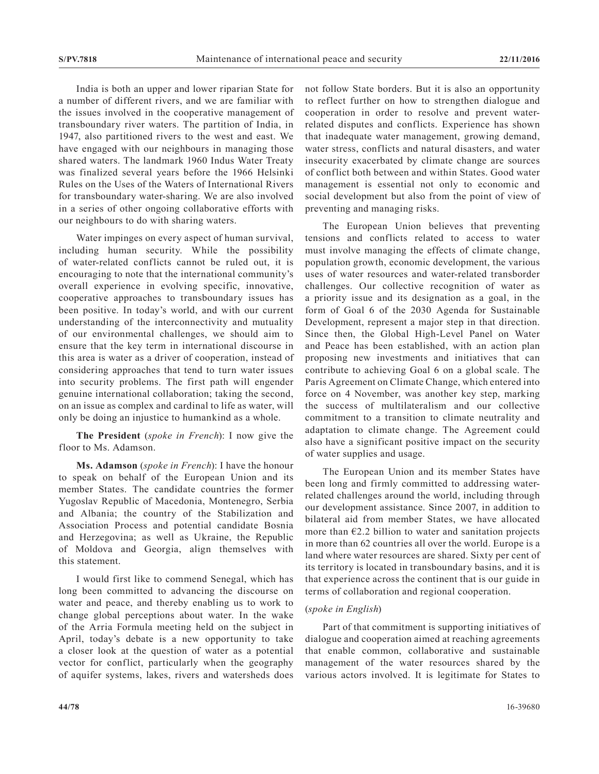India is both an upper and lower riparian State for a number of different rivers, and we are familiar with the issues involved in the cooperative management of transboundary river waters. The partition of India, in 1947, also partitioned rivers to the west and east. We have engaged with our neighbours in managing those shared waters. The landmark 1960 Indus Water Treaty was finalized several years before the 1966 Helsinki Rules on the Uses of the Waters of International Rivers for transboundary water-sharing. We are also involved in a series of other ongoing collaborative efforts with our neighbours to do with sharing waters.

Water impinges on every aspect of human survival, including human security. While the possibility of water-related conflicts cannot be ruled out, it is encouraging to note that the international community's overall experience in evolving specific, innovative, cooperative approaches to transboundary issues has been positive. In today's world, and with our current understanding of the interconnectivity and mutuality of our environmental challenges, we should aim to ensure that the key term in international discourse in this area is water as a driver of cooperation, instead of considering approaches that tend to turn water issues into security problems. The first path will engender genuine international collaboration; taking the second, on an issue as complex and cardinal to life as water, will only be doing an injustice to humankind as a whole.

**The President** (*spoke in French*): I now give the floor to Ms. Adamson.

**Ms. Adamson** (*spoke in French*): I have the honour to speak on behalf of the European Union and its member States. The candidate countries the former Yugoslav Republic of Macedonia, Montenegro, Serbia and Albania; the country of the Stabilization and Association Process and potential candidate Bosnia and Herzegovina; as well as Ukraine, the Republic of Moldova and Georgia, align themselves with this statement.

I would first like to commend Senegal, which has long been committed to advancing the discourse on water and peace, and thereby enabling us to work to change global perceptions about water. In the wake of the Arria Formula meeting held on the subject in April, today's debate is a new opportunity to take a closer look at the question of water as a potential vector for conflict, particularly when the geography of aquifer systems, lakes, rivers and watersheds does not follow State borders. But it is also an opportunity to reflect further on how to strengthen dialogue and cooperation in order to resolve and prevent waterrelated disputes and conflicts. Experience has shown that inadequate water management, growing demand, water stress, conflicts and natural disasters, and water insecurity exacerbated by climate change are sources of conflict both between and within States. Good water management is essential not only to economic and social development but also from the point of view of preventing and managing risks.

The European Union believes that preventing tensions and conflicts related to access to water must involve managing the effects of climate change, population growth, economic development, the various uses of water resources and water-related transborder challenges. Our collective recognition of water as a priority issue and its designation as a goal, in the form of Goal 6 of the 2030 Agenda for Sustainable Development, represent a major step in that direction. Since then, the Global High-Level Panel on Water and Peace has been established, with an action plan proposing new investments and initiatives that can contribute to achieving Goal 6 on a global scale. The Paris Agreement on Climate Change, which entered into force on 4 November, was another key step, marking the success of multilateralism and our collective commitment to a transition to climate neutrality and adaptation to climate change. The Agreement could also have a significant positive impact on the security of water supplies and usage.

The European Union and its member States have been long and firmly committed to addressing waterrelated challenges around the world, including through our development assistance. Since 2007, in addition to bilateral aid from member States, we have allocated more than  $E2.2$  billion to water and sanitation projects in more than 62 countries all over the world. Europe is a land where water resources are shared. Sixty per cent of its territory is located in transboundary basins, and it is that experience across the continent that is our guide in terms of collaboration and regional cooperation.

## (*spoke in English*)

Part of that commitment is supporting initiatives of dialogue and cooperation aimed at reaching agreements that enable common, collaborative and sustainable management of the water resources shared by the various actors involved. It is legitimate for States to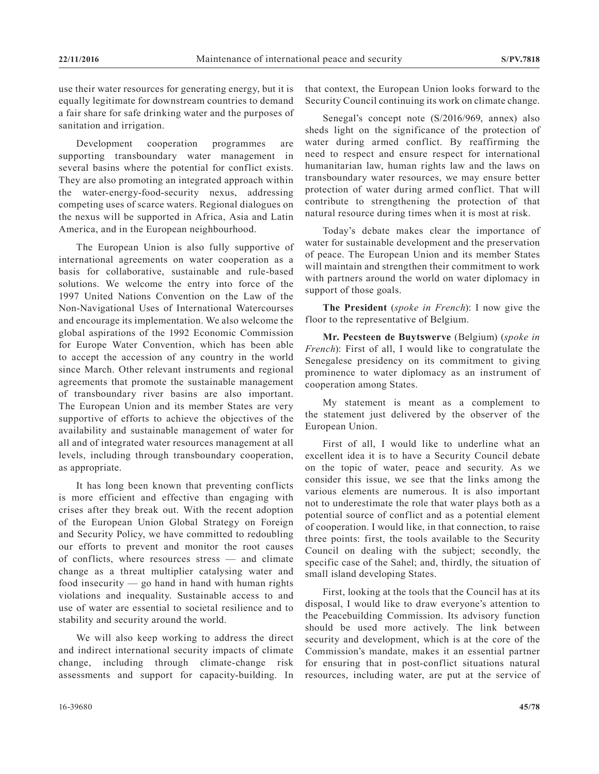use their water resources for generating energy, but it is equally legitimate for downstream countries to demand a fair share for safe drinking water and the purposes of sanitation and irrigation.

Development cooperation programmes are supporting transboundary water management in several basins where the potential for conflict exists. They are also promoting an integrated approach within the water-energy-food-security nexus, addressing competing uses of scarce waters. Regional dialogues on the nexus will be supported in Africa, Asia and Latin America, and in the European neighbourhood.

The European Union is also fully supportive of international agreements on water cooperation as a basis for collaborative, sustainable and rule-based solutions. We welcome the entry into force of the 1997 United Nations Convention on the Law of the Non-Navigational Uses of International Watercourses and encourage its implementation. We also welcome the global aspirations of the 1992 Economic Commission for Europe Water Convention, which has been able to accept the accession of any country in the world since March. Other relevant instruments and regional agreements that promote the sustainable management of transboundary river basins are also important. The European Union and its member States are very supportive of efforts to achieve the objectives of the availability and sustainable management of water for all and of integrated water resources management at all levels, including through transboundary cooperation, as appropriate.

It has long been known that preventing conflicts is more efficient and effective than engaging with crises after they break out. With the recent adoption of the European Union Global Strategy on Foreign and Security Policy, we have committed to redoubling our efforts to prevent and monitor the root causes of conflicts, where resources stress — and climate change as a threat multiplier catalysing water and food insecurity — go hand in hand with human rights violations and inequality. Sustainable access to and use of water are essential to societal resilience and to stability and security around the world.

We will also keep working to address the direct and indirect international security impacts of climate change, including through climate-change risk assessments and support for capacity-building. In

16-39680 **45/78**

that context, the European Union looks forward to the Security Council continuing its work on climate change.

Senegal's concept note (S/2016/969, annex) also sheds light on the significance of the protection of water during armed conflict. By reaffirming the need to respect and ensure respect for international humanitarian law, human rights law and the laws on transboundary water resources, we may ensure better protection of water during armed conflict. That will contribute to strengthening the protection of that natural resource during times when it is most at risk.

Today's debate makes clear the importance of water for sustainable development and the preservation of peace. The European Union and its member States will maintain and strengthen their commitment to work with partners around the world on water diplomacy in support of those goals.

**The President** (*spoke in French*): I now give the floor to the representative of Belgium.

**Mr. Pecsteen de Buytswerve** (Belgium) (*spoke in French*): First of all, I would like to congratulate the Senegalese presidency on its commitment to giving prominence to water diplomacy as an instrument of cooperation among States.

My statement is meant as a complement to the statement just delivered by the observer of the European Union.

First of all, I would like to underline what an excellent idea it is to have a Security Council debate on the topic of water, peace and security. As we consider this issue, we see that the links among the various elements are numerous. It is also important not to underestimate the role that water plays both as a potential source of conflict and as a potential element of cooperation. I would like, in that connection, to raise three points: first, the tools available to the Security Council on dealing with the subject; secondly, the specific case of the Sahel; and, thirdly, the situation of small island developing States.

First, looking at the tools that the Council has at its disposal, I would like to draw everyone's attention to the Peacebuilding Commission. Its advisory function should be used more actively. The link between security and development, which is at the core of the Commission's mandate, makes it an essential partner for ensuring that in post-conflict situations natural resources, including water, are put at the service of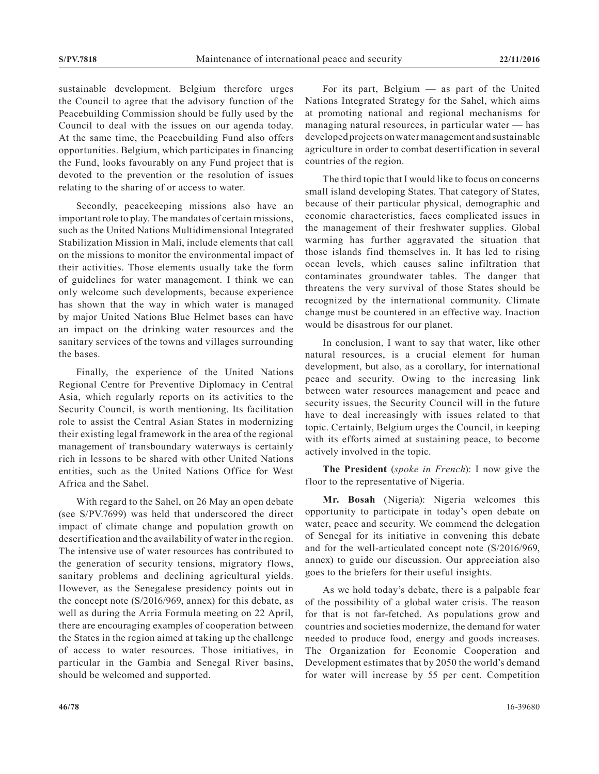sustainable development. Belgium therefore urges the Council to agree that the advisory function of the Peacebuilding Commission should be fully used by the Council to deal with the issues on our agenda today. At the same time, the Peacebuilding Fund also offers opportunities. Belgium, which participates in financing the Fund, looks favourably on any Fund project that is devoted to the prevention or the resolution of issues relating to the sharing of or access to water.

Secondly, peacekeeping missions also have an important role to play. The mandates of certain missions, such as the United Nations Multidimensional Integrated Stabilization Mission in Mali, include elements that call on the missions to monitor the environmental impact of their activities. Those elements usually take the form of guidelines for water management. I think we can only welcome such developments, because experience has shown that the way in which water is managed by major United Nations Blue Helmet bases can have an impact on the drinking water resources and the sanitary services of the towns and villages surrounding the bases.

Finally, the experience of the United Nations Regional Centre for Preventive Diplomacy in Central Asia, which regularly reports on its activities to the Security Council, is worth mentioning. Its facilitation role to assist the Central Asian States in modernizing their existing legal framework in the area of the regional management of transboundary waterways is certainly rich in lessons to be shared with other United Nations entities, such as the United Nations Office for West Africa and the Sahel.

With regard to the Sahel, on 26 May an open debate (see S/PV.7699) was held that underscored the direct impact of climate change and population growth on desertification and the availability of water in the region. The intensive use of water resources has contributed to the generation of security tensions, migratory flows, sanitary problems and declining agricultural yields. However, as the Senegalese presidency points out in the concept note (S/2016/969, annex) for this debate, as well as during the Arria Formula meeting on 22 April, there are encouraging examples of cooperation between the States in the region aimed at taking up the challenge of access to water resources. Those initiatives, in particular in the Gambia and Senegal River basins, should be welcomed and supported.

For its part, Belgium — as part of the United Nations Integrated Strategy for the Sahel, which aims at promoting national and regional mechanisms for managing natural resources, in particular water — has developed projects on water management and sustainable agriculture in order to combat desertification in several countries of the region.

The third topic that I would like to focus on concerns small island developing States. That category of States, because of their particular physical, demographic and economic characteristics, faces complicated issues in the management of their freshwater supplies. Global warming has further aggravated the situation that those islands find themselves in. It has led to rising ocean levels, which causes saline infiltration that contaminates groundwater tables. The danger that threatens the very survival of those States should be recognized by the international community. Climate change must be countered in an effective way. Inaction would be disastrous for our planet.

In conclusion, I want to say that water, like other natural resources, is a crucial element for human development, but also, as a corollary, for international peace and security. Owing to the increasing link between water resources management and peace and security issues, the Security Council will in the future have to deal increasingly with issues related to that topic. Certainly, Belgium urges the Council, in keeping with its efforts aimed at sustaining peace, to become actively involved in the topic.

**The President** (*spoke in French*): I now give the floor to the representative of Nigeria.

**Mr. Bosah** (Nigeria): Nigeria welcomes this opportunity to participate in today's open debate on water, peace and security. We commend the delegation of Senegal for its initiative in convening this debate and for the well-articulated concept note (S/2016/969, annex) to guide our discussion. Our appreciation also goes to the briefers for their useful insights.

As we hold today's debate, there is a palpable fear of the possibility of a global water crisis. The reason for that is not far-fetched. As populations grow and countries and societies modernize, the demand for water needed to produce food, energy and goods increases. The Organization for Economic Cooperation and Development estimates that by 2050 the world's demand for water will increase by 55 per cent. Competition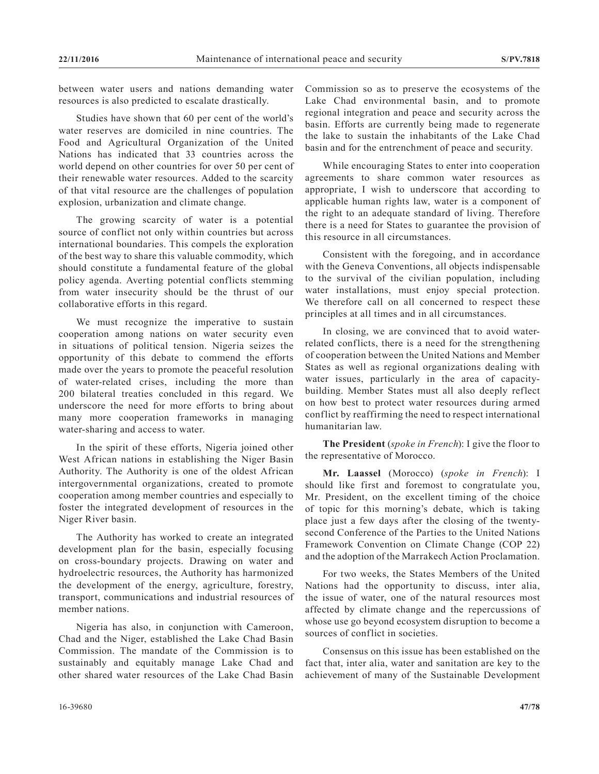between water users and nations demanding water resources is also predicted to escalate drastically.

Studies have shown that 60 per cent of the world's water reserves are domiciled in nine countries. The Food and Agricultural Organization of the United Nations has indicated that 33 countries across the world depend on other countries for over 50 per cent of their renewable water resources. Added to the scarcity of that vital resource are the challenges of population explosion, urbanization and climate change.

The growing scarcity of water is a potential source of conflict not only within countries but across international boundaries. This compels the exploration of the best way to share this valuable commodity, which should constitute a fundamental feature of the global policy agenda. Averting potential conflicts stemming from water insecurity should be the thrust of our collaborative efforts in this regard.

We must recognize the imperative to sustain cooperation among nations on water security even in situations of political tension. Nigeria seizes the opportunity of this debate to commend the efforts made over the years to promote the peaceful resolution of water-related crises, including the more than 200 bilateral treaties concluded in this regard. We underscore the need for more efforts to bring about many more cooperation frameworks in managing water-sharing and access to water.

In the spirit of these efforts, Nigeria joined other West African nations in establishing the Niger Basin Authority. The Authority is one of the oldest African intergovernmental organizations, created to promote cooperation among member countries and especially to foster the integrated development of resources in the Niger River basin.

The Authority has worked to create an integrated development plan for the basin, especially focusing on cross-boundary projects. Drawing on water and hydroelectric resources, the Authority has harmonized the development of the energy, agriculture, forestry, transport, communications and industrial resources of member nations.

Nigeria has also, in conjunction with Cameroon, Chad and the Niger, established the Lake Chad Basin Commission. The mandate of the Commission is to sustainably and equitably manage Lake Chad and other shared water resources of the Lake Chad Basin

While encouraging States to enter into cooperation agreements to share common water resources as appropriate, I wish to underscore that according to applicable human rights law, water is a component of the right to an adequate standard of living. Therefore there is a need for States to guarantee the provision of this resource in all circumstances.

Consistent with the foregoing, and in accordance with the Geneva Conventions, all objects indispensable to the survival of the civilian population, including water installations, must enjoy special protection. We therefore call on all concerned to respect these principles at all times and in all circumstances.

In closing, we are convinced that to avoid waterrelated conflicts, there is a need for the strengthening of cooperation between the United Nations and Member States as well as regional organizations dealing with water issues, particularly in the area of capacitybuilding. Member States must all also deeply reflect on how best to protect water resources during armed conflict by reaffirming the need to respect international humanitarian law.

**The President** (*spoke in French*): I give the floor to the representative of Morocco.

**Mr. Laassel** (Morocco) (*spoke in French*): I should like first and foremost to congratulate you, Mr. President, on the excellent timing of the choice of topic for this morning's debate, which is taking place just a few days after the closing of the twentysecond Conference of the Parties to the United Nations Framework Convention on Climate Change (COP 22) and the adoption of the Marrakech Action Proclamation.

For two weeks, the States Members of the United Nations had the opportunity to discuss, inter alia, the issue of water, one of the natural resources most affected by climate change and the repercussions of whose use go beyond ecosystem disruption to become a sources of conflict in societies.

Consensus on this issue has been established on the fact that, inter alia, water and sanitation are key to the achievement of many of the Sustainable Development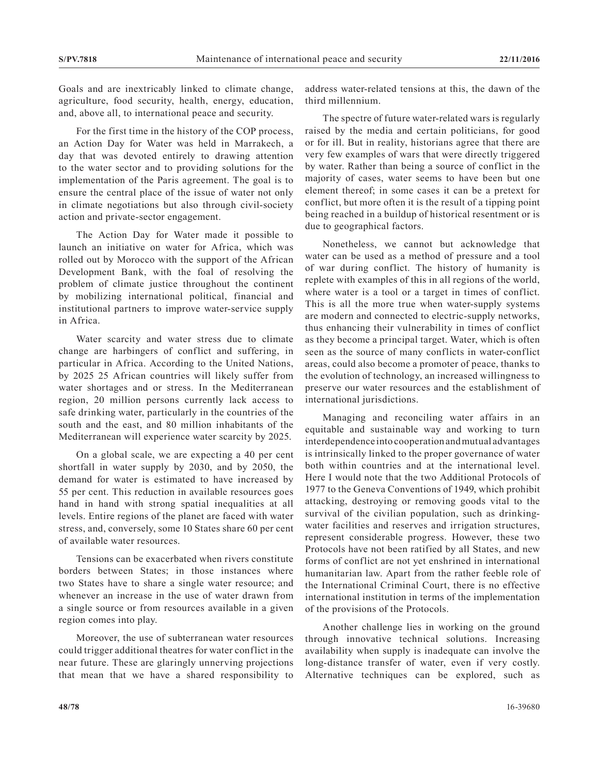Goals and are inextricably linked to climate change, agriculture, food security, health, energy, education, and, above all, to international peace and security.

For the first time in the history of the COP process, an Action Day for Water was held in Marrakech, a day that was devoted entirely to drawing attention to the water sector and to providing solutions for the implementation of the Paris agreement. The goal is to ensure the central place of the issue of water not only in climate negotiations but also through civil-society action and private-sector engagement.

The Action Day for Water made it possible to launch an initiative on water for Africa, which was rolled out by Morocco with the support of the African Development Bank, with the foal of resolving the problem of climate justice throughout the continent by mobilizing international political, financial and institutional partners to improve water-service supply in Africa.

Water scarcity and water stress due to climate change are harbingers of conflict and suffering, in particular in Africa. According to the United Nations, by 2025 25 African countries will likely suffer from water shortages and or stress. In the Mediterranean region, 20 million persons currently lack access to safe drinking water, particularly in the countries of the south and the east, and 80 million inhabitants of the Mediterranean will experience water scarcity by 2025.

On a global scale, we are expecting a 40 per cent shortfall in water supply by 2030, and by 2050, the demand for water is estimated to have increased by 55 per cent. This reduction in available resources goes hand in hand with strong spatial inequalities at all levels. Entire regions of the planet are faced with water stress, and, conversely, some 10 States share 60 per cent of available water resources.

Tensions can be exacerbated when rivers constitute borders between States; in those instances where two States have to share a single water resource; and whenever an increase in the use of water drawn from a single source or from resources available in a given region comes into play.

Moreover, the use of subterranean water resources could trigger additional theatres for water conflict in the near future. These are glaringly unnerving projections that mean that we have a shared responsibility to

address water-related tensions at this, the dawn of the third millennium.

The spectre of future water-related wars is regularly raised by the media and certain politicians, for good or for ill. But in reality, historians agree that there are very few examples of wars that were directly triggered by water. Rather than being a source of conflict in the majority of cases, water seems to have been but one element thereof; in some cases it can be a pretext for conflict, but more often it is the result of a tipping point being reached in a buildup of historical resentment or is due to geographical factors.

Nonetheless, we cannot but acknowledge that water can be used as a method of pressure and a tool of war during conflict. The history of humanity is replete with examples of this in all regions of the world, where water is a tool or a target in times of conflict. This is all the more true when water-supply systems are modern and connected to electric-supply networks, thus enhancing their vulnerability in times of conflict as they become a principal target. Water, which is often seen as the source of many conflicts in water-conflict areas, could also become a promoter of peace, thanks to the evolution of technology, an increased willingness to preserve our water resources and the establishment of international jurisdictions.

Managing and reconciling water affairs in an equitable and sustainable way and working to turn interdependence into cooperation and mutual advantages is intrinsically linked to the proper governance of water both within countries and at the international level. Here I would note that the two Additional Protocols of 1977 to the Geneva Conventions of 1949, which prohibit attacking, destroying or removing goods vital to the survival of the civilian population, such as drinkingwater facilities and reserves and irrigation structures, represent considerable progress. However, these two Protocols have not been ratified by all States, and new forms of conflict are not yet enshrined in international humanitarian law. Apart from the rather feeble role of the International Criminal Court, there is no effective international institution in terms of the implementation of the provisions of the Protocols.

Another challenge lies in working on the ground through innovative technical solutions. Increasing availability when supply is inadequate can involve the long-distance transfer of water, even if very costly. Alternative techniques can be explored, such as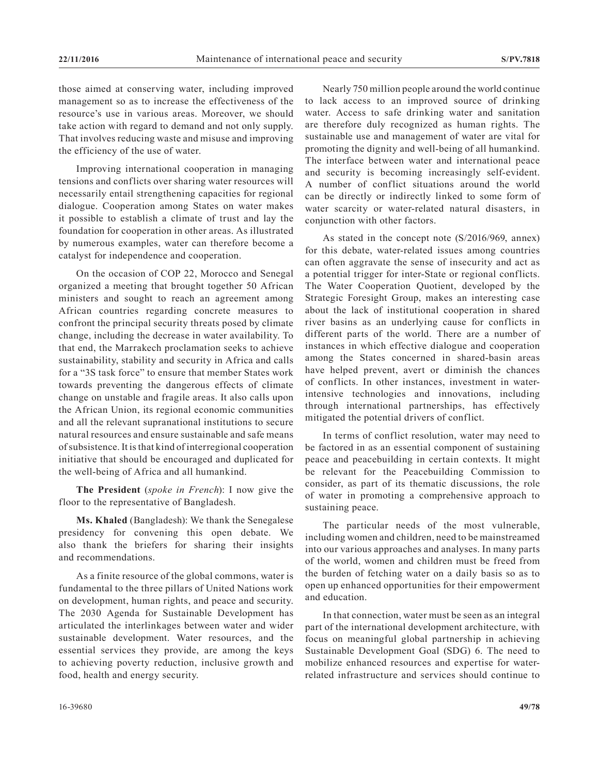those aimed at conserving water, including improved management so as to increase the effectiveness of the resource's use in various areas. Moreover, we should take action with regard to demand and not only supply. That involves reducing waste and misuse and improving the efficiency of the use of water.

Improving international cooperation in managing tensions and conflicts over sharing water resources will necessarily entail strengthening capacities for regional dialogue. Cooperation among States on water makes it possible to establish a climate of trust and lay the foundation for cooperation in other areas. As illustrated by numerous examples, water can therefore become a catalyst for independence and cooperation.

On the occasion of COP 22, Morocco and Senegal organized a meeting that brought together 50 African ministers and sought to reach an agreement among African countries regarding concrete measures to confront the principal security threats posed by climate change, including the decrease in water availability. To that end, the Marrakech proclamation seeks to achieve sustainability, stability and security in Africa and calls for a "3S task force" to ensure that member States work towards preventing the dangerous effects of climate change on unstable and fragile areas. It also calls upon the African Union, its regional economic communities and all the relevant supranational institutions to secure natural resources and ensure sustainable and safe means of subsistence. It is that kind of interregional cooperation initiative that should be encouraged and duplicated for the well-being of Africa and all humankind.

**The President** (*spoke in French*): I now give the floor to the representative of Bangladesh.

**Ms. Khaled** (Bangladesh): We thank the Senegalese presidency for convening this open debate. We also thank the briefers for sharing their insights and recommendations.

As a finite resource of the global commons, water is fundamental to the three pillars of United Nations work on development, human rights, and peace and security. The 2030 Agenda for Sustainable Development has articulated the interlinkages between water and wider sustainable development. Water resources, and the essential services they provide, are among the keys to achieving poverty reduction, inclusive growth and food, health and energy security.

Nearly 750 million people around the world continue to lack access to an improved source of drinking water. Access to safe drinking water and sanitation are therefore duly recognized as human rights. The sustainable use and management of water are vital for promoting the dignity and well-being of all humankind. The interface between water and international peace and security is becoming increasingly self-evident. A number of conflict situations around the world can be directly or indirectly linked to some form of water scarcity or water-related natural disasters, in conjunction with other factors.

As stated in the concept note (S/2016/969, annex) for this debate, water-related issues among countries can often aggravate the sense of insecurity and act as a potential trigger for inter-State or regional conflicts. The Water Cooperation Quotient, developed by the Strategic Foresight Group, makes an interesting case about the lack of institutional cooperation in shared river basins as an underlying cause for conflicts in different parts of the world. There are a number of instances in which effective dialogue and cooperation among the States concerned in shared-basin areas have helped prevent, avert or diminish the chances of conflicts. In other instances, investment in waterintensive technologies and innovations, including through international partnerships, has effectively mitigated the potential drivers of conflict.

In terms of conflict resolution, water may need to be factored in as an essential component of sustaining peace and peacebuilding in certain contexts. It might be relevant for the Peacebuilding Commission to consider, as part of its thematic discussions, the role of water in promoting a comprehensive approach to sustaining peace.

The particular needs of the most vulnerable, including women and children, need to be mainstreamed into our various approaches and analyses. In many parts of the world, women and children must be freed from the burden of fetching water on a daily basis so as to open up enhanced opportunities for their empowerment and education.

In that connection, water must be seen as an integral part of the international development architecture, with focus on meaningful global partnership in achieving Sustainable Development Goal (SDG) 6. The need to mobilize enhanced resources and expertise for waterrelated infrastructure and services should continue to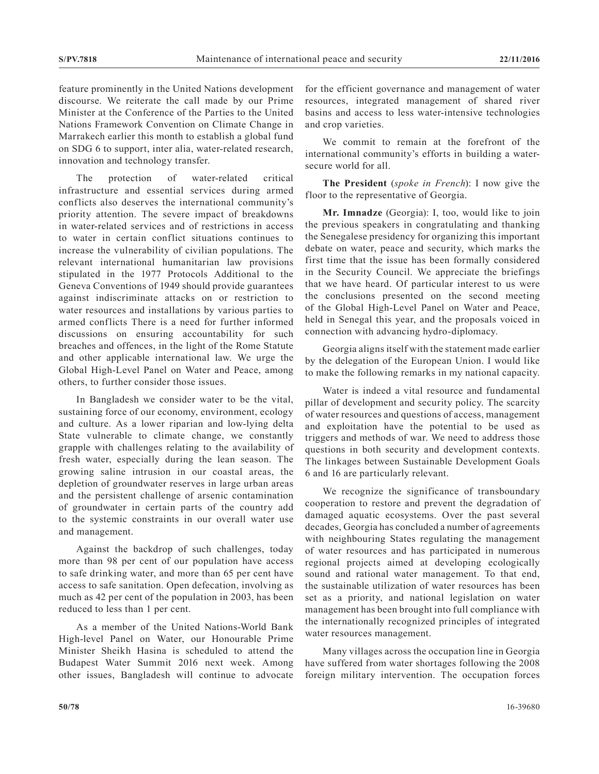feature prominently in the United Nations development discourse. We reiterate the call made by our Prime Minister at the Conference of the Parties to the United Nations Framework Convention on Climate Change in Marrakech earlier this month to establish a global fund on SDG 6 to support, inter alia, water-related research, innovation and technology transfer.

The protection of water-related critical infrastructure and essential services during armed conflicts also deserves the international community's priority attention. The severe impact of breakdowns in water-related services and of restrictions in access to water in certain conflict situations continues to increase the vulnerability of civilian populations. The relevant international humanitarian law provisions stipulated in the 1977 Protocols Additional to the Geneva Conventions of 1949 should provide guarantees against indiscriminate attacks on or restriction to water resources and installations by various parties to armed conflicts There is a need for further informed discussions on ensuring accountability for such breaches and offences, in the light of the Rome Statute and other applicable international law. We urge the Global High-Level Panel on Water and Peace, among others, to further consider those issues.

In Bangladesh we consider water to be the vital, sustaining force of our economy, environment, ecology and culture. As a lower riparian and low-lying delta State vulnerable to climate change, we constantly grapple with challenges relating to the availability of fresh water, especially during the lean season. The growing saline intrusion in our coastal areas, the depletion of groundwater reserves in large urban areas and the persistent challenge of arsenic contamination of groundwater in certain parts of the country add to the systemic constraints in our overall water use and management.

Against the backdrop of such challenges, today more than 98 per cent of our population have access to safe drinking water, and more than 65 per cent have access to safe sanitation. Open defecation, involving as much as 42 per cent of the population in 2003, has been reduced to less than 1 per cent.

As a member of the United Nations-World Bank High-level Panel on Water, our Honourable Prime Minister Sheikh Hasina is scheduled to attend the Budapest Water Summit 2016 next week. Among other issues, Bangladesh will continue to advocate for the efficient governance and management of water resources, integrated management of shared river basins and access to less water-intensive technologies and crop varieties.

We commit to remain at the forefront of the international community's efforts in building a watersecure world for all.

**The President** (*spoke in French*): I now give the floor to the representative of Georgia.

**Mr. Imnadze** (Georgia): I, too, would like to join the previous speakers in congratulating and thanking the Senegalese presidency for organizing this important debate on water, peace and security, which marks the first time that the issue has been formally considered in the Security Council. We appreciate the briefings that we have heard. Of particular interest to us were the conclusions presented on the second meeting of the Global High-Level Panel on Water and Peace, held in Senegal this year, and the proposals voiced in connection with advancing hydro-diplomacy.

Georgia aligns itself with the statement made earlier by the delegation of the European Union. I would like to make the following remarks in my national capacity.

Water is indeed a vital resource and fundamental pillar of development and security policy. The scarcity of water resources and questions of access, management and exploitation have the potential to be used as triggers and methods of war. We need to address those questions in both security and development contexts. The linkages between Sustainable Development Goals 6 and 16 are particularly relevant.

We recognize the significance of transboundary cooperation to restore and prevent the degradation of damaged aquatic ecosystems. Over the past several decades, Georgia has concluded a number of agreements with neighbouring States regulating the management of water resources and has participated in numerous regional projects aimed at developing ecologically sound and rational water management. To that end, the sustainable utilization of water resources has been set as a priority, and national legislation on water management has been brought into full compliance with the internationally recognized principles of integrated water resources management.

Many villages across the occupation line in Georgia have suffered from water shortages following the 2008 foreign military intervention. The occupation forces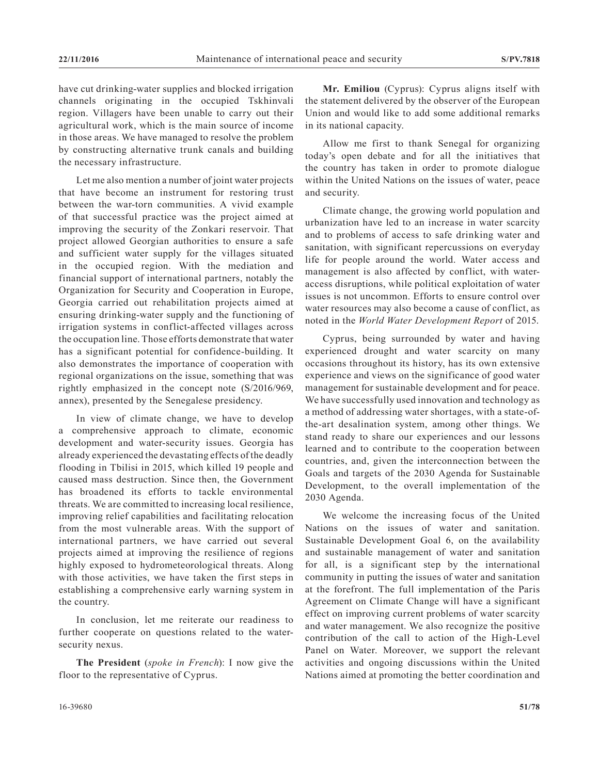have cut drinking-water supplies and blocked irrigation channels originating in the occupied Tskhinvali region. Villagers have been unable to carry out their agricultural work, which is the main source of income in those areas. We have managed to resolve the problem by constructing alternative trunk canals and building the necessary infrastructure.

Let me also mention a number of joint water projects that have become an instrument for restoring trust between the war-torn communities. A vivid example of that successful practice was the project aimed at improving the security of the Zonkari reservoir. That project allowed Georgian authorities to ensure a safe and sufficient water supply for the villages situated in the occupied region. With the mediation and financial support of international partners, notably the Organization for Security and Cooperation in Europe, Georgia carried out rehabilitation projects aimed at ensuring drinking-water supply and the functioning of irrigation systems in conflict-affected villages across the occupation line. Those efforts demonstrate that water has a significant potential for confidence-building. It also demonstrates the importance of cooperation with regional organizations on the issue, something that was rightly emphasized in the concept note (S/2016/969, annex), presented by the Senegalese presidency.

In view of climate change, we have to develop a comprehensive approach to climate, economic development and water-security issues. Georgia has already experienced the devastating effects of the deadly flooding in Tbilisi in 2015, which killed 19 people and caused mass destruction. Since then, the Government has broadened its efforts to tackle environmental threats. We are committed to increasing local resilience, improving relief capabilities and facilitating relocation from the most vulnerable areas. With the support of international partners, we have carried out several projects aimed at improving the resilience of regions highly exposed to hydrometeorological threats. Along with those activities, we have taken the first steps in establishing a comprehensive early warning system in the country.

In conclusion, let me reiterate our readiness to further cooperate on questions related to the watersecurity nexus.

**The President** (*spoke in French*): I now give the floor to the representative of Cyprus.

**Mr. Emiliou** (Cyprus): Cyprus aligns itself with the statement delivered by the observer of the European Union and would like to add some additional remarks in its national capacity.

Allow me first to thank Senegal for organizing today's open debate and for all the initiatives that the country has taken in order to promote dialogue within the United Nations on the issues of water, peace and security.

Climate change, the growing world population and urbanization have led to an increase in water scarcity and to problems of access to safe drinking water and sanitation, with significant repercussions on everyday life for people around the world. Water access and management is also affected by conflict, with wateraccess disruptions, while political exploitation of water issues is not uncommon. Efforts to ensure control over water resources may also become a cause of conflict, as noted in the *World Water Development Report* of 2015.

Cyprus, being surrounded by water and having experienced drought and water scarcity on many occasions throughout its history, has its own extensive experience and views on the significance of good water management for sustainable development and for peace. We have successfully used innovation and technology as a method of addressing water shortages, with a state-ofthe-art desalination system, among other things. We stand ready to share our experiences and our lessons learned and to contribute to the cooperation between countries, and, given the interconnection between the Goals and targets of the 2030 Agenda for Sustainable Development, to the overall implementation of the 2030 Agenda.

We welcome the increasing focus of the United Nations on the issues of water and sanitation. Sustainable Development Goal 6, on the availability and sustainable management of water and sanitation for all, is a significant step by the international community in putting the issues of water and sanitation at the forefront. The full implementation of the Paris Agreement on Climate Change will have a significant effect on improving current problems of water scarcity and water management. We also recognize the positive contribution of the call to action of the High-Level Panel on Water. Moreover, we support the relevant activities and ongoing discussions within the United Nations aimed at promoting the better coordination and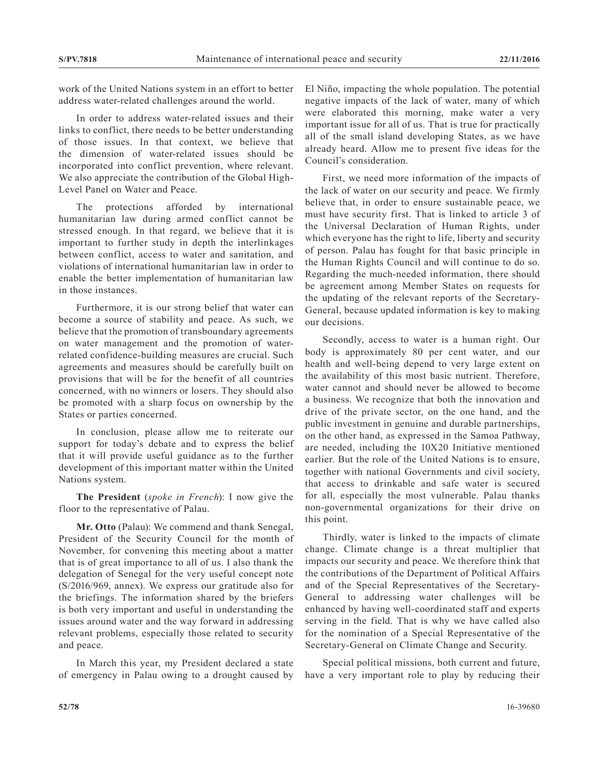work of the United Nations system in an effort to better address water-related challenges around the world.

In order to address water-related issues and their links to conflict, there needs to be better understanding of those issues. In that context, we believe that the dimension of water-related issues should be incorporated into conflict prevention, where relevant. We also appreciate the contribution of the Global High-Level Panel on Water and Peace.

The protections afforded by international humanitarian law during armed conflict cannot be stressed enough. In that regard, we believe that it is important to further study in depth the interlinkages between conflict, access to water and sanitation, and violations of international humanitarian law in order to enable the better implementation of humanitarian law in those instances.

Furthermore, it is our strong belief that water can become a source of stability and peace. As such, we believe that the promotion of transboundary agreements on water management and the promotion of waterrelated confidence-building measures are crucial. Such agreements and measures should be carefully built on provisions that will be for the benefit of all countries concerned, with no winners or losers. They should also be promoted with a sharp focus on ownership by the States or parties concerned.

In conclusion, please allow me to reiterate our support for today's debate and to express the belief that it will provide useful guidance as to the further development of this important matter within the United Nations system.

**The President** (*spoke in French*): I now give the floor to the representative of Palau.

**Mr. Otto** (Palau): We commend and thank Senegal, President of the Security Council for the month of November, for convening this meeting about a matter that is of great importance to all of us. I also thank the delegation of Senegal for the very useful concept note (S/2016/969, annex). We express our gratitude also for the briefings. The information shared by the briefers is both very important and useful in understanding the issues around water and the way forward in addressing relevant problems, especially those related to security and peace.

In March this year, my President declared a state of emergency in Palau owing to a drought caused by El Niño, impacting the whole population. The potential negative impacts of the lack of water, many of which were elaborated this morning, make water a very important issue for all of us. That is true for practically all of the small island developing States, as we have already heard. Allow me to present five ideas for the Council's consideration.

First, we need more information of the impacts of the lack of water on our security and peace. We firmly believe that, in order to ensure sustainable peace, we must have security first. That is linked to article 3 of the Universal Declaration of Human Rights, under which everyone has the right to life, liberty and security of person. Palau has fought for that basic principle in the Human Rights Council and will continue to do so. Regarding the much-needed information, there should be agreement among Member States on requests for the updating of the relevant reports of the Secretary-General, because updated information is key to making our decisions.

Secondly, access to water is a human right. Our body is approximately 80 per cent water, and our health and well-being depend to very large extent on the availability of this most basic nutrient. Therefore, water cannot and should never be allowed to become a business. We recognize that both the innovation and drive of the private sector, on the one hand, and the public investment in genuine and durable partnerships, on the other hand, as expressed in the Samoa Pathway, are needed, including the 10X20 Initiative mentioned earlier. But the role of the United Nations is to ensure, together with national Governments and civil society, that access to drinkable and safe water is secured for all, especially the most vulnerable. Palau thanks non-governmental organizations for their drive on this point.

Thirdly, water is linked to the impacts of climate change. Climate change is a threat multiplier that impacts our security and peace. We therefore think that the contributions of the Department of Political Affairs and of the Special Representatives of the Secretary-General to addressing water challenges will be enhanced by having well-coordinated staff and experts serving in the field. That is why we have called also for the nomination of a Special Representative of the Secretary-General on Climate Change and Security.

Special political missions, both current and future, have a very important role to play by reducing their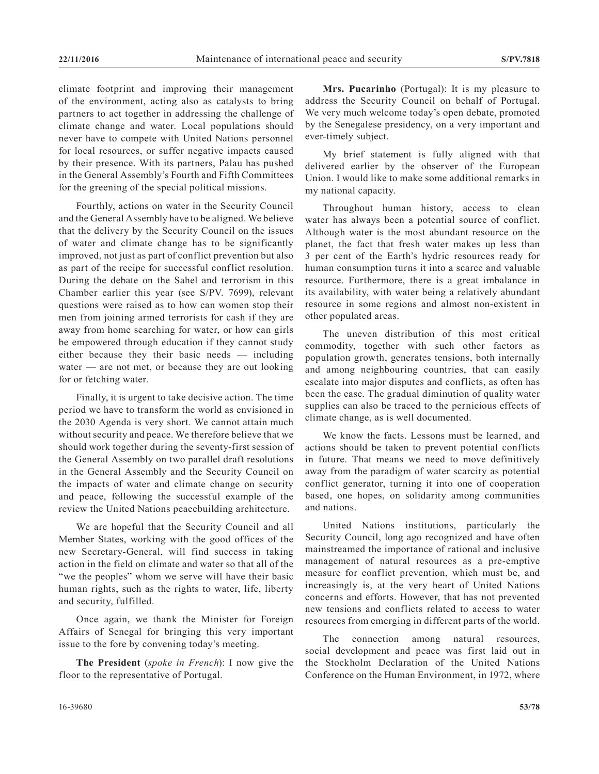climate footprint and improving their management of the environment, acting also as catalysts to bring partners to act together in addressing the challenge of climate change and water. Local populations should never have to compete with United Nations personnel for local resources, or suffer negative impacts caused by their presence. With its partners, Palau has pushed in the General Assembly's Fourth and Fifth Committees for the greening of the special political missions.

Fourthly, actions on water in the Security Council and the General Assembly have to be aligned. We believe that the delivery by the Security Council on the issues of water and climate change has to be significantly improved, not just as part of conflict prevention but also as part of the recipe for successful conflict resolution. During the debate on the Sahel and terrorism in this Chamber earlier this year (see S/PV. 7699), relevant questions were raised as to how can women stop their men from joining armed terrorists for cash if they are away from home searching for water, or how can girls be empowered through education if they cannot study either because they their basic needs — including water — are not met, or because they are out looking for or fetching water.

Finally, it is urgent to take decisive action. The time period we have to transform the world as envisioned in the 2030 Agenda is very short. We cannot attain much without security and peace. We therefore believe that we should work together during the seventy-first session of the General Assembly on two parallel draft resolutions in the General Assembly and the Security Council on the impacts of water and climate change on security and peace, following the successful example of the review the United Nations peacebuilding architecture.

We are hopeful that the Security Council and all Member States, working with the good offices of the new Secretary-General, will find success in taking action in the field on climate and water so that all of the "we the peoples" whom we serve will have their basic human rights, such as the rights to water, life, liberty and security, fulfilled.

Once again, we thank the Minister for Foreign Affairs of Senegal for bringing this very important issue to the fore by convening today's meeting.

**The President** (*spoke in French*): I now give the floor to the representative of Portugal.

**Mrs. Pucarinho** (Portugal): It is my pleasure to address the Security Council on behalf of Portugal. We very much welcome today's open debate, promoted by the Senegalese presidency, on a very important and ever-timely subject.

My brief statement is fully aligned with that delivered earlier by the observer of the European Union. I would like to make some additional remarks in my national capacity.

Throughout human history, access to clean water has always been a potential source of conflict. Although water is the most abundant resource on the planet, the fact that fresh water makes up less than 3 per cent of the Earth's hydric resources ready for human consumption turns it into a scarce and valuable resource. Furthermore, there is a great imbalance in its availability, with water being a relatively abundant resource in some regions and almost non-existent in other populated areas.

The uneven distribution of this most critical commodity, together with such other factors as population growth, generates tensions, both internally and among neighbouring countries, that can easily escalate into major disputes and conflicts, as often has been the case. The gradual diminution of quality water supplies can also be traced to the pernicious effects of climate change, as is well documented.

We know the facts. Lessons must be learned, and actions should be taken to prevent potential conflicts in future. That means we need to move definitively away from the paradigm of water scarcity as potential conflict generator, turning it into one of cooperation based, one hopes, on solidarity among communities and nations.

United Nations institutions, particularly the Security Council, long ago recognized and have often mainstreamed the importance of rational and inclusive management of natural resources as a pre-emptive measure for conflict prevention, which must be, and increasingly is, at the very heart of United Nations concerns and efforts. However, that has not prevented new tensions and conflicts related to access to water resources from emerging in different parts of the world.

The connection among natural resources, social development and peace was first laid out in the Stockholm Declaration of the United Nations Conference on the Human Environment, in 1972, where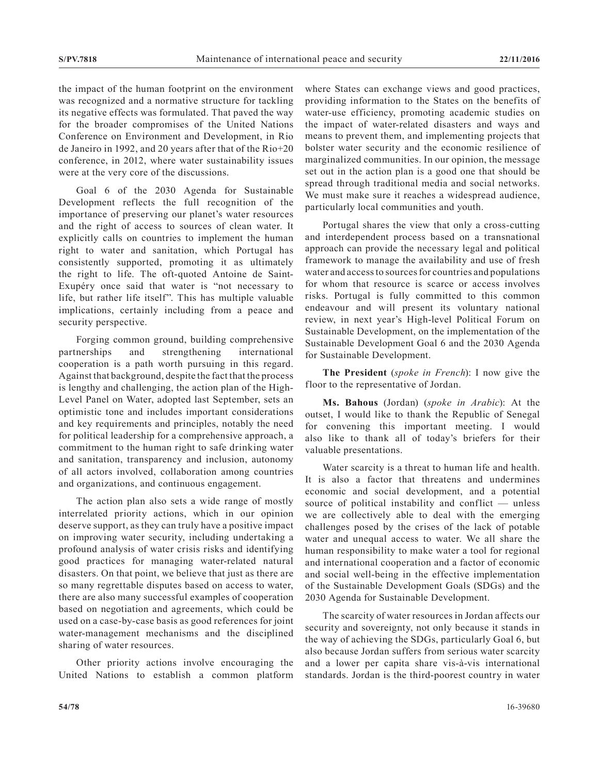the impact of the human footprint on the environment was recognized and a normative structure for tackling its negative effects was formulated. That paved the way for the broader compromises of the United Nations Conference on Environment and Development, in Rio de Janeiro in 1992, and 20 years after that of the Rio+20 conference, in 2012, where water sustainability issues were at the very core of the discussions.

Goal 6 of the 2030 Agenda for Sustainable Development reflects the full recognition of the importance of preserving our planet's water resources and the right of access to sources of clean water. It explicitly calls on countries to implement the human right to water and sanitation, which Portugal has consistently supported, promoting it as ultimately the right to life. The oft-quoted Antoine de Saint-Exupéry once said that water is "not necessary to life, but rather life itself". This has multiple valuable implications, certainly including from a peace and security perspective.

Forging common ground, building comprehensive partnerships and strengthening international cooperation is a path worth pursuing in this regard. Against that background, despite the fact that the process is lengthy and challenging, the action plan of the High-Level Panel on Water, adopted last September, sets an optimistic tone and includes important considerations and key requirements and principles, notably the need for political leadership for a comprehensive approach, a commitment to the human right to safe drinking water and sanitation, transparency and inclusion, autonomy of all actors involved, collaboration among countries and organizations, and continuous engagement.

The action plan also sets a wide range of mostly interrelated priority actions, which in our opinion deserve support, as they can truly have a positive impact on improving water security, including undertaking a profound analysis of water crisis risks and identifying good practices for managing water-related natural disasters. On that point, we believe that just as there are so many regrettable disputes based on access to water, there are also many successful examples of cooperation based on negotiation and agreements, which could be used on a case-by-case basis as good references for joint water-management mechanisms and the disciplined sharing of water resources.

Other priority actions involve encouraging the United Nations to establish a common platform where States can exchange views and good practices, providing information to the States on the benefits of water-use efficiency, promoting academic studies on the impact of water-related disasters and ways and means to prevent them, and implementing projects that bolster water security and the economic resilience of marginalized communities. In our opinion, the message set out in the action plan is a good one that should be spread through traditional media and social networks. We must make sure it reaches a widespread audience, particularly local communities and youth.

Portugal shares the view that only a cross-cutting and interdependent process based on a transnational approach can provide the necessary legal and political framework to manage the availability and use of fresh water and access to sources for countries and populations for whom that resource is scarce or access involves risks. Portugal is fully committed to this common endeavour and will present its voluntary national review, in next year's High-level Political Forum on Sustainable Development, on the implementation of the Sustainable Development Goal 6 and the 2030 Agenda for Sustainable Development.

**The President** (*spoke in French*): I now give the floor to the representative of Jordan.

**Ms. Bahous** (Jordan) (*spoke in Arabic*): At the outset, I would like to thank the Republic of Senegal for convening this important meeting. I would also like to thank all of today's briefers for their valuable presentations.

Water scarcity is a threat to human life and health. It is also a factor that threatens and undermines economic and social development, and a potential source of political instability and conflict — unless we are collectively able to deal with the emerging challenges posed by the crises of the lack of potable water and unequal access to water. We all share the human responsibility to make water a tool for regional and international cooperation and a factor of economic and social well-being in the effective implementation of the Sustainable Development Goals (SDGs) and the 2030 Agenda for Sustainable Development.

The scarcity of water resources in Jordan affects our security and sovereignty, not only because it stands in the way of achieving the SDGs, particularly Goal 6, but also because Jordan suffers from serious water scarcity and a lower per capita share vis-à-vis international standards. Jordan is the third-poorest country in water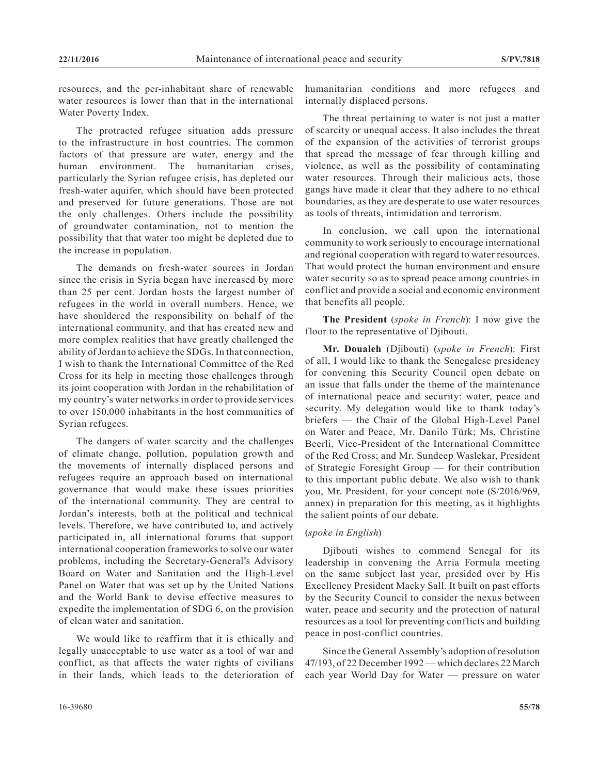resources, and the per-inhabitant share of renewable water resources is lower than that in the international Water Poverty Index.

The protracted refugee situation adds pressure to the infrastructure in host countries. The common factors of that pressure are water, energy and the human environment. The humanitarian crises, particularly the Syrian refugee crisis, has depleted our fresh-water aquifer, which should have been protected and preserved for future generations. Those are not the only challenges. Others include the possibility of groundwater contamination, not to mention the possibility that that water too might be depleted due to the increase in population.

The demands on fresh-water sources in Jordan since the crisis in Syria began have increased by more than 25 per cent. Jordan hosts the largest number of refugees in the world in overall numbers. Hence, we have shouldered the responsibility on behalf of the international community, and that has created new and more complex realities that have greatly challenged the ability of Jordan to achieve the SDGs. In that connection, I wish to thank the International Committee of the Red Cross for its help in meeting those challenges through its joint cooperation with Jordan in the rehabilitation of my country's water networks in order to provide services to over 150,000 inhabitants in the host communities of Syrian refugees.

The dangers of water scarcity and the challenges of climate change, pollution, population growth and the movements of internally displaced persons and refugees require an approach based on international governance that would make these issues priorities of the international community. They are central to Jordan's interests, both at the political and technical levels. Therefore, we have contributed to, and actively participated in, all international forums that support international cooperation frameworks to solve our water problems, including the Secretary-General's Advisory Board on Water and Sanitation and the High-Level Panel on Water that was set up by the United Nations and the World Bank to devise effective measures to expedite the implementation of SDG 6, on the provision of clean water and sanitation.

We would like to reaffirm that it is ethically and legally unacceptable to use water as a tool of war and conflict, as that affects the water rights of civilians in their lands, which leads to the deterioration of

The threat pertaining to water is not just a matter of scarcity or unequal access. It also includes the threat of the expansion of the activities of terrorist groups that spread the message of fear through killing and violence, as well as the possibility of contaminating water resources. Through their malicious acts, those gangs have made it clear that they adhere to no ethical boundaries, as they are desperate to use water resources as tools of threats, intimidation and terrorism.

In conclusion, we call upon the international community to work seriously to encourage international and regional cooperation with regard to water resources. That would protect the human environment and ensure water security so as to spread peace among countries in conflict and provide a social and economic environment that benefits all people.

**The President** (*spoke in French*): I now give the floor to the representative of Djibouti.

**Mr. Doualeh** (Djibouti) (*spoke in French*): First of all, I would like to thank the Senegalese presidency for convening this Security Council open debate on an issue that falls under the theme of the maintenance of international peace and security: water, peace and security. My delegation would like to thank today's briefers — the Chair of the Global High-Level Panel on Water and Peace, Mr. Danilo Türk; Ms. Christine Beerli, Vice-President of the International Committee of the Red Cross; and Mr. Sundeep Waslekar, President of Strategic Foresight Group — for their contribution to this important public debate. We also wish to thank you, Mr. President, for your concept note (S/2016/969, annex) in preparation for this meeting, as it highlights the salient points of our debate.

## (*spoke in English*)

Djibouti wishes to commend Senegal for its leadership in convening the Arria Formula meeting on the same subject last year, presided over by His Excellency President Macky Sall. It built on past efforts by the Security Council to consider the nexus between water, peace and security and the protection of natural resources as a tool for preventing conflicts and building peace in post-conflict countries.

Since the General Assembly's adoption of resolution 47/193, of 22 December 1992 — which declares 22 March each year World Day for Water — pressure on water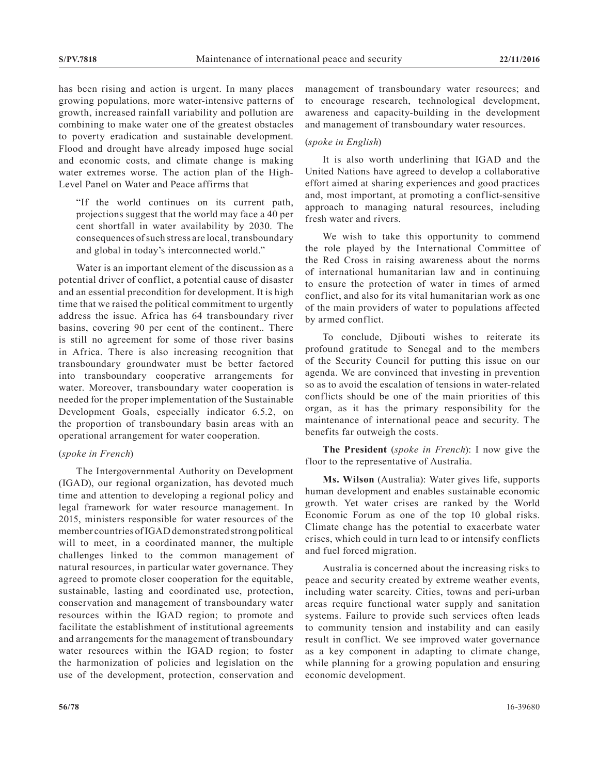has been rising and action is urgent. In many places growing populations, more water-intensive patterns of growth, increased rainfall variability and pollution are combining to make water one of the greatest obstacles to poverty eradication and sustainable development. Flood and drought have already imposed huge social and economic costs, and climate change is making water extremes worse. The action plan of the High-Level Panel on Water and Peace affirms that

"If the world continues on its current path, projections suggest that the world may face a 40 per cent shortfall in water availability by 2030. The consequences of such stress are local, transboundary and global in today's interconnected world."

Water is an important element of the discussion as a potential driver of conflict, a potential cause of disaster and an essential precondition for development. It is high time that we raised the political commitment to urgently address the issue. Africa has 64 transboundary river basins, covering 90 per cent of the continent.. There is still no agreement for some of those river basins in Africa. There is also increasing recognition that transboundary groundwater must be better factored into transboundary cooperative arrangements for water. Moreover, transboundary water cooperation is needed for the proper implementation of the Sustainable Development Goals, especially indicator 6.5.2, on the proportion of transboundary basin areas with an operational arrangement for water cooperation.

### (*spoke in French*)

The Intergovernmental Authority on Development (IGAD), our regional organization, has devoted much time and attention to developing a regional policy and legal framework for water resource management. In 2015, ministers responsible for water resources of the member countries of IGAD demonstrated strong political will to meet, in a coordinated manner, the multiple challenges linked to the common management of natural resources, in particular water governance. They agreed to promote closer cooperation for the equitable, sustainable, lasting and coordinated use, protection, conservation and management of transboundary water resources within the IGAD region; to promote and facilitate the establishment of institutional agreements and arrangements for the management of transboundary water resources within the IGAD region; to foster the harmonization of policies and legislation on the use of the development, protection, conservation and

management of transboundary water resources; and to encourage research, technological development, awareness and capacity-building in the development and management of transboundary water resources.

# (*spoke in English*)

It is also worth underlining that IGAD and the United Nations have agreed to develop a collaborative effort aimed at sharing experiences and good practices and, most important, at promoting a conflict-sensitive approach to managing natural resources, including fresh water and rivers.

We wish to take this opportunity to commend the role played by the International Committee of the Red Cross in raising awareness about the norms of international humanitarian law and in continuing to ensure the protection of water in times of armed conflict, and also for its vital humanitarian work as one of the main providers of water to populations affected by armed conflict.

To conclude, Djibouti wishes to reiterate its profound gratitude to Senegal and to the members of the Security Council for putting this issue on our agenda. We are convinced that investing in prevention so as to avoid the escalation of tensions in water-related conflicts should be one of the main priorities of this organ, as it has the primary responsibility for the maintenance of international peace and security. The benefits far outweigh the costs.

**The President** (*spoke in French*): I now give the floor to the representative of Australia.

**Ms. Wilson** (Australia): Water gives life, supports human development and enables sustainable economic growth. Yet water crises are ranked by the World Economic Forum as one of the top 10 global risks. Climate change has the potential to exacerbate water crises, which could in turn lead to or intensify conflicts and fuel forced migration.

Australia is concerned about the increasing risks to peace and security created by extreme weather events, including water scarcity. Cities, towns and peri-urban areas require functional water supply and sanitation systems. Failure to provide such services often leads to community tension and instability and can easily result in conflict. We see improved water governance as a key component in adapting to climate change, while planning for a growing population and ensuring economic development.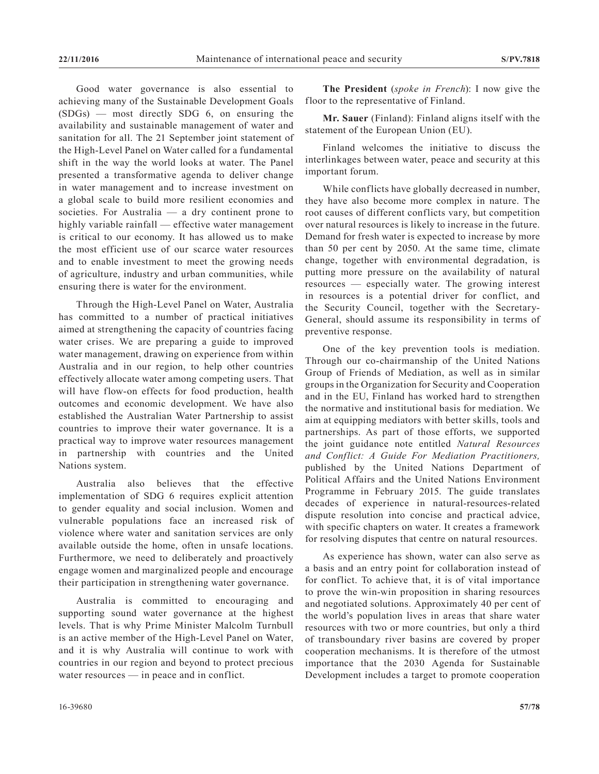Good water governance is also essential to achieving many of the Sustainable Development Goals (SDGs) — most directly SDG 6, on ensuring the availability and sustainable management of water and sanitation for all. The 21 September joint statement of the High-Level Panel on Water called for a fundamental shift in the way the world looks at water. The Panel presented a transformative agenda to deliver change in water management and to increase investment on a global scale to build more resilient economies and societies. For Australia — a dry continent prone to highly variable rainfall — effective water management is critical to our economy. It has allowed us to make the most efficient use of our scarce water resources and to enable investment to meet the growing needs of agriculture, industry and urban communities, while ensuring there is water for the environment.

Through the High-Level Panel on Water, Australia has committed to a number of practical initiatives aimed at strengthening the capacity of countries facing water crises. We are preparing a guide to improved water management, drawing on experience from within Australia and in our region, to help other countries effectively allocate water among competing users. That will have flow-on effects for food production, health outcomes and economic development. We have also established the Australian Water Partnership to assist countries to improve their water governance. It is a practical way to improve water resources management in partnership with countries and the United Nations system.

Australia also believes that the effective implementation of SDG 6 requires explicit attention to gender equality and social inclusion. Women and vulnerable populations face an increased risk of violence where water and sanitation services are only available outside the home, often in unsafe locations. Furthermore, we need to deliberately and proactively engage women and marginalized people and encourage their participation in strengthening water governance.

Australia is committed to encouraging and supporting sound water governance at the highest levels. That is why Prime Minister Malcolm Turnbull is an active member of the High-Level Panel on Water, and it is why Australia will continue to work with countries in our region and beyond to protect precious water resources — in peace and in conflict.

**The President** (*spoke in French*): I now give the floor to the representative of Finland.

**Mr. Sauer** (Finland): Finland aligns itself with the statement of the European Union (EU).

Finland welcomes the initiative to discuss the interlinkages between water, peace and security at this important forum.

While conflicts have globally decreased in number, they have also become more complex in nature. The root causes of different conflicts vary, but competition over natural resources is likely to increase in the future. Demand for fresh water is expected to increase by more than 50 per cent by 2050. At the same time, climate change, together with environmental degradation, is putting more pressure on the availability of natural resources — especially water. The growing interest in resources is a potential driver for conflict, and the Security Council, together with the Secretary-General, should assume its responsibility in terms of preventive response.

One of the key prevention tools is mediation. Through our co-chairmanship of the United Nations Group of Friends of Mediation, as well as in similar groups in the Organization for Security and Cooperation and in the EU, Finland has worked hard to strengthen the normative and institutional basis for mediation. We aim at equipping mediators with better skills, tools and partnerships. As part of those efforts, we supported the joint guidance note entitled *Natural Resources and Conflict: A Guide For Mediation Practitioners,* published by the United Nations Department of Political Affairs and the United Nations Environment Programme in February 2015. The guide translates decades of experience in natural-resources-related dispute resolution into concise and practical advice, with specific chapters on water. It creates a framework for resolving disputes that centre on natural resources.

As experience has shown, water can also serve as a basis and an entry point for collaboration instead of for conflict. To achieve that, it is of vital importance to prove the win-win proposition in sharing resources and negotiated solutions. Approximately 40 per cent of the world's population lives in areas that share water resources with two or more countries, but only a third of transboundary river basins are covered by proper cooperation mechanisms. It is therefore of the utmost importance that the 2030 Agenda for Sustainable Development includes a target to promote cooperation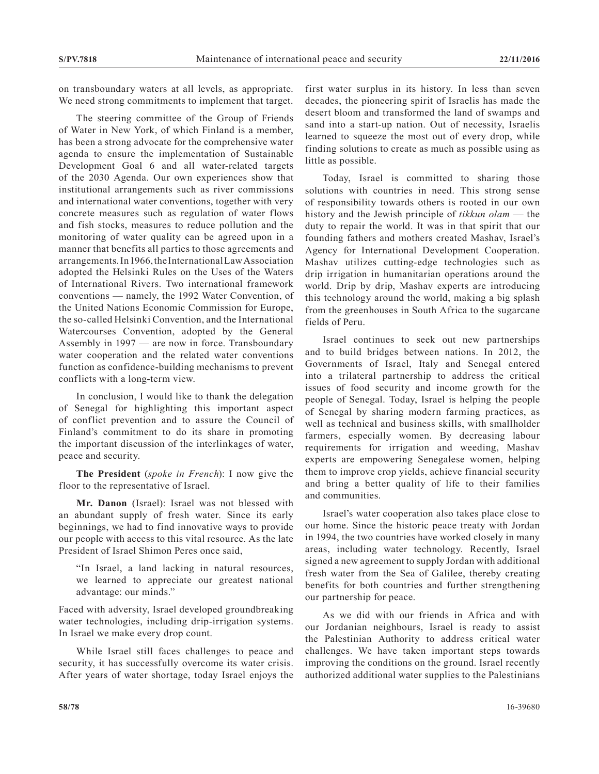on transboundary waters at all levels, as appropriate. We need strong commitments to implement that target.

The steering committee of the Group of Friends of Water in New York, of which Finland is a member, has been a strong advocate for the comprehensive water agenda to ensure the implementation of Sustainable Development Goal 6 and all water-related targets of the 2030 Agenda. Our own experiences show that institutional arrangements such as river commissions and international water conventions, together with very concrete measures such as regulation of water flows and fish stocks, measures to reduce pollution and the monitoring of water quality can be agreed upon in a manner that benefits all parties to those agreements and arrangements. In 1966, the International Law Association adopted the Helsinki Rules on the Uses of the Waters of International Rivers. Two international framework conventions — namely, the 1992 Water Convention, of the United Nations Economic Commission for Europe, the so-called Helsinki Convention, and the International Watercourses Convention, adopted by the General Assembly in 1997 — are now in force. Transboundary water cooperation and the related water conventions function as confidence-building mechanisms to prevent conflicts with a long-term view.

In conclusion, I would like to thank the delegation of Senegal for highlighting this important aspect of conflict prevention and to assure the Council of Finland's commitment to do its share in promoting the important discussion of the interlinkages of water, peace and security.

**The President** (*spoke in French*): I now give the floor to the representative of Israel.

**Mr. Danon** (Israel): Israel was not blessed with an abundant supply of fresh water. Since its early beginnings, we had to find innovative ways to provide our people with access to this vital resource. As the late President of Israel Shimon Peres once said,

"In Israel, a land lacking in natural resources, we learned to appreciate our greatest national advantage: our minds."

Faced with adversity, Israel developed groundbreaking water technologies, including drip-irrigation systems. In Israel we make every drop count.

While Israel still faces challenges to peace and security, it has successfully overcome its water crisis. After years of water shortage, today Israel enjoys the

first water surplus in its history. In less than seven decades, the pioneering spirit of Israelis has made the desert bloom and transformed the land of swamps and sand into a start-up nation. Out of necessity, Israelis learned to squeeze the most out of every drop, while finding solutions to create as much as possible using as little as possible.

Today, Israel is committed to sharing those solutions with countries in need. This strong sense of responsibility towards others is rooted in our own history and the Jewish principle of *tikkun olam* — the duty to repair the world. It was in that spirit that our founding fathers and mothers created Mashav, Israel's Agency for International Development Cooperation. Mashav utilizes cutting-edge technologies such as drip irrigation in humanitarian operations around the world. Drip by drip, Mashav experts are introducing this technology around the world, making a big splash from the greenhouses in South Africa to the sugarcane fields of Peru.

Israel continues to seek out new partnerships and to build bridges between nations. In 2012, the Governments of Israel, Italy and Senegal entered into a trilateral partnership to address the critical issues of food security and income growth for the people of Senegal. Today, Israel is helping the people of Senegal by sharing modern farming practices, as well as technical and business skills, with smallholder farmers, especially women. By decreasing labour requirements for irrigation and weeding, Mashav experts are empowering Senegalese women, helping them to improve crop yields, achieve financial security and bring a better quality of life to their families and communities.

Israel's water cooperation also takes place close to our home. Since the historic peace treaty with Jordan in 1994, the two countries have worked closely in many areas, including water technology. Recently, Israel signed a new agreement to supply Jordan with additional fresh water from the Sea of Galilee, thereby creating benefits for both countries and further strengthening our partnership for peace.

As we did with our friends in Africa and with our Jordanian neighbours, Israel is ready to assist the Palestinian Authority to address critical water challenges. We have taken important steps towards improving the conditions on the ground. Israel recently authorized additional water supplies to the Palestinians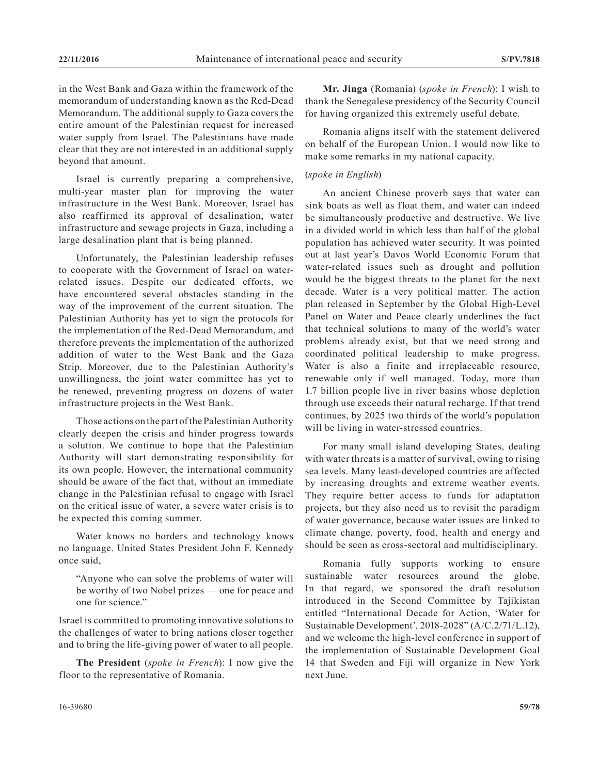in the West Bank and Gaza within the framework of the memorandum of understanding known as the Red-Dead Memorandum. The additional supply to Gaza covers the entire amount of the Palestinian request for increased water supply from Israel. The Palestinians have made clear that they are not interested in an additional supply beyond that amount.

Israel is currently preparing a comprehensive, multi-year master plan for improving the water infrastructure in the West Bank. Moreover, Israel has also reaffirmed its approval of desalination, water infrastructure and sewage projects in Gaza, including a large desalination plant that is being planned.

Unfortunately, the Palestinian leadership refuses to cooperate with the Government of Israel on waterrelated issues. Despite our dedicated efforts, we have encountered several obstacles standing in the way of the improvement of the current situation. The Palestinian Authority has yet to sign the protocols for the implementation of the Red-Dead Memorandum, and therefore prevents the implementation of the authorized addition of water to the West Bank and the Gaza Strip. Moreover, due to the Palestinian Authority's unwillingness, the joint water committee has yet to be renewed, preventing progress on dozens of water infrastructure projects in the West Bank.

Those actions on the part of the Palestinian Authority clearly deepen the crisis and hinder progress towards a solution. We continue to hope that the Palestinian Authority will start demonstrating responsibility for its own people. However, the international community should be aware of the fact that, without an immediate change in the Palestinian refusal to engage with Israel on the critical issue of water, a severe water crisis is to be expected this coming summer.

Water knows no borders and technology knows no language. United States President John F. Kennedy once said,

"Anyone who can solve the problems of water will be worthy of two Nobel prizes — one for peace and one for science."

Israel is committed to promoting innovative solutions to the challenges of water to bring nations closer together and to bring the life-giving power of water to all people.

**The President** (*spoke in French*): I now give the floor to the representative of Romania.

**Mr. Jinga** (Romania) (*spoke in French*): I wish to thank the Senegalese presidency of the Security Council for having organized this extremely useful debate.

Romania aligns itself with the statement delivered on behalf of the European Union. I would now like to make some remarks in my national capacity.

# (*spoke in English*)

An ancient Chinese proverb says that water can sink boats as well as float them, and water can indeed be simultaneously productive and destructive. We live in a divided world in which less than half of the global population has achieved water security. It was pointed out at last year's Davos World Economic Forum that water-related issues such as drought and pollution would be the biggest threats to the planet for the next decade. Water is a very political matter. The action plan released in September by the Global High-Level Panel on Water and Peace clearly underlines the fact that technical solutions to many of the world's water problems already exist, but that we need strong and coordinated political leadership to make progress. Water is also a finite and irreplaceable resource, renewable only if well managed. Today, more than 1.7 billion people live in river basins whose depletion through use exceeds their natural recharge. If that trend continues, by 2025 two thirds of the world's population will be living in water-stressed countries.

For many small island developing States, dealing with water threats is a matter of survival, owing to rising sea levels. Many least-developed countries are affected by increasing droughts and extreme weather events. They require better access to funds for adaptation projects, but they also need us to revisit the paradigm of water governance, because water issues are linked to climate change, poverty, food, health and energy and should be seen as cross-sectoral and multidisciplinary.

Romania fully supports working to ensure sustainable water resources around the globe. In that regard, we sponsored the draft resolution introduced in the Second Committee by Tajikistan entitled "International Decade for Action, 'Water for Sustainable Development', 2018-2028" (A/C.2/71/L.12), and we welcome the high-level conference in support of the implementation of Sustainable Development Goal 14 that Sweden and Fiji will organize in New York next June.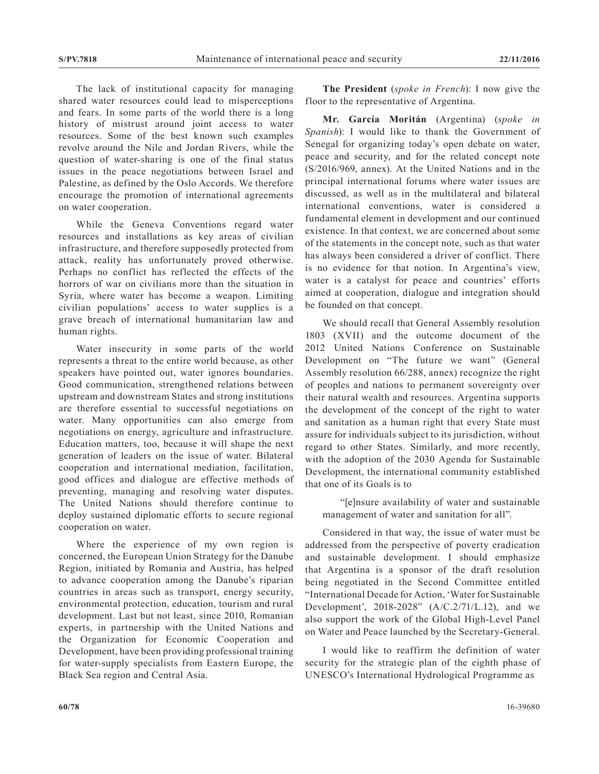The lack of institutional capacity for managing shared water resources could lead to misperceptions and fears. In some parts of the world there is a long history of mistrust around joint access to water resources. Some of the best known such examples revolve around the Nile and Jordan Rivers, while the question of water-sharing is one of the final status issues in the peace negotiations between Israel and Palestine, as defined by the Oslo Accords. We therefore encourage the promotion of international agreements on water cooperation.

While the Geneva Conventions regard water resources and installations as key areas of civilian infrastructure, and therefore supposedly protected from attack, reality has unfortunately proved otherwise. Perhaps no conflict has reflected the effects of the horrors of war on civilians more than the situation in Syria, where water has become a weapon. Limiting civilian populations' access to water supplies is a grave breach of international humanitarian law and human rights.

Water insecurity in some parts of the world represents a threat to the entire world because, as other speakers have pointed out, water ignores boundaries. Good communication, strengthened relations between upstream and downstream States and strong institutions are therefore essential to successful negotiations on water. Many opportunities can also emerge from negotiations on energy, agriculture and infrastructure. Education matters, too, because it will shape the next generation of leaders on the issue of water. Bilateral cooperation and international mediation, facilitation, good offices and dialogue are effective methods of preventing, managing and resolving water disputes. The United Nations should therefore continue to deploy sustained diplomatic efforts to secure regional cooperation on water.

Where the experience of my own region is concerned, the European Union Strategy for the Danube Region, initiated by Romania and Austria, has helped to advance cooperation among the Danube's riparian countries in areas such as transport, energy security, environmental protection, education, tourism and rural development. Last but not least, since 2010, Romanian experts, in partnership with the United Nations and the Organization for Economic Cooperation and Development, have been providing professional training for water-supply specialists from Eastern Europe, the Black Sea region and Central Asia.

**The President** (*spoke in French*): I now give the floor to the representative of Argentina.

**Mr. García Moritán** (Argentina) (*spoke in Spanish*): I would like to thank the Government of Senegal for organizing today's open debate on water, peace and security, and for the related concept note (S/2016/969, annex). At the United Nations and in the principal international forums where water issues are discussed, as well as in the multilateral and bilateral international conventions, water is considered a fundamental element in development and our continued existence. In that context, we are concerned about some of the statements in the concept note, such as that water has always been considered a driver of conflict. There is no evidence for that notion. In Argentina's view, water is a catalyst for peace and countries' efforts aimed at cooperation, dialogue and integration should be founded on that concept.

We should recall that General Assembly resolution 1803 (XVII) and the outcome document of the 2012 United Nations Conference on Sustainable Development on "The future we want" (General Assembly resolution 66/288, annex) recognize the right of peoples and nations to permanent sovereignty over their natural wealth and resources. Argentina supports the development of the concept of the right to water and sanitation as a human right that every State must assure for individuals subject to its jurisdiction, without regard to other States. Similarly, and more recently, with the adoption of the 2030 Agenda for Sustainable Development, the international community established that one of its Goals is to

"[e]nsure availability of water and sustainable management of water and sanitation for all".

Considered in that way, the issue of water must be addressed from the perspective of poverty eradication and sustainable development. I should emphasize that Argentina is a sponsor of the draft resolution being negotiated in the Second Committee entitled "International Decade for Action, 'Water for Sustainable Development', 2018-2028" (A/C.2/71/L.12), and we also support the work of the Global High-Level Panel on Water and Peace launched by the Secretary-General.

I would like to reaffirm the definition of water security for the strategic plan of the eighth phase of UNESCO's International Hydrological Programme as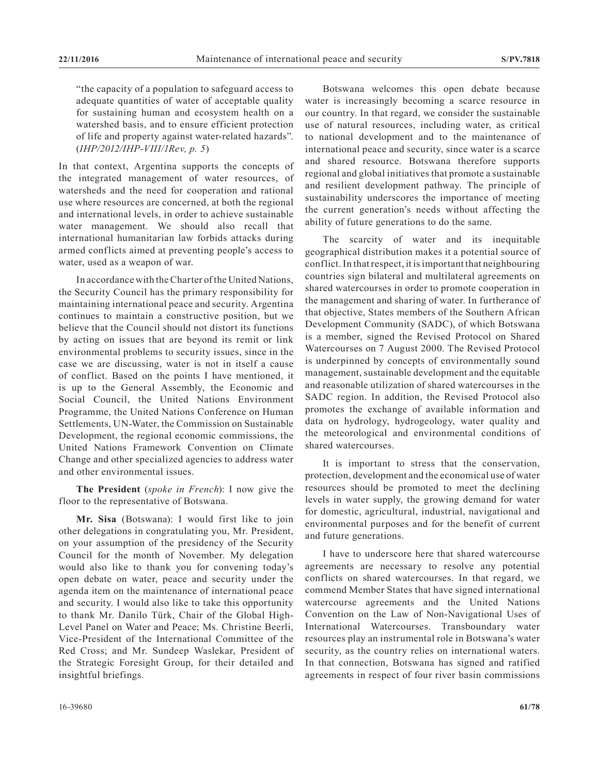"the capacity of a population to safeguard access to adequate quantities of water of acceptable quality for sustaining human and ecosystem health on a watershed basis, and to ensure efficient protection of life and property against water-related hazards". (*IHP/2012/IHP-VIII/1Rev, p. 5*)

In that context, Argentina supports the concepts of the integrated management of water resources, of watersheds and the need for cooperation and rational use where resources are concerned, at both the regional and international levels, in order to achieve sustainable water management. We should also recall that international humanitarian law forbids attacks during armed conflicts aimed at preventing people's access to water, used as a weapon of war.

In accordance with the Charter of the United Nations, the Security Council has the primary responsibility for maintaining international peace and security. Argentina continues to maintain a constructive position, but we believe that the Council should not distort its functions by acting on issues that are beyond its remit or link environmental problems to security issues, since in the case we are discussing, water is not in itself a cause of conflict. Based on the points I have mentioned, it is up to the General Assembly, the Economic and Social Council, the United Nations Environment Programme, the United Nations Conference on Human Settlements, UN-Water, the Commission on Sustainable Development, the regional economic commissions, the United Nations Framework Convention on Climate Change and other specialized agencies to address water and other environmental issues.

**The President** (*spoke in French*): I now give the floor to the representative of Botswana.

**Mr. Sisa** (Botswana): I would first like to join other delegations in congratulating you, Mr. President, on your assumption of the presidency of the Security Council for the month of November. My delegation would also like to thank you for convening today's open debate on water, peace and security under the agenda item on the maintenance of international peace and security. I would also like to take this opportunity to thank Mr. Danilo Türk, Chair of the Global High-Level Panel on Water and Peace; Ms. Christine Beerli, Vice-President of the International Committee of the Red Cross; and Mr. Sundeep Waslekar, President of the Strategic Foresight Group, for their detailed and insightful briefings.

Botswana welcomes this open debate because water is increasingly becoming a scarce resource in our country. In that regard, we consider the sustainable use of natural resources, including water, as critical to national development and to the maintenance of international peace and security, since water is a scarce and shared resource. Botswana therefore supports regional and global initiatives that promote a sustainable and resilient development pathway. The principle of sustainability underscores the importance of meeting the current generation's needs without affecting the ability of future generations to do the same.

The scarcity of water and its inequitable geographical distribution makes it a potential source of conflict. In that respect, it is important that neighbouring countries sign bilateral and multilateral agreements on shared watercourses in order to promote cooperation in the management and sharing of water. In furtherance of that objective, States members of the Southern African Development Community (SADC), of which Botswana is a member, signed the Revised Protocol on Shared Watercourses on 7 August 2000. The Revised Protocol is underpinned by concepts of environmentally sound management, sustainable development and the equitable and reasonable utilization of shared watercourses in the SADC region. In addition, the Revised Protocol also promotes the exchange of available information and data on hydrology, hydrogeology, water quality and the meteorological and environmental conditions of shared watercourses.

It is important to stress that the conservation, protection, development and the economical use of water resources should be promoted to meet the declining levels in water supply, the growing demand for water for domestic, agricultural, industrial, navigational and environmental purposes and for the benefit of current and future generations.

I have to underscore here that shared watercourse agreements are necessary to resolve any potential conflicts on shared watercourses. In that regard, we commend Member States that have signed international watercourse agreements and the United Nations Convention on the Law of Non-Navigational Uses of International Watercourses. Transboundary water resources play an instrumental role in Botswana's water security, as the country relies on international waters. In that connection, Botswana has signed and ratified agreements in respect of four river basin commissions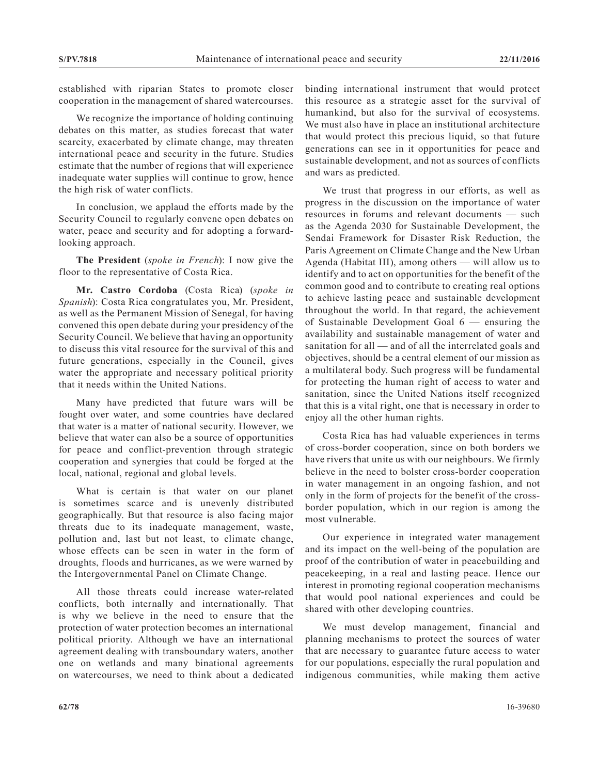established with riparian States to promote closer cooperation in the management of shared watercourses.

We recognize the importance of holding continuing debates on this matter, as studies forecast that water scarcity, exacerbated by climate change, may threaten international peace and security in the future. Studies estimate that the number of regions that will experience inadequate water supplies will continue to grow, hence the high risk of water conflicts.

In conclusion, we applaud the efforts made by the Security Council to regularly convene open debates on water, peace and security and for adopting a forwardlooking approach.

**The President** (*spoke in French*): I now give the floor to the representative of Costa Rica.

**Mr. Castro Cordoba** (Costa Rica) (*spoke in Spanish*): Costa Rica congratulates you, Mr. President, as well as the Permanent Mission of Senegal, for having convened this open debate during your presidency of the Security Council. We believe that having an opportunity to discuss this vital resource for the survival of this and future generations, especially in the Council, gives water the appropriate and necessary political priority that it needs within the United Nations.

Many have predicted that future wars will be fought over water, and some countries have declared that water is a matter of national security. However, we believe that water can also be a source of opportunities for peace and conflict-prevention through strategic cooperation and synergies that could be forged at the local, national, regional and global levels.

What is certain is that water on our planet is sometimes scarce and is unevenly distributed geographically. But that resource is also facing major threats due to its inadequate management, waste, pollution and, last but not least, to climate change, whose effects can be seen in water in the form of droughts, floods and hurricanes, as we were warned by the Intergovernmental Panel on Climate Change.

All those threats could increase water-related conflicts, both internally and internationally. That is why we believe in the need to ensure that the protection of water protection becomes an international political priority. Although we have an international agreement dealing with transboundary waters, another one on wetlands and many binational agreements on watercourses, we need to think about a dedicated

binding international instrument that would protect this resource as a strategic asset for the survival of humankind, but also for the survival of ecosystems. We must also have in place an institutional architecture that would protect this precious liquid, so that future generations can see in it opportunities for peace and sustainable development, and not as sources of conflicts and wars as predicted.

We trust that progress in our efforts, as well as progress in the discussion on the importance of water resources in forums and relevant documents — such as the Agenda 2030 for Sustainable Development, the Sendai Framework for Disaster Risk Reduction, the Paris Agreement on Climate Change and the New Urban Agenda (Habitat III), among others — will allow us to identify and to act on opportunities for the benefit of the common good and to contribute to creating real options to achieve lasting peace and sustainable development throughout the world. In that regard, the achievement of Sustainable Development Goal 6 — ensuring the availability and sustainable management of water and sanitation for all — and of all the interrelated goals and objectives, should be a central element of our mission as a multilateral body. Such progress will be fundamental for protecting the human right of access to water and sanitation, since the United Nations itself recognized that this is a vital right, one that is necessary in order to enjoy all the other human rights.

Costa Rica has had valuable experiences in terms of cross-border cooperation, since on both borders we have rivers that unite us with our neighbours. We firmly believe in the need to bolster cross-border cooperation in water management in an ongoing fashion, and not only in the form of projects for the benefit of the crossborder population, which in our region is among the most vulnerable.

Our experience in integrated water management and its impact on the well-being of the population are proof of the contribution of water in peacebuilding and peacekeeping, in a real and lasting peace. Hence our interest in promoting regional cooperation mechanisms that would pool national experiences and could be shared with other developing countries.

We must develop management, financial and planning mechanisms to protect the sources of water that are necessary to guarantee future access to water for our populations, especially the rural population and indigenous communities, while making them active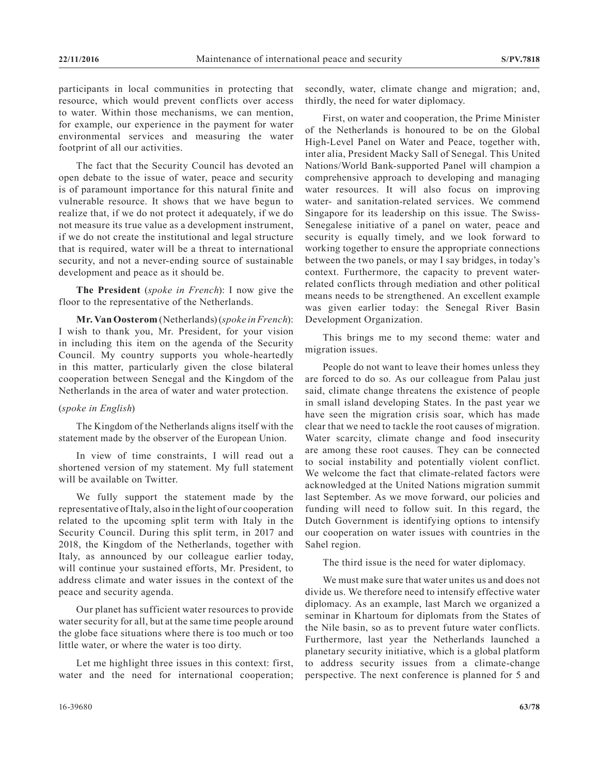participants in local communities in protecting that resource, which would prevent conflicts over access to water. Within those mechanisms, we can mention, for example, our experience in the payment for water environmental services and measuring the water footprint of all our activities.

The fact that the Security Council has devoted an open debate to the issue of water, peace and security is of paramount importance for this natural finite and vulnerable resource. It shows that we have begun to realize that, if we do not protect it adequately, if we do not measure its true value as a development instrument, if we do not create the institutional and legal structure that is required, water will be a threat to international security, and not a never-ending source of sustainable development and peace as it should be.

**The President** (*spoke in French*): I now give the floor to the representative of the Netherlands.

**Mr. Van Oosterom** (Netherlands) (*spoke in French*): I wish to thank you, Mr. President, for your vision in including this item on the agenda of the Security Council. My country supports you whole-heartedly in this matter, particularly given the close bilateral cooperation between Senegal and the Kingdom of the Netherlands in the area of water and water protection.

#### (*spoke in English*)

The Kingdom of the Netherlands aligns itself with the statement made by the observer of the European Union.

In view of time constraints, I will read out a shortened version of my statement. My full statement will be available on Twitter.

We fully support the statement made by the representative of Italy, also in the light of our cooperation related to the upcoming split term with Italy in the Security Council. During this split term, in 2017 and 2018, the Kingdom of the Netherlands, together with Italy, as announced by our colleague earlier today, will continue your sustained efforts, Mr. President, to address climate and water issues in the context of the peace and security agenda.

Our planet has sufficient water resources to provide water security for all, but at the same time people around the globe face situations where there is too much or too little water, or where the water is too dirty.

Let me highlight three issues in this context: first, water and the need for international cooperation; secondly, water, climate change and migration; and, thirdly, the need for water diplomacy.

First, on water and cooperation, the Prime Minister of the Netherlands is honoured to be on the Global High-Level Panel on Water and Peace, together with, inter alia, President Macky Sall of Senegal. This United Nations/World Bank-supported Panel will champion a comprehensive approach to developing and managing water resources. It will also focus on improving water- and sanitation-related services. We commend Singapore for its leadership on this issue. The Swiss-Senegalese initiative of a panel on water, peace and security is equally timely, and we look forward to working together to ensure the appropriate connections between the two panels, or may I say bridges, in today's context. Furthermore, the capacity to prevent waterrelated conflicts through mediation and other political means needs to be strengthened. An excellent example was given earlier today: the Senegal River Basin Development Organization.

This brings me to my second theme: water and migration issues.

People do not want to leave their homes unless they are forced to do so. As our colleague from Palau just said, climate change threatens the existence of people in small island developing States. In the past year we have seen the migration crisis soar, which has made clear that we need to tackle the root causes of migration. Water scarcity, climate change and food insecurity are among these root causes. They can be connected to social instability and potentially violent conflict. We welcome the fact that climate-related factors were acknowledged at the United Nations migration summit last September. As we move forward, our policies and funding will need to follow suit. In this regard, the Dutch Government is identifying options to intensify our cooperation on water issues with countries in the Sahel region.

The third issue is the need for water diplomacy.

We must make sure that water unites us and does not divide us. We therefore need to intensify effective water diplomacy. As an example, last March we organized a seminar in Khartoum for diplomats from the States of the Nile basin, so as to prevent future water conflicts. Furthermore, last year the Netherlands launched a planetary security initiative, which is a global platform to address security issues from a climate-change perspective. The next conference is planned for 5 and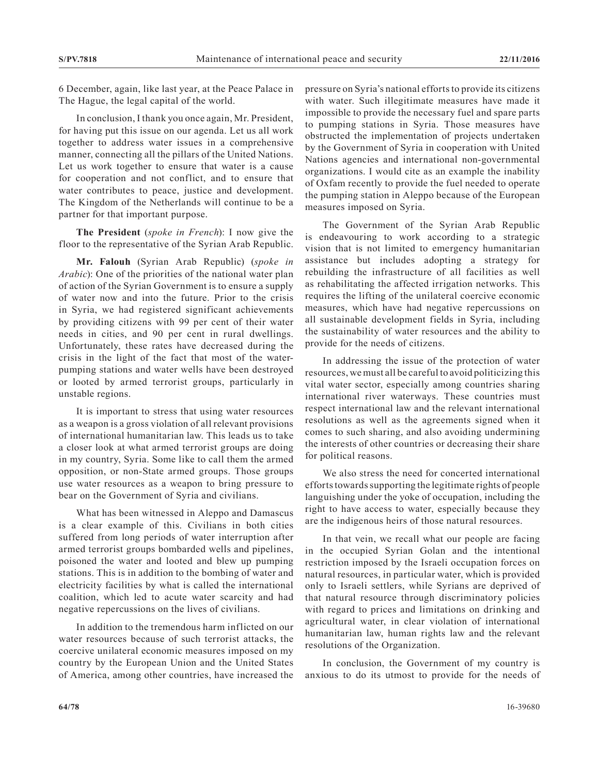6 December, again, like last year, at the Peace Palace in The Hague, the legal capital of the world.

In conclusion, I thank you once again, Mr. President, for having put this issue on our agenda. Let us all work together to address water issues in a comprehensive manner, connecting all the pillars of the United Nations. Let us work together to ensure that water is a cause for cooperation and not conflict, and to ensure that water contributes to peace, justice and development. The Kingdom of the Netherlands will continue to be a partner for that important purpose.

**The President** (*spoke in French*): I now give the floor to the representative of the Syrian Arab Republic.

**Mr. Falouh** (Syrian Arab Republic) (*spoke in Arabic*): One of the priorities of the national water plan of action of the Syrian Government is to ensure a supply of water now and into the future. Prior to the crisis in Syria, we had registered significant achievements by providing citizens with 99 per cent of their water needs in cities, and 90 per cent in rural dwellings. Unfortunately, these rates have decreased during the crisis in the light of the fact that most of the waterpumping stations and water wells have been destroyed or looted by armed terrorist groups, particularly in unstable regions.

It is important to stress that using water resources as a weapon is a gross violation of all relevant provisions of international humanitarian law. This leads us to take a closer look at what armed terrorist groups are doing in my country, Syria. Some like to call them the armed opposition, or non-State armed groups. Those groups use water resources as a weapon to bring pressure to bear on the Government of Syria and civilians.

What has been witnessed in Aleppo and Damascus is a clear example of this. Civilians in both cities suffered from long periods of water interruption after armed terrorist groups bombarded wells and pipelines, poisoned the water and looted and blew up pumping stations. This is in addition to the bombing of water and electricity facilities by what is called the international coalition, which led to acute water scarcity and had negative repercussions on the lives of civilians.

In addition to the tremendous harm inflicted on our water resources because of such terrorist attacks, the coercive unilateral economic measures imposed on my country by the European Union and the United States of America, among other countries, have increased the

pressure on Syria's national efforts to provide its citizens with water. Such illegitimate measures have made it impossible to provide the necessary fuel and spare parts to pumping stations in Syria. Those measures have obstructed the implementation of projects undertaken by the Government of Syria in cooperation with United Nations agencies and international non-governmental organizations. I would cite as an example the inability of Oxfam recently to provide the fuel needed to operate the pumping station in Aleppo because of the European measures imposed on Syria.

The Government of the Syrian Arab Republic is endeavouring to work according to a strategic vision that is not limited to emergency humanitarian assistance but includes adopting a strategy for rebuilding the infrastructure of all facilities as well as rehabilitating the affected irrigation networks. This requires the lifting of the unilateral coercive economic measures, which have had negative repercussions on all sustainable development fields in Syria, including the sustainability of water resources and the ability to provide for the needs of citizens.

In addressing the issue of the protection of water resources, we must all be careful to avoid politicizing this vital water sector, especially among countries sharing international river waterways. These countries must respect international law and the relevant international resolutions as well as the agreements signed when it comes to such sharing, and also avoiding undermining the interests of other countries or decreasing their share for political reasons.

We also stress the need for concerted international efforts towards supporting the legitimate rights of people languishing under the yoke of occupation, including the right to have access to water, especially because they are the indigenous heirs of those natural resources.

In that vein, we recall what our people are facing in the occupied Syrian Golan and the intentional restriction imposed by the Israeli occupation forces on natural resources, in particular water, which is provided only to Israeli settlers, while Syrians are deprived of that natural resource through discriminatory policies with regard to prices and limitations on drinking and agricultural water, in clear violation of international humanitarian law, human rights law and the relevant resolutions of the Organization.

In conclusion, the Government of my country is anxious to do its utmost to provide for the needs of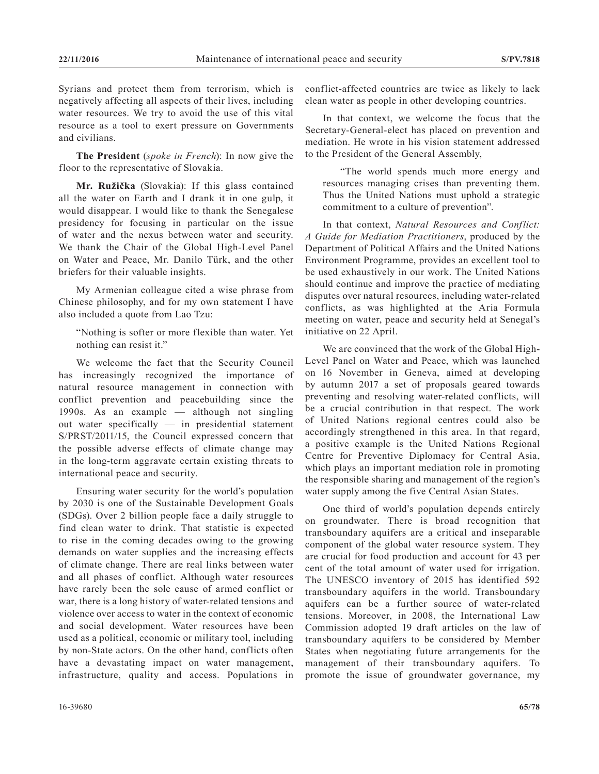Syrians and protect them from terrorism, which is negatively affecting all aspects of their lives, including water resources. We try to avoid the use of this vital resource as a tool to exert pressure on Governments and civilians.

**The President** (*spoke in French*): In now give the floor to the representative of Slovakia.

**Mr. Ružička** (Slovakia): If this glass contained all the water on Earth and I drank it in one gulp, it would disappear. I would like to thank the Senegalese presidency for focusing in particular on the issue of water and the nexus between water and security. We thank the Chair of the Global High-Level Panel on Water and Peace, Mr. Danilo Türk, and the other briefers for their valuable insights.

My Armenian colleague cited a wise phrase from Chinese philosophy, and for my own statement I have also included a quote from Lao Tzu:

"Nothing is softer or more flexible than water. Yet nothing can resist it."

We welcome the fact that the Security Council has increasingly recognized the importance of natural resource management in connection with conflict prevention and peacebuilding since the 1990s. As an example — although not singling out water specifically — in presidential statement S/PRST/2011/15, the Council expressed concern that the possible adverse effects of climate change may in the long-term aggravate certain existing threats to international peace and security.

Ensuring water security for the world's population by 2030 is one of the Sustainable Development Goals (SDGs). Over 2 billion people face a daily struggle to find clean water to drink. That statistic is expected to rise in the coming decades owing to the growing demands on water supplies and the increasing effects of climate change. There are real links between water and all phases of conflict. Although water resources have rarely been the sole cause of armed conflict or war, there is a long history of water-related tensions and violence over access to water in the context of economic and social development. Water resources have been used as a political, economic or military tool, including by non-State actors. On the other hand, conflicts often have a devastating impact on water management, infrastructure, quality and access. Populations in

conflict-affected countries are twice as likely to lack clean water as people in other developing countries.

In that context, we welcome the focus that the Secretary-General-elect has placed on prevention and mediation. He wrote in his vision statement addressed to the President of the General Assembly,

"The world spends much more energy and resources managing crises than preventing them. Thus the United Nations must uphold a strategic commitment to a culture of prevention".

In that context, *Natural Resources and Conflict: A Guide for Mediation Practitioners*, produced by the Department of Political Affairs and the United Nations Environment Programme, provides an excellent tool to be used exhaustively in our work. The United Nations should continue and improve the practice of mediating disputes over natural resources, including water-related conflicts, as was highlighted at the Aria Formula meeting on water, peace and security held at Senegal's initiative on 22 April.

We are convinced that the work of the Global High-Level Panel on Water and Peace, which was launched on 16 November in Geneva, aimed at developing by autumn 2017 a set of proposals geared towards preventing and resolving water-related conflicts, will be a crucial contribution in that respect. The work of United Nations regional centres could also be accordingly strengthened in this area. In that regard, a positive example is the United Nations Regional Centre for Preventive Diplomacy for Central Asia, which plays an important mediation role in promoting the responsible sharing and management of the region's water supply among the five Central Asian States.

One third of world's population depends entirely on groundwater. There is broad recognition that transboundary aquifers are a critical and inseparable component of the global water resource system. They are crucial for food production and account for 43 per cent of the total amount of water used for irrigation. The UNESCO inventory of 2015 has identified 592 transboundary aquifers in the world. Transboundary aquifers can be a further source of water-related tensions. Moreover, in 2008, the International Law Commission adopted 19 draft articles on the law of transboundary aquifers to be considered by Member States when negotiating future arrangements for the management of their transboundary aquifers. To promote the issue of groundwater governance, my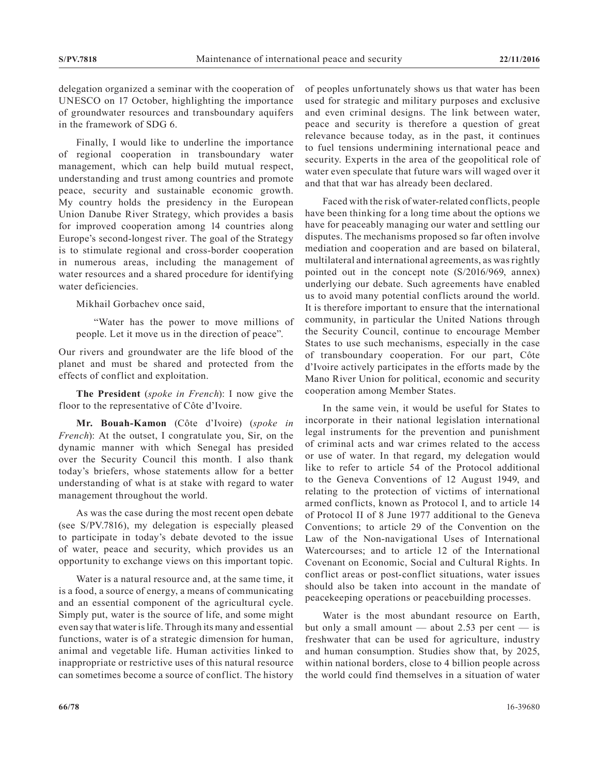delegation organized a seminar with the cooperation of UNESCO on 17 October, highlighting the importance of groundwater resources and transboundary aquifers in the framework of SDG 6.

Finally, I would like to underline the importance of regional cooperation in transboundary water management, which can help build mutual respect, understanding and trust among countries and promote peace, security and sustainable economic growth. My country holds the presidency in the European Union Danube River Strategy, which provides a basis for improved cooperation among 14 countries along Europe's second-longest river. The goal of the Strategy is to stimulate regional and cross-border cooperation in numerous areas, including the management of water resources and a shared procedure for identifying water deficiencies.

Mikhail Gorbachev once said,

"Water has the power to move millions of people. Let it move us in the direction of peace".

Our rivers and groundwater are the life blood of the planet and must be shared and protected from the effects of conflict and exploitation.

**The President** (*spoke in French*): I now give the floor to the representative of Côte d'Ivoire.

**Mr. Bouah-Kamon** (Côte d'Ivoire) (*spoke in French*): At the outset, I congratulate you, Sir, on the dynamic manner with which Senegal has presided over the Security Council this month. I also thank today's briefers, whose statements allow for a better understanding of what is at stake with regard to water management throughout the world.

As was the case during the most recent open debate (see S/PV.7816), my delegation is especially pleased to participate in today's debate devoted to the issue of water, peace and security, which provides us an opportunity to exchange views on this important topic.

Water is a natural resource and, at the same time, it is a food, a source of energy, a means of communicating and an essential component of the agricultural cycle. Simply put, water is the source of life, and some might even say that water is life. Through its many and essential functions, water is of a strategic dimension for human, animal and vegetable life. Human activities linked to inappropriate or restrictive uses of this natural resource can sometimes become a source of conflict. The history

of peoples unfortunately shows us that water has been used for strategic and military purposes and exclusive and even criminal designs. The link between water, peace and security is therefore a question of great relevance because today, as in the past, it continues to fuel tensions undermining international peace and security. Experts in the area of the geopolitical role of water even speculate that future wars will waged over it and that that war has already been declared.

Faced with the risk of water-related conflicts, people have been thinking for a long time about the options we have for peaceably managing our water and settling our disputes. The mechanisms proposed so far often involve mediation and cooperation and are based on bilateral, multilateral and international agreements, as was rightly pointed out in the concept note (S/2016/969, annex) underlying our debate. Such agreements have enabled us to avoid many potential conflicts around the world. It is therefore important to ensure that the international community, in particular the United Nations through the Security Council, continue to encourage Member States to use such mechanisms, especially in the case of transboundary cooperation. For our part, Côte d'Ivoire actively participates in the efforts made by the Mano River Union for political, economic and security cooperation among Member States.

In the same vein, it would be useful for States to incorporate in their national legislation international legal instruments for the prevention and punishment of criminal acts and war crimes related to the access or use of water. In that regard, my delegation would like to refer to article 54 of the Protocol additional to the Geneva Conventions of 12 August 1949, and relating to the protection of victims of international armed conflicts, known as Protocol I, and to article 14 of Protocol II of 8 June 1977 additional to the Geneva Conventions; to article 29 of the Convention on the Law of the Non-navigational Uses of International Watercourses; and to article 12 of the International Covenant on Economic, Social and Cultural Rights. In conflict areas or post-conflict situations, water issues should also be taken into account in the mandate of peacekeeping operations or peacebuilding processes.

Water is the most abundant resource on Earth, but only a small amount — about  $2.53$  per cent — is freshwater that can be used for agriculture, industry and human consumption. Studies show that, by 2025, within national borders, close to 4 billion people across the world could find themselves in a situation of water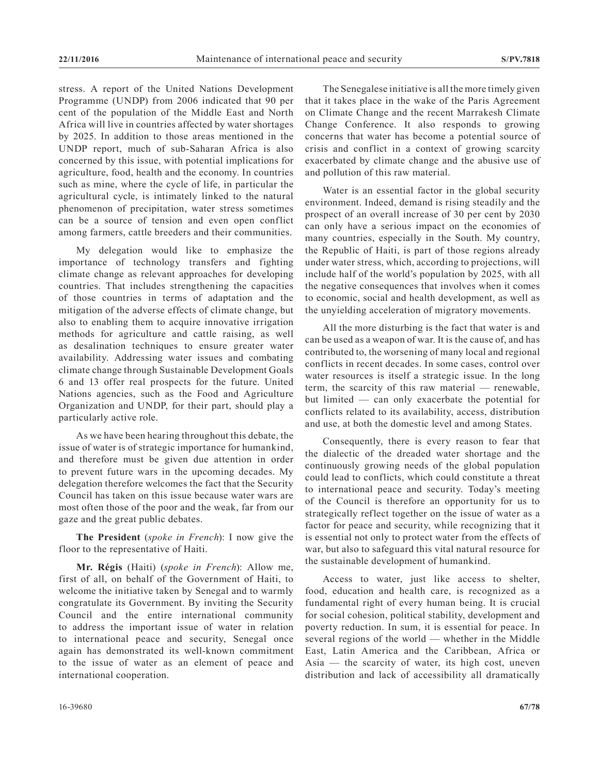stress. A report of the United Nations Development Programme (UNDP) from 2006 indicated that 90 per cent of the population of the Middle East and North Africa will live in countries affected by water shortages by 2025. In addition to those areas mentioned in the UNDP report, much of sub-Saharan Africa is also concerned by this issue, with potential implications for agriculture, food, health and the economy. In countries such as mine, where the cycle of life, in particular the agricultural cycle, is intimately linked to the natural phenomenon of precipitation, water stress sometimes can be a source of tension and even open conflict among farmers, cattle breeders and their communities.

My delegation would like to emphasize the importance of technology transfers and fighting climate change as relevant approaches for developing countries. That includes strengthening the capacities of those countries in terms of adaptation and the mitigation of the adverse effects of climate change, but also to enabling them to acquire innovative irrigation methods for agriculture and cattle raising, as well as desalination techniques to ensure greater water availability. Addressing water issues and combating climate change through Sustainable Development Goals 6 and 13 offer real prospects for the future. United Nations agencies, such as the Food and Agriculture Organization and UNDP, for their part, should play a particularly active role.

As we have been hearing throughout this debate, the issue of water is of strategic importance for humankind, and therefore must be given due attention in order to prevent future wars in the upcoming decades. My delegation therefore welcomes the fact that the Security Council has taken on this issue because water wars are most often those of the poor and the weak, far from our gaze and the great public debates.

**The President** (*spoke in French*): I now give the floor to the representative of Haiti.

**Mr. Régis** (Haiti) (*spoke in French*): Allow me, first of all, on behalf of the Government of Haiti, to welcome the initiative taken by Senegal and to warmly congratulate its Government. By inviting the Security Council and the entire international community to address the important issue of water in relation to international peace and security, Senegal once again has demonstrated its well-known commitment to the issue of water as an element of peace and international cooperation.

The Senegalese initiative is all the more timely given that it takes place in the wake of the Paris Agreement on Climate Change and the recent Marrakesh Climate Change Conference. It also responds to growing concerns that water has become a potential source of crisis and conflict in a context of growing scarcity exacerbated by climate change and the abusive use of and pollution of this raw material.

Water is an essential factor in the global security environment. Indeed, demand is rising steadily and the prospect of an overall increase of 30 per cent by 2030 can only have a serious impact on the economies of many countries, especially in the South. My country, the Republic of Haiti, is part of those regions already under water stress, which, according to projections, will include half of the world's population by 2025, with all the negative consequences that involves when it comes to economic, social and health development, as well as the unyielding acceleration of migratory movements.

All the more disturbing is the fact that water is and can be used as a weapon of war. It is the cause of, and has contributed to, the worsening of many local and regional conflicts in recent decades. In some cases, control over water resources is itself a strategic issue. In the long term, the scarcity of this raw material — renewable, but limited — can only exacerbate the potential for conflicts related to its availability, access, distribution and use, at both the domestic level and among States.

Consequently, there is every reason to fear that the dialectic of the dreaded water shortage and the continuously growing needs of the global population could lead to conflicts, which could constitute a threat to international peace and security. Today's meeting of the Council is therefore an opportunity for us to strategically reflect together on the issue of water as a factor for peace and security, while recognizing that it is essential not only to protect water from the effects of war, but also to safeguard this vital natural resource for the sustainable development of humankind.

Access to water, just like access to shelter, food, education and health care, is recognized as a fundamental right of every human being. It is crucial for social cohesion, political stability, development and poverty reduction. In sum, it is essential for peace. In several regions of the world — whether in the Middle East, Latin America and the Caribbean, Africa or Asia — the scarcity of water, its high cost, uneven distribution and lack of accessibility all dramatically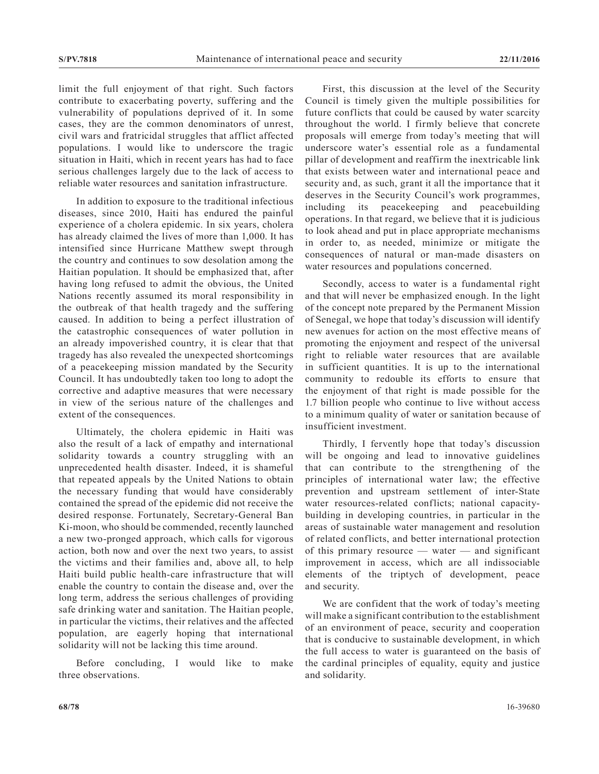limit the full enjoyment of that right. Such factors contribute to exacerbating poverty, suffering and the vulnerability of populations deprived of it. In some cases, they are the common denominators of unrest, civil wars and fratricidal struggles that afflict affected populations. I would like to underscore the tragic situation in Haiti, which in recent years has had to face serious challenges largely due to the lack of access to reliable water resources and sanitation infrastructure.

In addition to exposure to the traditional infectious diseases, since 2010, Haiti has endured the painful experience of a cholera epidemic. In six years, cholera has already claimed the lives of more than 1,000. It has intensified since Hurricane Matthew swept through the country and continues to sow desolation among the Haitian population. It should be emphasized that, after having long refused to admit the obvious, the United Nations recently assumed its moral responsibility in the outbreak of that health tragedy and the suffering caused. In addition to being a perfect illustration of the catastrophic consequences of water pollution in an already impoverished country, it is clear that that tragedy has also revealed the unexpected shortcomings of a peacekeeping mission mandated by the Security Council. It has undoubtedly taken too long to adopt the corrective and adaptive measures that were necessary in view of the serious nature of the challenges and extent of the consequences.

Ultimately, the cholera epidemic in Haiti was also the result of a lack of empathy and international solidarity towards a country struggling with an unprecedented health disaster. Indeed, it is shameful that repeated appeals by the United Nations to obtain the necessary funding that would have considerably contained the spread of the epidemic did not receive the desired response. Fortunately, Secretary-General Ban Ki-moon, who should be commended, recently launched a new two-pronged approach, which calls for vigorous action, both now and over the next two years, to assist the victims and their families and, above all, to help Haiti build public health-care infrastructure that will enable the country to contain the disease and, over the long term, address the serious challenges of providing safe drinking water and sanitation. The Haitian people, in particular the victims, their relatives and the affected population, are eagerly hoping that international solidarity will not be lacking this time around.

Before concluding, I would like to make three observations.

First, this discussion at the level of the Security Council is timely given the multiple possibilities for future conflicts that could be caused by water scarcity throughout the world. I firmly believe that concrete proposals will emerge from today's meeting that will underscore water's essential role as a fundamental pillar of development and reaffirm the inextricable link that exists between water and international peace and security and, as such, grant it all the importance that it deserves in the Security Council's work programmes, including its peacekeeping and peacebuilding operations. In that regard, we believe that it is judicious to look ahead and put in place appropriate mechanisms in order to, as needed, minimize or mitigate the consequences of natural or man-made disasters on water resources and populations concerned.

Secondly, access to water is a fundamental right and that will never be emphasized enough. In the light of the concept note prepared by the Permanent Mission of Senegal, we hope that today's discussion will identify new avenues for action on the most effective means of promoting the enjoyment and respect of the universal right to reliable water resources that are available in sufficient quantities. It is up to the international community to redouble its efforts to ensure that the enjoyment of that right is made possible for the 1.7 billion people who continue to live without access to a minimum quality of water or sanitation because of insufficient investment.

Thirdly, I fervently hope that today's discussion will be ongoing and lead to innovative guidelines that can contribute to the strengthening of the principles of international water law; the effective prevention and upstream settlement of inter-State water resources-related conflicts; national capacitybuilding in developing countries, in particular in the areas of sustainable water management and resolution of related conflicts, and better international protection of this primary resource — water — and significant improvement in access, which are all indissociable elements of the triptych of development, peace and security.

We are confident that the work of today's meeting will make a significant contribution to the establishment of an environment of peace, security and cooperation that is conducive to sustainable development, in which the full access to water is guaranteed on the basis of the cardinal principles of equality, equity and justice and solidarity.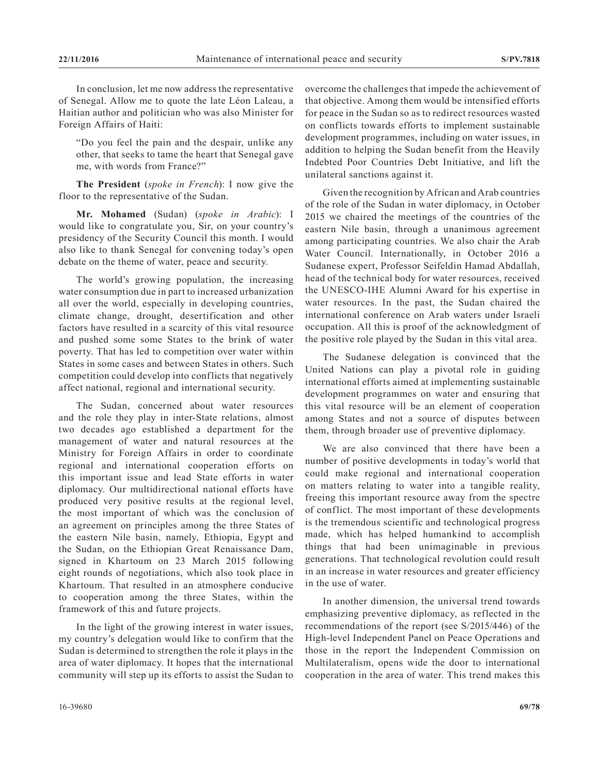In conclusion, let me now address the representative of Senegal. Allow me to quote the late Léon Laleau, a Haitian author and politician who was also Minister for Foreign Affairs of Haiti:

"Do you feel the pain and the despair, unlike any other, that seeks to tame the heart that Senegal gave me, with words from France?"

**The President** (*spoke in French*): I now give the floor to the representative of the Sudan.

**Mr. Mohamed** (Sudan) (*spoke in Arabic*): I would like to congratulate you, Sir, on your country's presidency of the Security Council this month. I would also like to thank Senegal for convening today's open debate on the theme of water, peace and security.

The world's growing population, the increasing water consumption due in part to increased urbanization all over the world, especially in developing countries, climate change, drought, desertification and other factors have resulted in a scarcity of this vital resource and pushed some some States to the brink of water poverty. That has led to competition over water within States in some cases and between States in others. Such competition could develop into conflicts that negatively affect national, regional and international security.

The Sudan, concerned about water resources and the role they play in inter-State relations, almost two decades ago established a department for the management of water and natural resources at the Ministry for Foreign Affairs in order to coordinate regional and international cooperation efforts on this important issue and lead State efforts in water diplomacy. Our multidirectional national efforts have produced very positive results at the regional level, the most important of which was the conclusion of an agreement on principles among the three States of the eastern Nile basin, namely, Ethiopia, Egypt and the Sudan, on the Ethiopian Great Renaissance Dam, signed in Khartoum on 23 March 2015 following eight rounds of negotiations, which also took place in Khartoum. That resulted in an atmosphere conducive to cooperation among the three States, within the framework of this and future projects.

In the light of the growing interest in water issues, my country's delegation would like to confirm that the Sudan is determined to strengthen the role it plays in the area of water diplomacy. It hopes that the international community will step up its efforts to assist the Sudan to overcome the challenges that impede the achievement of that objective. Among them would be intensified efforts for peace in the Sudan so as to redirect resources wasted on conflicts towards efforts to implement sustainable development programmes, including on water issues, in addition to helping the Sudan benefit from the Heavily Indebted Poor Countries Debt Initiative, and lift the unilateral sanctions against it.

Given the recognition by African and Arab countries of the role of the Sudan in water diplomacy, in October 2015 we chaired the meetings of the countries of the eastern Nile basin, through a unanimous agreement among participating countries. We also chair the Arab Water Council. Internationally, in October 2016 a Sudanese expert, Professor Seifeldin Hamad Abdallah, head of the technical body for water resources, received the UNESCO-IHE Alumni Award for his expertise in water resources. In the past, the Sudan chaired the international conference on Arab waters under Israeli occupation. All this is proof of the acknowledgment of the positive role played by the Sudan in this vital area.

The Sudanese delegation is convinced that the United Nations can play a pivotal role in guiding international efforts aimed at implementing sustainable development programmes on water and ensuring that this vital resource will be an element of cooperation among States and not a source of disputes between them, through broader use of preventive diplomacy.

We are also convinced that there have been a number of positive developments in today's world that could make regional and international cooperation on matters relating to water into a tangible reality, freeing this important resource away from the spectre of conflict. The most important of these developments is the tremendous scientific and technological progress made, which has helped humankind to accomplish things that had been unimaginable in previous generations. That technological revolution could result in an increase in water resources and greater efficiency in the use of water.

In another dimension, the universal trend towards emphasizing preventive diplomacy, as reflected in the recommendations of the report (see S/2015/446) of the High-level Independent Panel on Peace Operations and those in the report the Independent Commission on Multilateralism, opens wide the door to international cooperation in the area of water. This trend makes this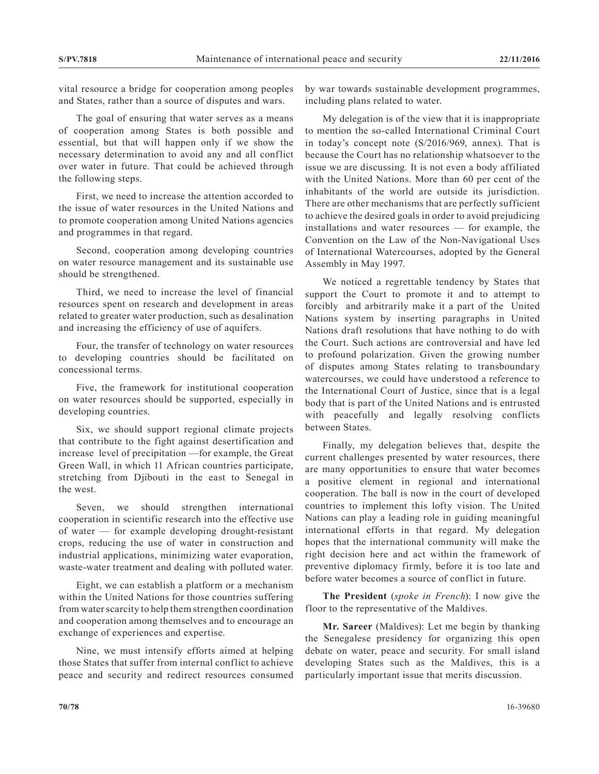vital resource a bridge for cooperation among peoples and States, rather than a source of disputes and wars.

The goal of ensuring that water serves as a means of cooperation among States is both possible and essential, but that will happen only if we show the necessary determination to avoid any and all conflict over water in future. That could be achieved through the following steps.

First, we need to increase the attention accorded to the issue of water resources in the United Nations and to promote cooperation among United Nations agencies and programmes in that regard.

Second, cooperation among developing countries on water resource management and its sustainable use should be strengthened.

Third, we need to increase the level of financial resources spent on research and development in areas related to greater water production, such as desalination and increasing the efficiency of use of aquifers.

Four, the transfer of technology on water resources to developing countries should be facilitated on concessional terms.

Five, the framework for institutional cooperation on water resources should be supported, especially in developing countries.

Six, we should support regional climate projects that contribute to the fight against desertification and increase level of precipitation —for example, the Great Green Wall, in which 11 African countries participate, stretching from Djibouti in the east to Senegal in the west.

Seven, we should strengthen international cooperation in scientific research into the effective use of water — for example developing drought-resistant crops, reducing the use of water in construction and industrial applications, minimizing water evaporation, waste-water treatment and dealing with polluted water.

Eight, we can establish a platform or a mechanism within the United Nations for those countries suffering from water scarcity to help them strengthen coordination and cooperation among themselves and to encourage an exchange of experiences and expertise.

Nine, we must intensify efforts aimed at helping those States that suffer from internal conflict to achieve peace and security and redirect resources consumed by war towards sustainable development programmes, including plans related to water.

My delegation is of the view that it is inappropriate to mention the so-called International Criminal Court in today's concept note (S/2016/969, annex). That is because the Court has no relationship whatsoever to the issue we are discussing. It is not even a body affiliated with the United Nations. More than 60 per cent of the inhabitants of the world are outside its jurisdiction. There are other mechanisms that are perfectly sufficient to achieve the desired goals in order to avoid prejudicing installations and water resources — for example, the Convention on the Law of the Non-Navigational Uses of International Watercourses, adopted by the General Assembly in May 1997.

We noticed a regrettable tendency by States that support the Court to promote it and to attempt to forcibly and arbitrarily make it a part of the United Nations system by inserting paragraphs in United Nations draft resolutions that have nothing to do with the Court. Such actions are controversial and have led to profound polarization. Given the growing number of disputes among States relating to transboundary watercourses, we could have understood a reference to the International Court of Justice, since that is a legal body that is part of the United Nations and is entrusted with peacefully and legally resolving conflicts between States.

Finally, my delegation believes that, despite the current challenges presented by water resources, there are many opportunities to ensure that water becomes a positive element in regional and international cooperation. The ball is now in the court of developed countries to implement this lofty vision. The United Nations can play a leading role in guiding meaningful international efforts in that regard. My delegation hopes that the international community will make the right decision here and act within the framework of preventive diplomacy firmly, before it is too late and before water becomes a source of conflict in future.

**The President** (*spoke in French*): I now give the floor to the representative of the Maldives.

**Mr. Sareer** (Maldives): Let me begin by thanking the Senegalese presidency for organizing this open debate on water, peace and security. For small island developing States such as the Maldives, this is a particularly important issue that merits discussion.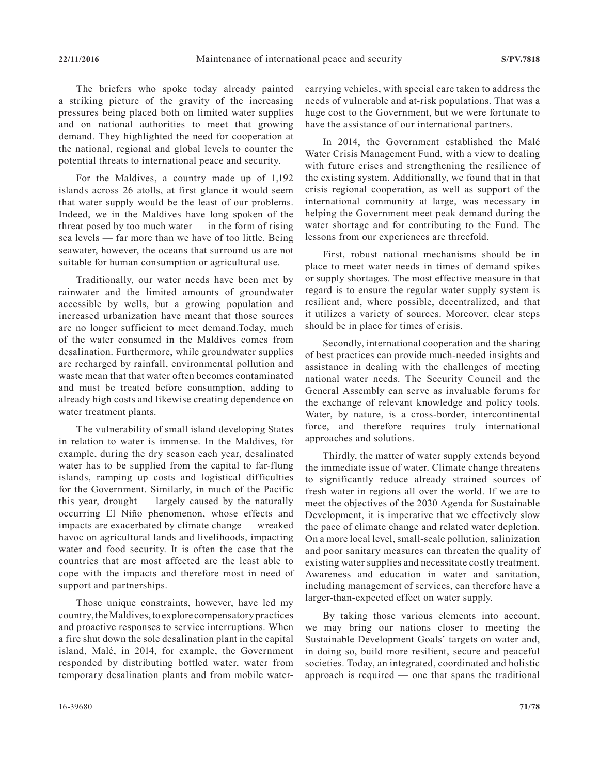The briefers who spoke today already painted a striking picture of the gravity of the increasing pressures being placed both on limited water supplies and on national authorities to meet that growing demand. They highlighted the need for cooperation at the national, regional and global levels to counter the potential threats to international peace and security.

For the Maldives, a country made up of 1,192 islands across 26 atolls, at first glance it would seem that water supply would be the least of our problems. Indeed, we in the Maldives have long spoken of the threat posed by too much water — in the form of rising sea levels — far more than we have of too little. Being seawater, however, the oceans that surround us are not suitable for human consumption or agricultural use.

Traditionally, our water needs have been met by rainwater and the limited amounts of groundwater accessible by wells, but a growing population and increased urbanization have meant that those sources are no longer sufficient to meet demand.Today, much of the water consumed in the Maldives comes from desalination. Furthermore, while groundwater supplies are recharged by rainfall, environmental pollution and waste mean that that water often becomes contaminated and must be treated before consumption, adding to already high costs and likewise creating dependence on water treatment plants.

The vulnerability of small island developing States in relation to water is immense. In the Maldives, for example, during the dry season each year, desalinated water has to be supplied from the capital to far-flung islands, ramping up costs and logistical difficulties for the Government. Similarly, in much of the Pacific this year, drought — largely caused by the naturally occurring El Niño phenomenon, whose effects and impacts are exacerbated by climate change — wreaked havoc on agricultural lands and livelihoods, impacting water and food security. It is often the case that the countries that are most affected are the least able to cope with the impacts and therefore most in need of support and partnerships.

Those unique constraints, however, have led my country, the Maldives, to explore compensatory practices and proactive responses to service interruptions. When a fire shut down the sole desalination plant in the capital island, Malé, in 2014, for example, the Government responded by distributing bottled water, water from temporary desalination plants and from mobile watercarrying vehicles, with special care taken to address the needs of vulnerable and at-risk populations. That was a huge cost to the Government, but we were fortunate to have the assistance of our international partners.

In 2014, the Government established the Malé Water Crisis Management Fund, with a view to dealing with future crises and strengthening the resilience of the existing system. Additionally, we found that in that crisis regional cooperation, as well as support of the international community at large, was necessary in helping the Government meet peak demand during the water shortage and for contributing to the Fund. The lessons from our experiences are threefold.

First, robust national mechanisms should be in place to meet water needs in times of demand spikes or supply shortages. The most effective measure in that regard is to ensure the regular water supply system is resilient and, where possible, decentralized, and that it utilizes a variety of sources. Moreover, clear steps should be in place for times of crisis.

Secondly, international cooperation and the sharing of best practices can provide much-needed insights and assistance in dealing with the challenges of meeting national water needs. The Security Council and the General Assembly can serve as invaluable forums for the exchange of relevant knowledge and policy tools. Water, by nature, is a cross-border, intercontinental force, and therefore requires truly international approaches and solutions.

Thirdly, the matter of water supply extends beyond the immediate issue of water. Climate change threatens to significantly reduce already strained sources of fresh water in regions all over the world. If we are to meet the objectives of the 2030 Agenda for Sustainable Development, it is imperative that we effectively slow the pace of climate change and related water depletion. On a more local level, small-scale pollution, salinization and poor sanitary measures can threaten the quality of existing water supplies and necessitate costly treatment. Awareness and education in water and sanitation, including management of services, can therefore have a larger-than-expected effect on water supply.

By taking those various elements into account, we may bring our nations closer to meeting the Sustainable Development Goals' targets on water and, in doing so, build more resilient, secure and peaceful societies. Today, an integrated, coordinated and holistic approach is required — one that spans the traditional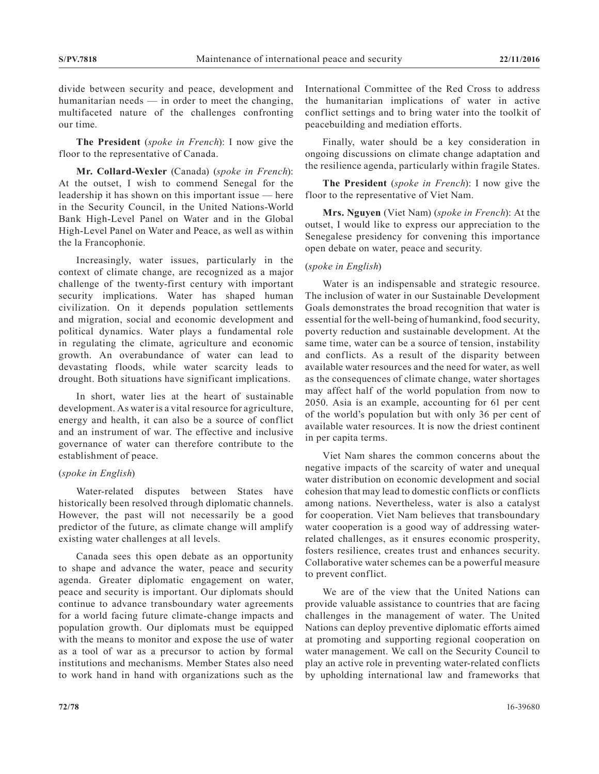divide between security and peace, development and humanitarian needs — in order to meet the changing, multifaceted nature of the challenges confronting our time.

**The President** (*spoke in French*): I now give the floor to the representative of Canada.

**Mr. Collard-Wexler** (Canada) (*spoke in French*): At the outset, I wish to commend Senegal for the leadership it has shown on this important issue — here in the Security Council, in the United Nations-World Bank High-Level Panel on Water and in the Global High-Level Panel on Water and Peace, as well as within the la Francophonie.

Increasingly, water issues, particularly in the context of climate change, are recognized as a major challenge of the twenty-first century with important security implications. Water has shaped human civilization. On it depends population settlements and migration, social and economic development and political dynamics. Water plays a fundamental role in regulating the climate, agriculture and economic growth. An overabundance of water can lead to devastating floods, while water scarcity leads to drought. Both situations have significant implications.

In short, water lies at the heart of sustainable development. As water is a vital resource for agriculture, energy and health, it can also be a source of conflict and an instrument of war. The effective and inclusive governance of water can therefore contribute to the establishment of peace.

## (*spoke in English*)

Water-related disputes between States have historically been resolved through diplomatic channels. However, the past will not necessarily be a good predictor of the future, as climate change will amplify existing water challenges at all levels.

Canada sees this open debate as an opportunity to shape and advance the water, peace and security agenda. Greater diplomatic engagement on water, peace and security is important. Our diplomats should continue to advance transboundary water agreements for a world facing future climate-change impacts and population growth. Our diplomats must be equipped with the means to monitor and expose the use of water as a tool of war as a precursor to action by formal institutions and mechanisms. Member States also need to work hand in hand with organizations such as the

International Committee of the Red Cross to address the humanitarian implications of water in active conflict settings and to bring water into the toolkit of peacebuilding and mediation efforts.

Finally, water should be a key consideration in ongoing discussions on climate change adaptation and the resilience agenda, particularly within fragile States.

**The President** (*spoke in French*): I now give the floor to the representative of Viet Nam.

**Mrs. Nguyen** (Viet Nam) (*spoke in French*): At the outset, I would like to express our appreciation to the Senegalese presidency for convening this importance open debate on water, peace and security.

### (*spoke in English*)

Water is an indispensable and strategic resource. The inclusion of water in our Sustainable Development Goals demonstrates the broad recognition that water is essential for the well-being of humankind, food security, poverty reduction and sustainable development. At the same time, water can be a source of tension, instability and conflicts. As a result of the disparity between available water resources and the need for water, as well as the consequences of climate change, water shortages may affect half of the world population from now to 2050. Asia is an example, accounting for 61 per cent of the world's population but with only 36 per cent of available water resources. It is now the driest continent in per capita terms.

Viet Nam shares the common concerns about the negative impacts of the scarcity of water and unequal water distribution on economic development and social cohesion that may lead to domestic conflicts or conflicts among nations. Nevertheless, water is also a catalyst for cooperation. Viet Nam believes that transboundary water cooperation is a good way of addressing waterrelated challenges, as it ensures economic prosperity, fosters resilience, creates trust and enhances security. Collaborative water schemes can be a powerful measure to prevent conflict.

We are of the view that the United Nations can provide valuable assistance to countries that are facing challenges in the management of water. The United Nations can deploy preventive diplomatic efforts aimed at promoting and supporting regional cooperation on water management. We call on the Security Council to play an active role in preventing water-related conflicts by upholding international law and frameworks that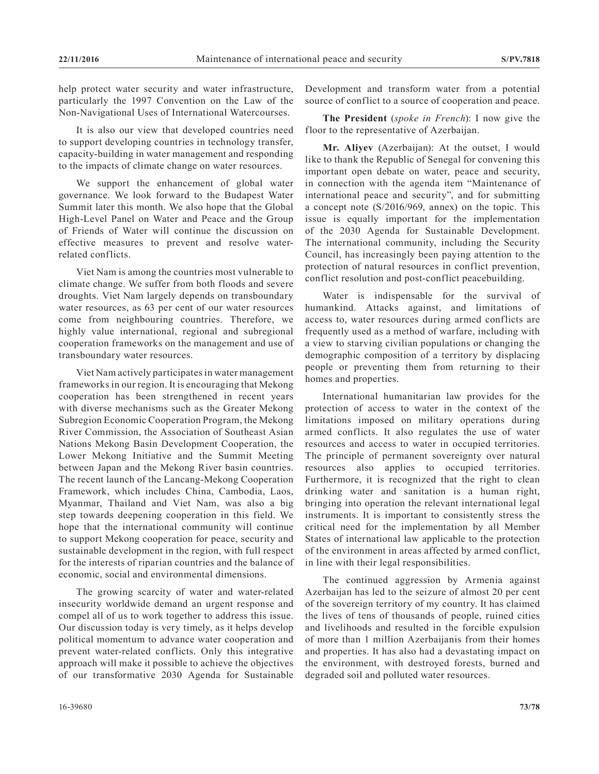help protect water security and water infrastructure, particularly the 1997 Convention on the Law of the Non-Navigational Uses of International Watercourses.

It is also our view that developed countries need to support developing countries in technology transfer, capacity-building in water management and responding to the impacts of climate change on water resources.

We support the enhancement of global water governance. We look forward to the Budapest Water Summit later this month. We also hope that the Global High-Level Panel on Water and Peace and the Group of Friends of Water will continue the discussion on effective measures to prevent and resolve waterrelated conflicts.

Viet Nam is among the countries most vulnerable to climate change. We suffer from both floods and severe droughts. Viet Nam largely depends on transboundary water resources, as 63 per cent of our water resources come from neighbouring countries. Therefore, we highly value international, regional and subregional cooperation frameworks on the management and use of transboundary water resources.

Viet Nam actively participates in water management frameworks in our region. It is encouraging that Mekong cooperation has been strengthened in recent years with diverse mechanisms such as the Greater Mekong Subregion Economic Cooperation Program, the Mekong River Commission, the Association of Southeast Asian Nations Mekong Basin Development Cooperation, the Lower Mekong Initiative and the Summit Meeting between Japan and the Mekong River basin countries. The recent launch of the Lancang-Mekong Cooperation Framework, which includes China, Cambodia, Laos, Myanmar, Thailand and Viet Nam, was also a big step towards deepening cooperation in this field. We hope that the international community will continue to support Mekong cooperation for peace, security and sustainable development in the region, with full respect for the interests of riparian countries and the balance of economic, social and environmental dimensions.

The growing scarcity of water and water-related insecurity worldwide demand an urgent response and compel all of us to work together to address this issue. Our discussion today is very timely, as it helps develop political momentum to advance water cooperation and prevent water-related conflicts. Only this integrative approach will make it possible to achieve the objectives of our transformative 2030 Agenda for Sustainable Development and transform water from a potential source of conflict to a source of cooperation and peace.

**The President** (*spoke in French*): I now give the floor to the representative of Azerbaijan.

**Mr. Aliyev** (Azerbaijan): At the outset, I would like to thank the Republic of Senegal for convening this important open debate on water, peace and security, in connection with the agenda item "Maintenance of international peace and security", and for submitting a concept note (S/2016/969, annex) on the topic. This issue is equally important for the implementation of the 2030 Agenda for Sustainable Development. The international community, including the Security Council, has increasingly been paying attention to the protection of natural resources in conflict prevention, conflict resolution and post-conflict peacebuilding.

Water is indispensable for the survival of humankind. Attacks against, and limitations of access to, water resources during armed conflicts are frequently used as a method of warfare, including with a view to starving civilian populations or changing the demographic composition of a territory by displacing people or preventing them from returning to their homes and properties.

International humanitarian law provides for the protection of access to water in the context of the limitations imposed on military operations during armed conflicts. It also regulates the use of water resources and access to water in occupied territories. The principle of permanent sovereignty over natural resources also applies to occupied territories. Furthermore, it is recognized that the right to clean drinking water and sanitation is a human right, bringing into operation the relevant international legal instruments. It is important to consistently stress the critical need for the implementation by all Member States of international law applicable to the protection of the environment in areas affected by armed conflict, in line with their legal responsibilities.

The continued aggression by Armenia against Azerbaijan has led to the seizure of almost 20 per cent of the sovereign territory of my country. It has claimed the lives of tens of thousands of people, ruined cities and livelihoods and resulted in the forcible expulsion of more than 1 million Azerbaijanis from their homes and properties. It has also had a devastating impact on the environment, with destroyed forests, burned and degraded soil and polluted water resources.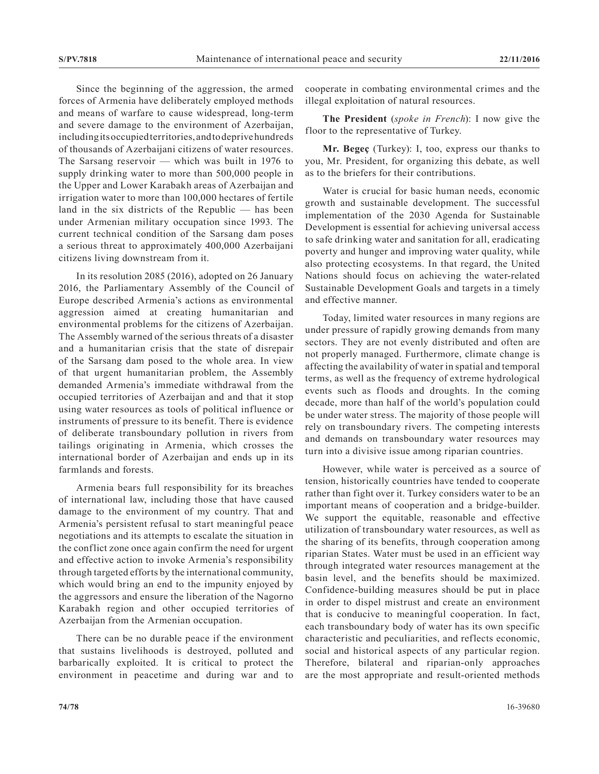Since the beginning of the aggression, the armed forces of Armenia have deliberately employed methods and means of warfare to cause widespread, long-term and severe damage to the environment of Azerbaijan, including its occupied territories, and to deprive hundreds of thousands of Azerbaijani citizens of water resources. The Sarsang reservoir — which was built in 1976 to supply drinking water to more than 500,000 people in the Upper and Lower Karabakh areas of Azerbaijan and irrigation water to more than 100,000 hectares of fertile land in the six districts of the Republic — has been under Armenian military occupation since 1993. The current technical condition of the Sarsang dam poses a serious threat to approximately 400,000 Azerbaijani citizens living downstream from it.

In its resolution 2085 (2016), adopted on 26 January 2016, the Parliamentary Assembly of the Council of Europe described Armenia's actions as environmental aggression aimed at creating humanitarian and environmental problems for the citizens of Azerbaijan. The Assembly warned of the serious threats of a disaster and a humanitarian crisis that the state of disrepair of the Sarsang dam posed to the whole area. In view of that urgent humanitarian problem, the Assembly demanded Armenia's immediate withdrawal from the occupied territories of Azerbaijan and and that it stop using water resources as tools of political influence or instruments of pressure to its benefit. There is evidence of deliberate transboundary pollution in rivers from tailings originating in Armenia, which crosses the international border of Azerbaijan and ends up in its farmlands and forests.

Armenia bears full responsibility for its breaches of international law, including those that have caused damage to the environment of my country. That and Armenia's persistent refusal to start meaningful peace negotiations and its attempts to escalate the situation in the conflict zone once again confirm the need for urgent and effective action to invoke Armenia's responsibility through targeted efforts by the international community, which would bring an end to the impunity enjoyed by the aggressors and ensure the liberation of the Nagorno Karabakh region and other occupied territories of Azerbaijan from the Armenian occupation.

There can be no durable peace if the environment that sustains livelihoods is destroyed, polluted and barbarically exploited. It is critical to protect the environment in peacetime and during war and to cooperate in combating environmental crimes and the illegal exploitation of natural resources.

**The President** (*spoke in French*): I now give the floor to the representative of Turkey.

**Mr. Begeç** (Turkey): I, too, express our thanks to you, Mr. President, for organizing this debate, as well as to the briefers for their contributions.

Water is crucial for basic human needs, economic growth and sustainable development. The successful implementation of the 2030 Agenda for Sustainable Development is essential for achieving universal access to safe drinking water and sanitation for all, eradicating poverty and hunger and improving water quality, while also protecting ecosystems. In that regard, the United Nations should focus on achieving the water-related Sustainable Development Goals and targets in a timely and effective manner.

Today, limited water resources in many regions are under pressure of rapidly growing demands from many sectors. They are not evenly distributed and often are not properly managed. Furthermore, climate change is affecting the availability of water in spatial and temporal terms, as well as the frequency of extreme hydrological events such as floods and droughts. In the coming decade, more than half of the world's population could be under water stress. The majority of those people will rely on transboundary rivers. The competing interests and demands on transboundary water resources may turn into a divisive issue among riparian countries.

However, while water is perceived as a source of tension, historically countries have tended to cooperate rather than fight over it. Turkey considers water to be an important means of cooperation and a bridge-builder. We support the equitable, reasonable and effective utilization of transboundary water resources, as well as the sharing of its benefits, through cooperation among riparian States. Water must be used in an efficient way through integrated water resources management at the basin level, and the benefits should be maximized. Confidence-building measures should be put in place in order to dispel mistrust and create an environment that is conducive to meaningful cooperation. In fact, each transboundary body of water has its own specific characteristic and peculiarities, and reflects economic, social and historical aspects of any particular region. Therefore, bilateral and riparian-only approaches are the most appropriate and result-oriented methods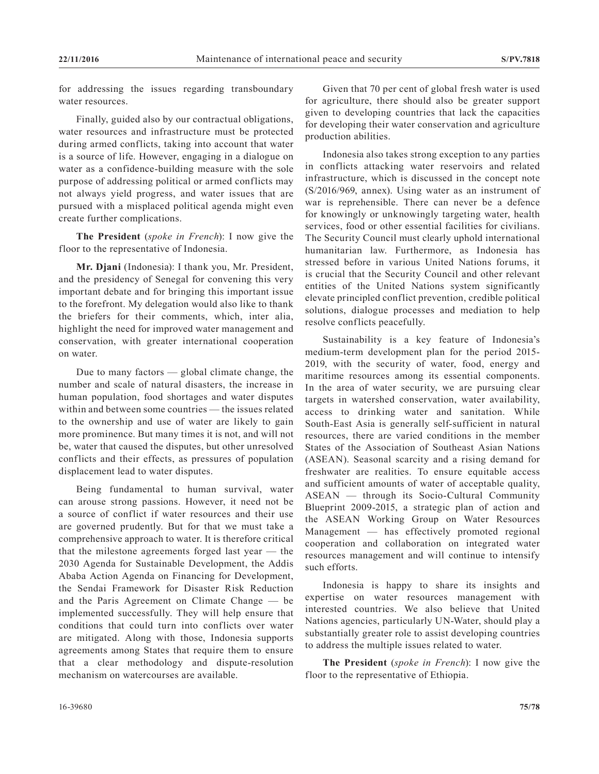for addressing the issues regarding transboundary water resources.

Finally, guided also by our contractual obligations, water resources and infrastructure must be protected during armed conflicts, taking into account that water is a source of life. However, engaging in a dialogue on water as a confidence-building measure with the sole purpose of addressing political or armed conflicts may not always yield progress, and water issues that are pursued with a misplaced political agenda might even create further complications.

**The President** (*spoke in French*): I now give the floor to the representative of Indonesia.

**Mr. Djani** (Indonesia): I thank you, Mr. President, and the presidency of Senegal for convening this very important debate and for bringing this important issue to the forefront. My delegation would also like to thank the briefers for their comments, which, inter alia, highlight the need for improved water management and conservation, with greater international cooperation on water.

Due to many factors — global climate change, the number and scale of natural disasters, the increase in human population, food shortages and water disputes within and between some countries — the issues related to the ownership and use of water are likely to gain more prominence. But many times it is not, and will not be, water that caused the disputes, but other unresolved conflicts and their effects, as pressures of population displacement lead to water disputes.

Being fundamental to human survival, water can arouse strong passions. However, it need not be a source of conflict if water resources and their use are governed prudently. But for that we must take a comprehensive approach to water. It is therefore critical that the milestone agreements forged last year — the 2030 Agenda for Sustainable Development, the Addis Ababa Action Agenda on Financing for Development, the Sendai Framework for Disaster Risk Reduction and the Paris Agreement on Climate Change — be implemented successfully. They will help ensure that conditions that could turn into conflicts over water are mitigated. Along with those, Indonesia supports agreements among States that require them to ensure that a clear methodology and dispute-resolution mechanism on watercourses are available.

Given that 70 per cent of global fresh water is used for agriculture, there should also be greater support given to developing countries that lack the capacities for developing their water conservation and agriculture production abilities.

Indonesia also takes strong exception to any parties in conflicts attacking water reservoirs and related infrastructure, which is discussed in the concept note (S/2016/969, annex). Using water as an instrument of war is reprehensible. There can never be a defence for knowingly or unknowingly targeting water, health services, food or other essential facilities for civilians. The Security Council must clearly uphold international humanitarian law. Furthermore, as Indonesia has stressed before in various United Nations forums, it is crucial that the Security Council and other relevant entities of the United Nations system significantly elevate principled conflict prevention, credible political solutions, dialogue processes and mediation to help resolve conflicts peacefully.

Sustainability is a key feature of Indonesia's medium-term development plan for the period 2015- 2019, with the security of water, food, energy and maritime resources among its essential components. In the area of water security, we are pursuing clear targets in watershed conservation, water availability, access to drinking water and sanitation. While South-East Asia is generally self-sufficient in natural resources, there are varied conditions in the member States of the Association of Southeast Asian Nations (ASEAN). Seasonal scarcity and a rising demand for freshwater are realities. To ensure equitable access and sufficient amounts of water of acceptable quality, ASEAN — through its Socio-Cultural Community Blueprint 2009-2015, a strategic plan of action and the ASEAN Working Group on Water Resources Management — has effectively promoted regional cooperation and collaboration on integrated water resources management and will continue to intensify such efforts.

Indonesia is happy to share its insights and expertise on water resources management with interested countries. We also believe that United Nations agencies, particularly UN-Water, should play a substantially greater role to assist developing countries to address the multiple issues related to water.

**The President** (*spoke in French*): I now give the floor to the representative of Ethiopia.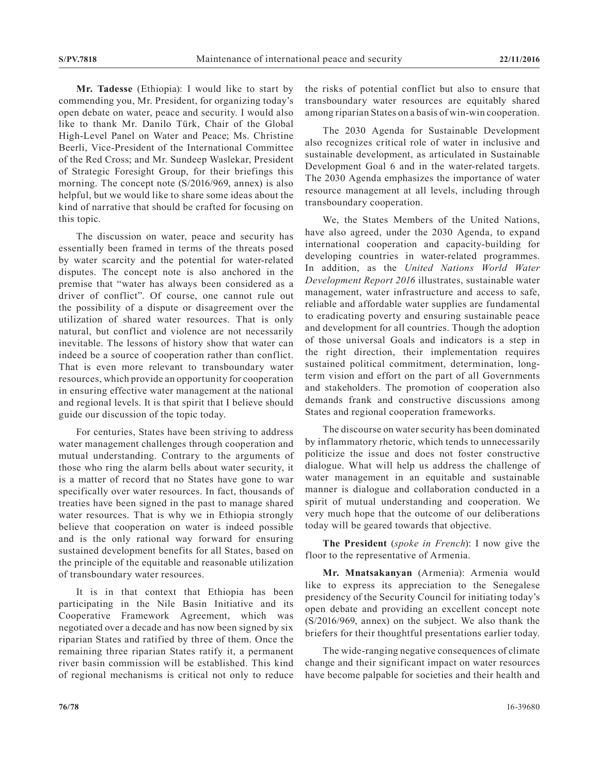**Mr. Tadesse** (Ethiopia): I would like to start by commending you, Mr. President, for organizing today's open debate on water, peace and security. I would also like to thank Mr. Danilo Türk, Chair of the Global High-Level Panel on Water and Peace; Ms. Christine Beerli, Vice-President of the International Committee of the Red Cross; and Mr. Sundeep Waslekar, President of Strategic Foresight Group, for their briefings this morning. The concept note (S/2016/969, annex) is also helpful, but we would like to share some ideas about the kind of narrative that should be crafted for focusing on this topic.

The discussion on water, peace and security has essentially been framed in terms of the threats posed by water scarcity and the potential for water-related disputes. The concept note is also anchored in the premise that "water has always been considered as a driver of conflict". Of course, one cannot rule out the possibility of a dispute or disagreement over the utilization of shared water resources. That is only natural, but conflict and violence are not necessarily inevitable. The lessons of history show that water can indeed be a source of cooperation rather than conflict. That is even more relevant to transboundary water resources, which provide an opportunity for cooperation in ensuring effective water management at the national and regional levels. It is that spirit that I believe should guide our discussion of the topic today.

For centuries, States have been striving to address water management challenges through cooperation and mutual understanding. Contrary to the arguments of those who ring the alarm bells about water security, it is a matter of record that no States have gone to war specifically over water resources. In fact, thousands of treaties have been signed in the past to manage shared water resources. That is why we in Ethiopia strongly believe that cooperation on water is indeed possible and is the only rational way forward for ensuring sustained development benefits for all States, based on the principle of the equitable and reasonable utilization of transboundary water resources.

It is in that context that Ethiopia has been participating in the Nile Basin Initiative and its Cooperative Framework Agreement, which was negotiated over a decade and has now been signed by six riparian States and ratified by three of them. Once the remaining three riparian States ratify it, a permanent river basin commission will be established. This kind of regional mechanisms is critical not only to reduce the risks of potential conflict but also to ensure that transboundary water resources are equitably shared among riparian States on a basis of win-win cooperation.

The 2030 Agenda for Sustainable Development also recognizes critical role of water in inclusive and sustainable development, as articulated in Sustainable Development Goal 6 and in the water-related targets. The 2030 Agenda emphasizes the importance of water resource management at all levels, including through transboundary cooperation.

We, the States Members of the United Nations, have also agreed, under the 2030 Agenda, to expand international cooperation and capacity-building for developing countries in water-related programmes. In addition, as the *United Nations World Water Development Report 2016* illustrates, sustainable water management, water infrastructure and access to safe, reliable and affordable water supplies are fundamental to eradicating poverty and ensuring sustainable peace and development for all countries. Though the adoption of those universal Goals and indicators is a step in the right direction, their implementation requires sustained political commitment, determination, longterm vision and effort on the part of all Governments and stakeholders. The promotion of cooperation also demands frank and constructive discussions among States and regional cooperation frameworks.

The discourse on water security has been dominated by inflammatory rhetoric, which tends to unnecessarily politicize the issue and does not foster constructive dialogue. What will help us address the challenge of water management in an equitable and sustainable manner is dialogue and collaboration conducted in a spirit of mutual understanding and cooperation. We very much hope that the outcome of our deliberations today will be geared towards that objective.

**The President** (*spoke in French*): I now give the floor to the representative of Armenia.

**Mr. Mnatsakanyan** (Armenia): Armenia would like to express its appreciation to the Senegalese presidency of the Security Council for initiating today's open debate and providing an excellent concept note (S/2016/969, annex) on the subject. We also thank the briefers for their thoughtful presentations earlier today.

The wide-ranging negative consequences of climate change and their significant impact on water resources have become palpable for societies and their health and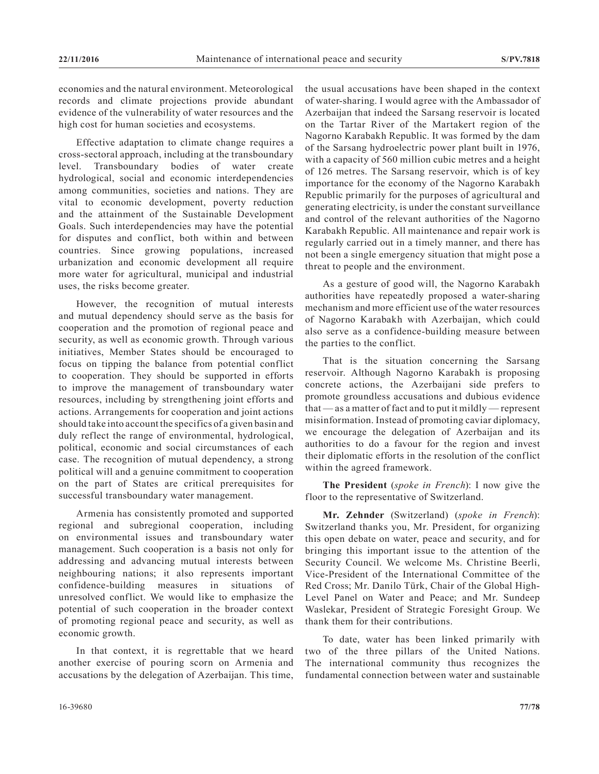economies and the natural environment. Meteorological records and climate projections provide abundant evidence of the vulnerability of water resources and the high cost for human societies and ecosystems.

Effective adaptation to climate change requires a cross-sectoral approach, including at the transboundary level. Transboundary bodies of water create hydrological, social and economic interdependencies among communities, societies and nations. They are vital to economic development, poverty reduction and the attainment of the Sustainable Development Goals. Such interdependencies may have the potential for disputes and conflict, both within and between countries. Since growing populations, increased urbanization and economic development all require more water for agricultural, municipal and industrial uses, the risks become greater.

However, the recognition of mutual interests and mutual dependency should serve as the basis for cooperation and the promotion of regional peace and security, as well as economic growth. Through various initiatives, Member States should be encouraged to focus on tipping the balance from potential conflict to cooperation. They should be supported in efforts to improve the management of transboundary water resources, including by strengthening joint efforts and actions. Arrangements for cooperation and joint actions should take into account the specifics of a given basin and duly reflect the range of environmental, hydrological, political, economic and social circumstances of each case. The recognition of mutual dependency, a strong political will and a genuine commitment to cooperation on the part of States are critical prerequisites for successful transboundary water management.

Armenia has consistently promoted and supported regional and subregional cooperation, including on environmental issues and transboundary water management. Such cooperation is a basis not only for addressing and advancing mutual interests between neighbouring nations; it also represents important confidence-building measures in situations of unresolved conflict. We would like to emphasize the potential of such cooperation in the broader context of promoting regional peace and security, as well as economic growth.

In that context, it is regrettable that we heard another exercise of pouring scorn on Armenia and accusations by the delegation of Azerbaijan. This time,

the usual accusations have been shaped in the context of water-sharing. I would agree with the Ambassador of Azerbaijan that indeed the Sarsang reservoir is located on the Tartar River of the Martakert region of the Nagorno Karabakh Republic. It was formed by the dam of the Sarsang hydroelectric power plant built in 1976, with a capacity of 560 million cubic metres and a height of 126 metres. The Sarsang reservoir, which is of key importance for the economy of the Nagorno Karabakh Republic primarily for the purposes of agricultural and generating electricity, is under the constant surveillance and control of the relevant authorities of the Nagorno Karabakh Republic. All maintenance and repair work is regularly carried out in a timely manner, and there has not been a single emergency situation that might pose a threat to people and the environment.

As a gesture of good will, the Nagorno Karabakh authorities have repeatedly proposed a water-sharing mechanism and more efficient use of the water resources of Nagorno Karabakh with Azerbaijan, which could also serve as a confidence-building measure between the parties to the conflict.

That is the situation concerning the Sarsang reservoir. Although Nagorno Karabakh is proposing concrete actions, the Azerbaijani side prefers to promote groundless accusations and dubious evidence that — as a matter of fact and to put it mildly — represent misinformation. Instead of promoting caviar diplomacy, we encourage the delegation of Azerbaijan and its authorities to do a favour for the region and invest their diplomatic efforts in the resolution of the conflict within the agreed framework.

**The President** (*spoke in French*): I now give the floor to the representative of Switzerland.

**Mr. Zehnder** (Switzerland) (*spoke in French*): Switzerland thanks you, Mr. President, for organizing this open debate on water, peace and security, and for bringing this important issue to the attention of the Security Council. We welcome Ms. Christine Beerli, Vice-President of the International Committee of the Red Cross; Mr. Danilo Türk, Chair of the Global High-Level Panel on Water and Peace; and Mr. Sundeep Waslekar, President of Strategic Foresight Group. We thank them for their contributions.

To date, water has been linked primarily with two of the three pillars of the United Nations. The international community thus recognizes the fundamental connection between water and sustainable